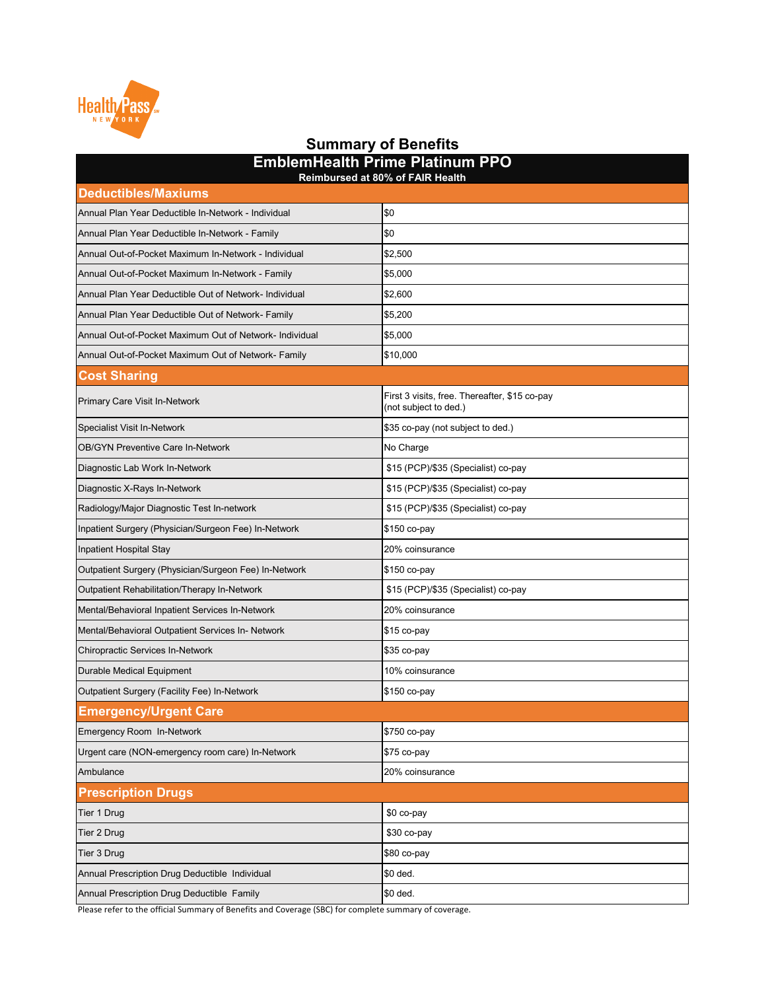| <b>EmblemHealth Prime Platinum PPO</b><br><b>Reimbursed at 80% of FAIR Health</b> |                                                                        |  |
|-----------------------------------------------------------------------------------|------------------------------------------------------------------------|--|
| <b>Deductibles/Maxiums</b>                                                        |                                                                        |  |
| Annual Plan Year Deductible In-Network - Individual                               | \$0                                                                    |  |
| Annual Plan Year Deductible In-Network - Family                                   | \$0                                                                    |  |
| Annual Out-of-Pocket Maximum In-Network - Individual                              | \$2,500                                                                |  |
| Annual Out-of-Pocket Maximum In-Network - Family                                  | \$5,000                                                                |  |
| Annual Plan Year Deductible Out of Network- Individual                            | \$2,600                                                                |  |
| Annual Plan Year Deductible Out of Network- Family                                | \$5,200                                                                |  |
| Annual Out-of-Pocket Maximum Out of Network- Individual                           | \$5,000                                                                |  |
| Annual Out-of-Pocket Maximum Out of Network- Family                               | \$10,000                                                               |  |
| <b>Cost Sharing</b>                                                               |                                                                        |  |
| <b>Primary Care Visit In-Network</b>                                              | First 3 visits, free. Thereafter, \$15 co-pay<br>(not subject to ded.) |  |
| <b>Specialist Visit In-Network</b>                                                | \$35 co-pay (not subject to ded.)                                      |  |
| <b>OB/GYN Preventive Care In-Network</b>                                          | No Charge                                                              |  |
| Diagnostic Lab Work In-Network                                                    | \$15 (PCP)/\$35 (Specialist) co-pay                                    |  |
| Diagnostic X-Rays In-Network                                                      | \$15 (PCP)/\$35 (Specialist) co-pay                                    |  |
| Radiology/Major Diagnostic Test In-network                                        | \$15 (PCP)/\$35 (Specialist) co-pay                                    |  |
| Inpatient Surgery (Physician/Surgeon Fee) In-Network                              | \$150 co-pay                                                           |  |
| Inpatient Hospital Stay                                                           | 20% coinsurance                                                        |  |
| Outpatient Surgery (Physician/Surgeon Fee) In-Network                             | \$150 co-pay                                                           |  |
| Outpatient Rehabilitation/Therapy In-Network                                      | \$15 (PCP)/\$35 (Specialist) co-pay                                    |  |
| Mental/Behavioral Inpatient Services In-Network                                   | 20% coinsurance                                                        |  |
| Mental/Behavioral Outpatient Services In- Network                                 | \$15 co-pay                                                            |  |
| <b>Chiropractic Services In-Network</b>                                           | \$35 co-pay                                                            |  |
| <b>Durable Medical Equipment</b>                                                  | 10% coinsurance                                                        |  |
| Outpatient Surgery (Facility Fee) In-Network                                      | \$150 co-pay                                                           |  |
| <b>Emergency/Urgent Care</b>                                                      |                                                                        |  |
| <b>Emergency Room In-Network</b>                                                  | \$750 co-pay                                                           |  |
| Urgent care (NON-emergency room care) In-Network                                  | \$75 co-pay                                                            |  |

| Ambulance                                      | 20% coinsurance |
|------------------------------------------------|-----------------|
| <b>Prescription Drugs</b>                      |                 |
| Tier 1 Drug                                    | $$0 co-pay$     |
| Tier 2 Drug                                    | $$30$ co-pay    |
| Tier 3 Drug                                    | ∥\$80 со-рау    |
| Annual Prescription Drug Deductible Individual | \$0 ded.        |
| Annual Prescription Drug Deductible Family     | \$0 ded.        |

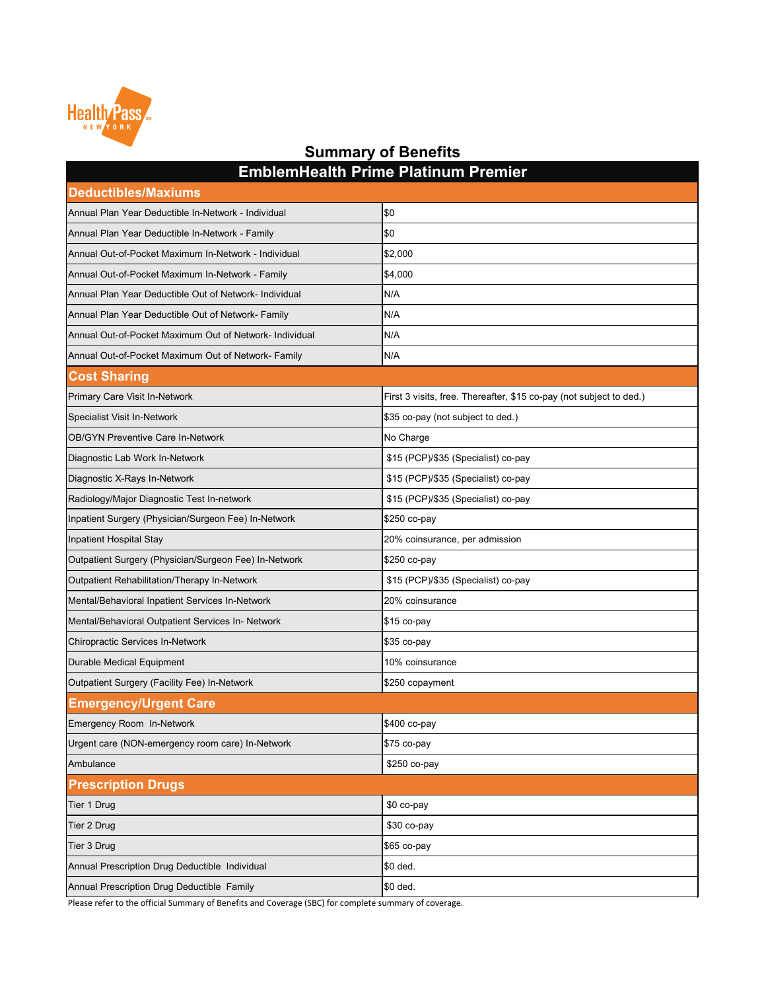| <b>Deductibles/Maxiums</b>                              |                                                                     |
|---------------------------------------------------------|---------------------------------------------------------------------|
| Annual Plan Year Deductible In-Network - Individual     | \$0                                                                 |
| Annual Plan Year Deductible In-Network - Family         | \$0                                                                 |
| Annual Out-of-Pocket Maximum In-Network - Individual    | \$2,000                                                             |
| Annual Out-of-Pocket Maximum In-Network - Family        | \$4,000                                                             |
| Annual Plan Year Deductible Out of Network- Individual  | N/A                                                                 |
| Annual Plan Year Deductible Out of Network- Family      | N/A                                                                 |
| Annual Out-of-Pocket Maximum Out of Network- Individual | N/A                                                                 |
| Annual Out-of-Pocket Maximum Out of Network- Family     | N/A                                                                 |
| <b>Cost Sharing</b>                                     |                                                                     |
| <b>Primary Care Visit In-Network</b>                    | First 3 visits, free. Thereafter, \$15 co-pay (not subject to ded.) |
| <b>Specialist Visit In-Network</b>                      | \$35 co-pay (not subject to ded.)                                   |
| <b>OB/GYN Preventive Care In-Network</b>                | No Charge                                                           |
| Diagnostic Lab Work In-Network                          | \$15 (PCP)/\$35 (Specialist) co-pay                                 |
| Diagnostic X-Rays In-Network                            | \$15 (PCP)/\$35 (Specialist) co-pay                                 |
| Radiology/Major Diagnostic Test In-network              | \$15 (PCP)/\$35 (Specialist) co-pay                                 |
| Inpatient Surgery (Physician/Surgeon Fee) In-Network    | $$250$ co-pay                                                       |
| Inpatient Hospital Stay                                 | 20% coinsurance, per admission                                      |
| Outpatient Surgery (Physician/Surgeon Fee) In-Network   | \$250 co-pay                                                        |
| <b>Outpatient Rehabilitation/Therapy In-Network</b>     | \$15 (PCP)/\$35 (Specialist) co-pay                                 |
| Mental/Behavioral Inpatient Services In-Network         | 20% coinsurance                                                     |
| Mental/Behavioral Outpatient Services In- Network       | $$15$ co-pay                                                        |
| <b>Chiropractic Services In-Network</b>                 | \$35 co-pay                                                         |
| <b>Durable Medical Equipment</b>                        | 10% coinsurance                                                     |
| <b>Outpatient Surgery (Facility Fee) In-Network</b>     | \$250 copayment                                                     |
| <b>Emergency/Urgent Care</b>                            |                                                                     |
| <b>Emergency Room In-Network</b>                        | \$400 co-pay                                                        |
| Urgent care (NON-emergency room care) In-Network        | $$75$ co-pay                                                        |
| Ambulance                                               | \$250 co-pay                                                        |
| <b>Prescription Drugs</b>                               |                                                                     |
| Tier 1 Drug                                             | \$0 co-pay                                                          |
| Tier 2 Drug                                             | \$30 co-pay                                                         |
| Tier 3 Drug                                             | $$65$ co-pay                                                        |
| Annual Prescription Drug Deductible Individual          | \$0 ded.                                                            |
| Annual Prescription Drug Deductible Family              | \$0 ded.                                                            |



**EmblemHealth Prime Platinum Premier**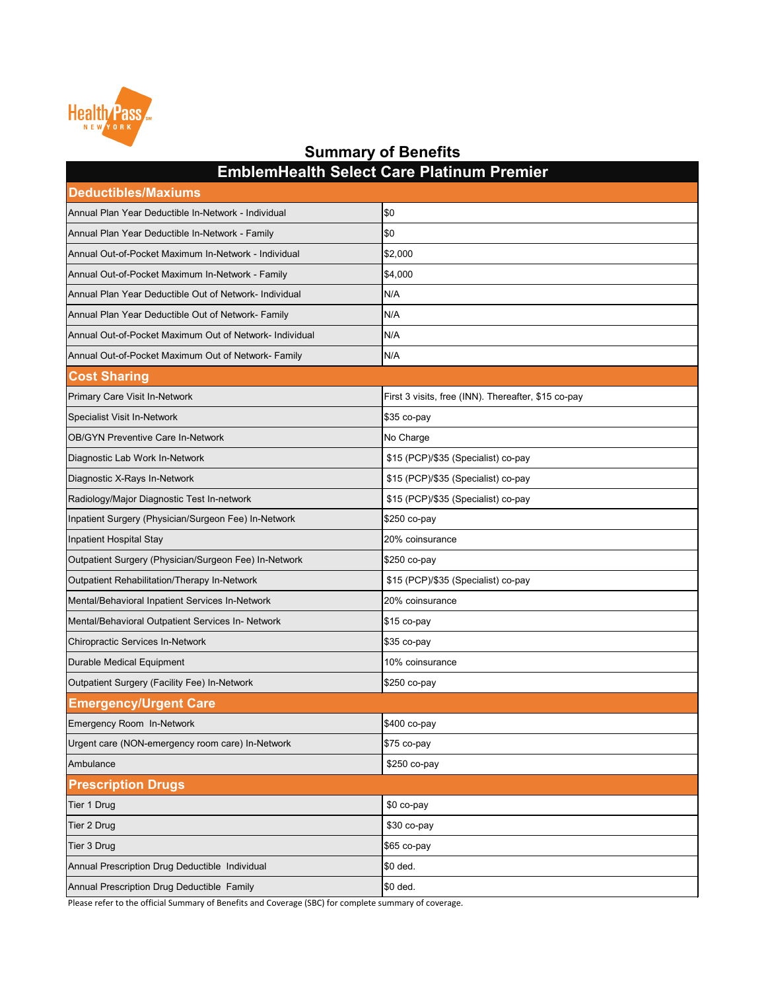| <b>Deductibles/Maxiums</b>                              |                                                     |
|---------------------------------------------------------|-----------------------------------------------------|
| Annual Plan Year Deductible In-Network - Individual     | \$0                                                 |
| Annual Plan Year Deductible In-Network - Family         | \$0                                                 |
| Annual Out-of-Pocket Maximum In-Network - Individual    | \$2,000                                             |
| Annual Out-of-Pocket Maximum In-Network - Family        | \$4,000                                             |
| Annual Plan Year Deductible Out of Network- Individual  | N/A                                                 |
| Annual Plan Year Deductible Out of Network- Family      | N/A                                                 |
| Annual Out-of-Pocket Maximum Out of Network- Individual | N/A                                                 |
| Annual Out-of-Pocket Maximum Out of Network- Family     | N/A                                                 |
| <b>Cost Sharing</b>                                     |                                                     |
| Primary Care Visit In-Network                           | First 3 visits, free (INN). Thereafter, \$15 co-pay |
| Specialist Visit In-Network                             | $$35$ co-pay                                        |
| <b>OB/GYN Preventive Care In-Network</b>                | No Charge                                           |
| Diagnostic Lab Work In-Network                          | \$15 (PCP)/\$35 (Specialist) co-pay                 |
| Diagnostic X-Rays In-Network                            | \$15 (PCP)/\$35 (Specialist) co-pay                 |
| Radiology/Major Diagnostic Test In-network              | \$15 (PCP)/\$35 (Specialist) co-pay                 |
| Inpatient Surgery (Physician/Surgeon Fee) In-Network    | \$250 co-pay                                        |
| Inpatient Hospital Stay                                 | 20% coinsurance                                     |
| Outpatient Surgery (Physician/Surgeon Fee) In-Network   | \$250 co-pay                                        |
| Outpatient Rehabilitation/Therapy In-Network            | \$15 (PCP)/\$35 (Specialist) co-pay                 |
| Mental/Behavioral Inpatient Services In-Network         | 20% coinsurance                                     |
| Mental/Behavioral Outpatient Services In- Network       | $$15$ co-pay                                        |
| Chiropractic Services In-Network                        | $$35$ co-pay                                        |
| Durable Medical Equipment                               | 10% coinsurance                                     |
| Outpatient Surgery (Facility Fee) In-Network            | \$250 co-pay                                        |
| <b>Emergency/Urgent Care</b>                            |                                                     |
| Emergency Room In-Network                               | \$400 co-pay                                        |
| Urgent care (NON-emergency room care) In-Network        | \$75 co-pay                                         |
| Ambulance                                               | $$250$ co-pay                                       |
| <b>Prescription Drugs</b>                               |                                                     |
| Tier 1 Drug                                             | \$0 co-pay                                          |
| Tier 2 Drug                                             | \$30 co-pay                                         |
| Tier 3 Drug                                             | $$65$ co-pay                                        |
| Annual Prescription Drug Deductible Individual          | \$0 ded.                                            |
| Annual Prescription Drug Deductible Family              | \$0 ded.                                            |



**EmblemHealth Select Care Platinum Premier**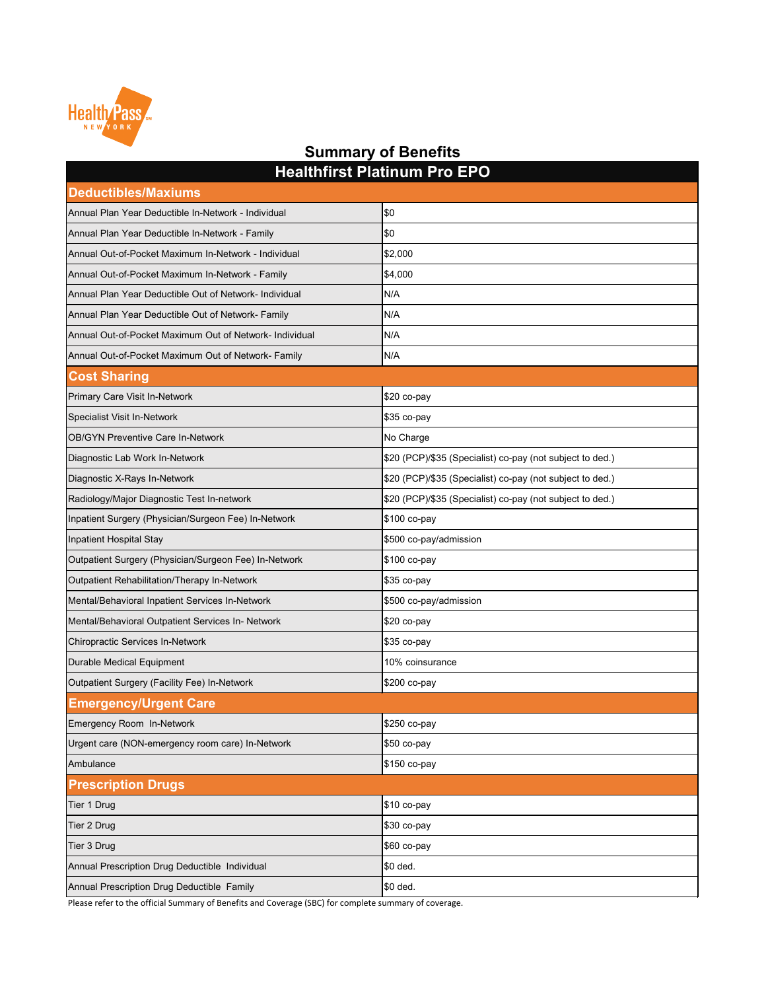**Deductibles/Maxiums** Annual Plan Year Deductible In-Network - Individual **Annual Plan Year Deductible In-Network** - Individual Annual Plan Year Deductible In-Network - Family **\$0** Annual Out-of-Pocket Maximum In-Network - Individual \$2,000 Annual Out-of-Pocket Maximum In-Network - Family  $|4,000|$ Annual Plan Year Deductible Out of Network- Individual N/A Annual Plan Year Deductible Out of Network- Family N/A Annual Out-of-Pocket Maximum Out of Network- Individual N/A Annual Out-of-Pocket Maximum Out of Network- Family N/A **Cost Sharing** Primary Care Visit In-Network \$20 co-pay Specialist Visit In-Network \$35 co-pay OB/GYN Preventive Care In-Network No Charge No Charge No Charge Diagnostic Lab Work In-Network **\$20 (PCP)/\$35** (Specialist) co-pay (not subject to ded.) Diagnostic X-Rays In-Network  $\vert$ \$20 (PCP)/\$35 (Specialist) co-pay (not subject to ded.) Radiology/Major Diagnostic Test In-network  $|$20 (PCP)/$35 (Specialist) co-pay (not subject to ded.)$ Inpatient Surgery (Physician/Surgeon Fee) In-Network  $\vert$ \$100 co-pay Inpatient Hospital Stay \$500 co-pay/admission Outpatient Surgery (Physician/Surgeon Fee) In-Network  $\vert$ \$100 co-pay Outpatient Rehabilitation/Therapy In-Network  $\vert$ \$35 co-pay Mental/Behavioral Inpatient Services In-Network **\$500 co-pay/admission** Mental/Behavioral Outpatient Services In- Network \$20 co-pay Chiropractic Services In-Network \$35 co-pay Durable Medical Equipment 10% coinsurance Outpatient Surgery (Facility Fee) In-Network  $\vert$ \$200 co-pay **Emergency/Urgent Care** Emergency Room In-Network \$250 co-pay **Healthfirst Platinum Pro EPO**

| <b>Prescription Drugs</b>                      |                 |
|------------------------------------------------|-----------------|
| Tier 1 Drug                                    | $ $10 co-pay$   |
| Tier 2 Drug                                    | $ $ \$30 co-pay |
| Tier 3 Drug                                    | $ $60 co-pay$   |
| Annual Prescription Drug Deductible Individual | \$0 ded.        |
| Annual Prescription Drug Deductible Family     | \$0 ded.        |



## **Summary of Benefits**

Please refer to the official Summary of Benefits and Coverage (SBC) for complete summary of coverage.

Urgent care (NON-emergency room care) In-Network **\$50 co-pay** 

Ambulance **1999** September 2008 September 2008 September 2008 September 2008 September 2008 September 2009 Septemb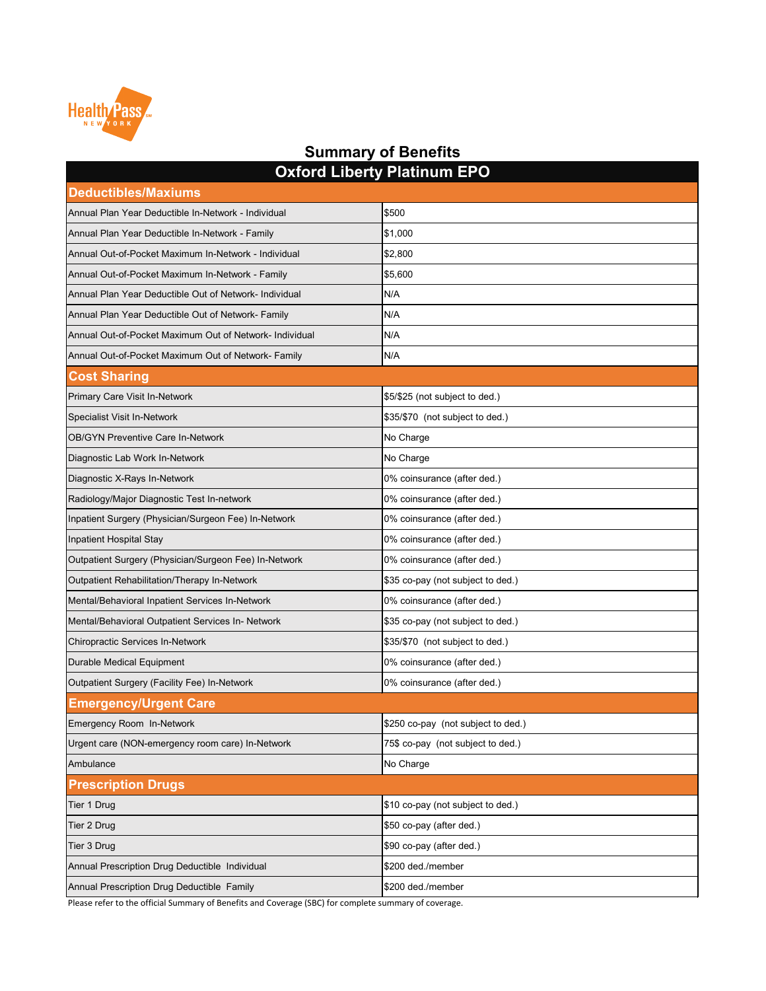| <b>Oxford Liberty Platinum EPO</b>                      |                                    |  |
|---------------------------------------------------------|------------------------------------|--|
| <b>Deductibles/Maxiums</b>                              |                                    |  |
| Annual Plan Year Deductible In-Network - Individual     | \$500                              |  |
| Annual Plan Year Deductible In-Network - Family         | \$1,000                            |  |
| Annual Out-of-Pocket Maximum In-Network - Individual    | \$2,800                            |  |
| Annual Out-of-Pocket Maximum In-Network - Family        | \$5,600                            |  |
| Annual Plan Year Deductible Out of Network- Individual  | N/A                                |  |
| Annual Plan Year Deductible Out of Network- Family      | N/A                                |  |
| Annual Out-of-Pocket Maximum Out of Network- Individual | N/A                                |  |
| Annual Out-of-Pocket Maximum Out of Network- Family     | N/A                                |  |
| <b>Cost Sharing</b>                                     |                                    |  |
| <b>Primary Care Visit In-Network</b>                    | \$5/\$25 (not subject to ded.)     |  |
| Specialist Visit In-Network                             | \$35/\$70 (not subject to ded.)    |  |
| <b>OB/GYN Preventive Care In-Network</b>                | No Charge                          |  |
| Diagnostic Lab Work In-Network                          | No Charge                          |  |
| Diagnostic X-Rays In-Network                            | 0% coinsurance (after ded.)        |  |
| Radiology/Major Diagnostic Test In-network              | 0% coinsurance (after ded.)        |  |
| Inpatient Surgery (Physician/Surgeon Fee) In-Network    | 0% coinsurance (after ded.)        |  |
| Inpatient Hospital Stay                                 | 0% coinsurance (after ded.)        |  |
| Outpatient Surgery (Physician/Surgeon Fee) In-Network   | 0% coinsurance (after ded.)        |  |
| Outpatient Rehabilitation/Therapy In-Network            | \$35 co-pay (not subject to ded.)  |  |
| Mental/Behavioral Inpatient Services In-Network         | 0% coinsurance (after ded.)        |  |
| Mental/Behavioral Outpatient Services In- Network       | \$35 co-pay (not subject to ded.)  |  |
| <b>Chiropractic Services In-Network</b>                 | \$35/\$70 (not subject to ded.)    |  |
| Durable Medical Equipment                               | 0% coinsurance (after ded.)        |  |
| Outpatient Surgery (Facility Fee) In-Network            | 0% coinsurance (after ded.)        |  |
| <b>Emergency/Urgent Care</b>                            |                                    |  |
| Emergency Room In-Network                               | \$250 co-pay (not subject to ded.) |  |
| Urgent care (NON-emergency room care) In-Network        | 75\$ co-pay (not subject to ded.)  |  |
| Ambulance                                               | No Charge                          |  |
| <b>Prescription Drugs</b>                               |                                    |  |
| Tier 1 Drug                                             | \$10 co-pay (not subject to ded.)  |  |
| Tier 2 Drug                                             | \$50 co-pay (after ded.)           |  |
| Tier 3 Drug                                             | \$90 co-pay (after ded.)           |  |
| Annual Prescription Drug Deductible Individual          | \$200 ded./member                  |  |
| Annual Prescription Drug Deductible Family              | \$200 ded./member                  |  |
|                                                         |                                    |  |

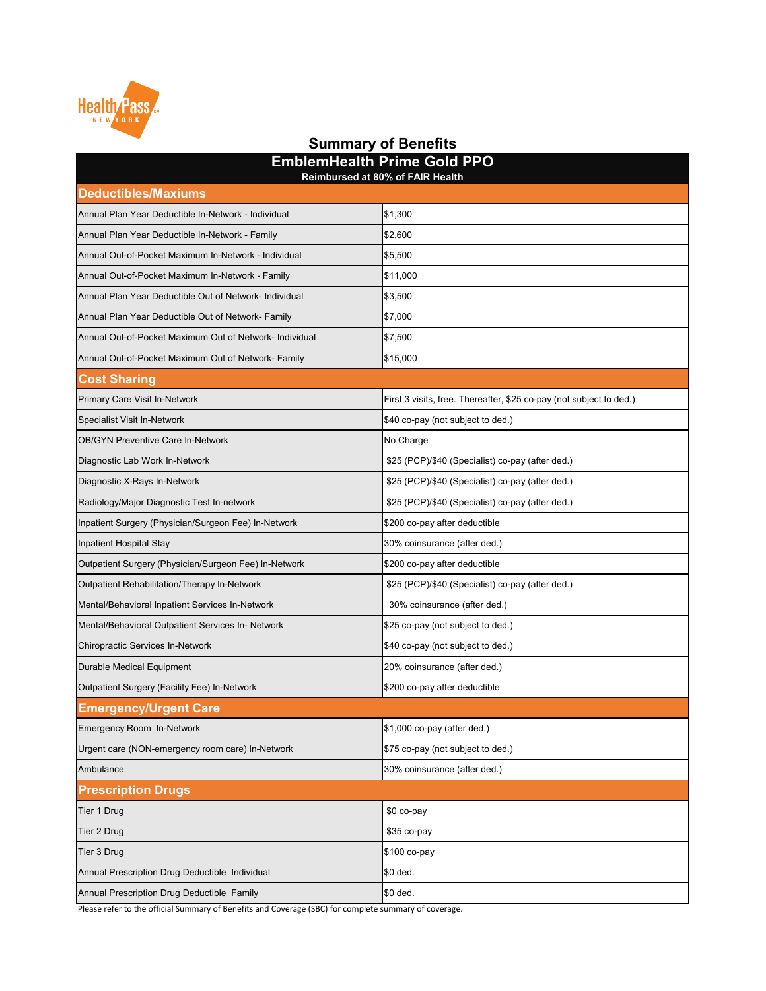| Reimbursed at 80% of FAIR Health                        |                                                                     |  |
|---------------------------------------------------------|---------------------------------------------------------------------|--|
| <b>Deductibles/Maxiums</b>                              |                                                                     |  |
| Annual Plan Year Deductible In-Network - Individual     | \$1,300                                                             |  |
| Annual Plan Year Deductible In-Network - Family         | \$2,600                                                             |  |
| Annual Out-of-Pocket Maximum In-Network - Individual    | \$5,500                                                             |  |
| Annual Out-of-Pocket Maximum In-Network - Family        | \$11,000                                                            |  |
| Annual Plan Year Deductible Out of Network- Individual  | \$3,500                                                             |  |
| Annual Plan Year Deductible Out of Network- Family      | \$7,000                                                             |  |
| Annual Out-of-Pocket Maximum Out of Network- Individual | \$7,500                                                             |  |
| Annual Out-of-Pocket Maximum Out of Network- Family     | \$15,000                                                            |  |
| <b>Cost Sharing</b>                                     |                                                                     |  |
| <b>Primary Care Visit In-Network</b>                    | First 3 visits, free. Thereafter, \$25 co-pay (not subject to ded.) |  |
| <b>Specialist Visit In-Network</b>                      | \$40 co-pay (not subject to ded.)                                   |  |
| <b>OB/GYN Preventive Care In-Network</b>                | No Charge                                                           |  |
| Diagnostic Lab Work In-Network                          | \$25 (PCP)/\$40 (Specialist) co-pay (after ded.)                    |  |
| Diagnostic X-Rays In-Network                            | \$25 (PCP)/\$40 (Specialist) co-pay (after ded.)                    |  |
| Radiology/Major Diagnostic Test In-network              | \$25 (PCP)/\$40 (Specialist) co-pay (after ded.)                    |  |
| Inpatient Surgery (Physician/Surgeon Fee) In-Network    | \$200 co-pay after deductible                                       |  |
| Inpatient Hospital Stay                                 | 30% coinsurance (after ded.)                                        |  |
| Outpatient Surgery (Physician/Surgeon Fee) In-Network   | \$200 co-pay after deductible                                       |  |
| Outpatient Rehabilitation/Therapy In-Network            | \$25 (PCP)/\$40 (Specialist) co-pay (after ded.)                    |  |
| Mental/Behavioral Inpatient Services In-Network         | 30% coinsurance (after ded.)                                        |  |
| Mental/Behavioral Outpatient Services In- Network       | \$25 co-pay (not subject to ded.)                                   |  |
| <b>Chiropractic Services In-Network</b>                 | \$40 co-pay (not subject to ded.)                                   |  |
| Durable Medical Equipment                               | 20% coinsurance (after ded.)                                        |  |
| Outpatient Surgery (Facility Fee) In-Network            | \$200 co-pay after deductible                                       |  |
| <b>Emergency/Urgent Care</b>                            |                                                                     |  |
| Emergency Room In-Network                               | $$1,000$ co-pay (after ded.)                                        |  |

| Urgent care (NON-emergency room care) In-Network | \$75 co-pay (not subject to ded.) |
|--------------------------------------------------|-----------------------------------|
| Ambulance                                        | 30% coinsurance (after ded.)      |
| <b>Prescription Drugs</b>                        |                                   |
| Tier 1 Drug                                      | \$0 co-pay                        |
| Tier 2 Drug                                      | $$35$ co-pay                      |
| Tier 3 Drug                                      | \$100 co-pay                      |
| Annual Prescription Drug Deductible Individual   | <b>SO</b> ded.                    |
| Annual Prescription Drug Deductible Family       | \$0 ded.                          |



### **Summary of Benefits EmblemHealth Prime Gold PPO**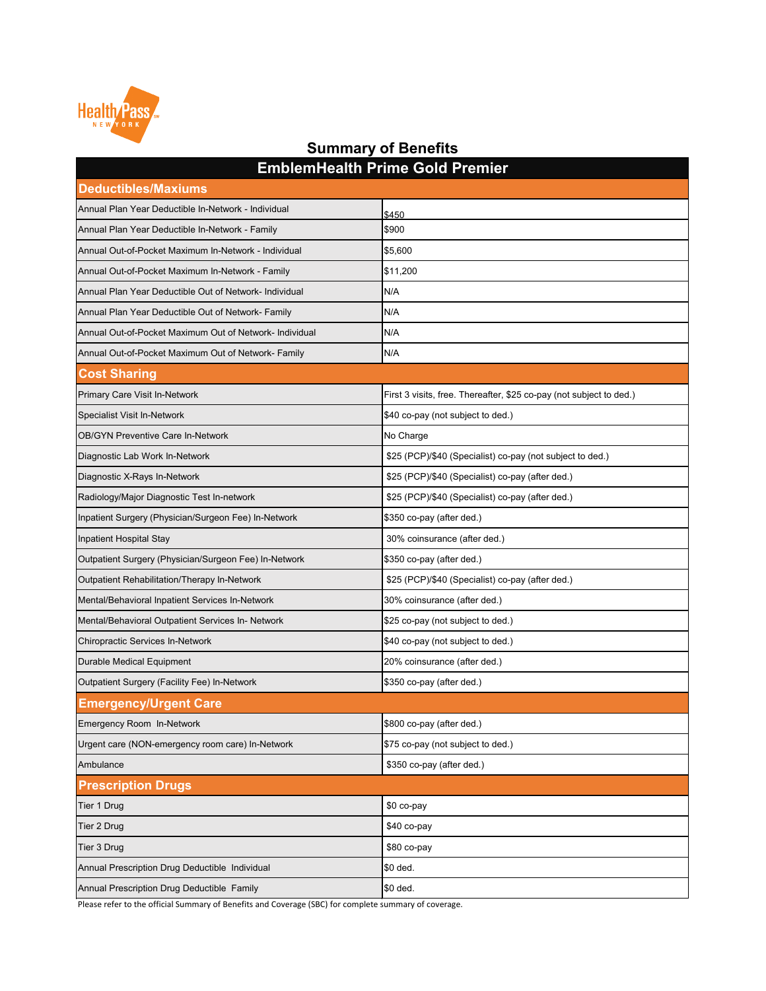| <b>Deductibles/Maxiums</b>                              |                                                                     |
|---------------------------------------------------------|---------------------------------------------------------------------|
| Annual Plan Year Deductible In-Network - Individual     | \$450                                                               |
| Annual Plan Year Deductible In-Network - Family         | \$900                                                               |
| Annual Out-of-Pocket Maximum In-Network - Individual    | \$5,600                                                             |
| Annual Out-of-Pocket Maximum In-Network - Family        | \$11,200                                                            |
| Annual Plan Year Deductible Out of Network- Individual  | N/A                                                                 |
| Annual Plan Year Deductible Out of Network- Family      | N/A                                                                 |
| Annual Out-of-Pocket Maximum Out of Network- Individual | N/A                                                                 |
| Annual Out-of-Pocket Maximum Out of Network- Family     | N/A                                                                 |
| <b>Cost Sharing</b>                                     |                                                                     |
| <b>Primary Care Visit In-Network</b>                    | First 3 visits, free. Thereafter, \$25 co-pay (not subject to ded.) |
| <b>Specialist Visit In-Network</b>                      | \$40 co-pay (not subject to ded.)                                   |
| <b>OB/GYN Preventive Care In-Network</b>                | No Charge                                                           |
| Diagnostic Lab Work In-Network                          | \$25 (PCP)/\$40 (Specialist) co-pay (not subject to ded.)           |
| Diagnostic X-Rays In-Network                            | \$25 (PCP)/\$40 (Specialist) co-pay (after ded.)                    |
| Radiology/Major Diagnostic Test In-network              | \$25 (PCP)/\$40 (Specialist) co-pay (after ded.)                    |
| Inpatient Surgery (Physician/Surgeon Fee) In-Network    | \$350 co-pay (after ded.)                                           |
| Inpatient Hospital Stay                                 | 30% coinsurance (after ded.)                                        |
| Outpatient Surgery (Physician/Surgeon Fee) In-Network   | \$350 co-pay (after ded.)                                           |
| <b>Outpatient Rehabilitation/Therapy In-Network</b>     | \$25 (PCP)/\$40 (Specialist) co-pay (after ded.)                    |
| Mental/Behavioral Inpatient Services In-Network         | 30% coinsurance (after ded.)                                        |
| Mental/Behavioral Outpatient Services In- Network       | \$25 co-pay (not subject to ded.)                                   |
| <b>Chiropractic Services In-Network</b>                 | \$40 co-pay (not subject to ded.)                                   |
| <b>Durable Medical Equipment</b>                        | 20% coinsurance (after ded.)                                        |
| <b>Outpatient Surgery (Facility Fee) In-Network</b>     | \$350 co-pay (after ded.)                                           |
| <b>Emergency/Urgent Care</b>                            |                                                                     |
| <b>Emergency Room In-Network</b>                        | \$800 co-pay (after ded.)                                           |
| Urgent care (NON-emergency room care) In-Network        | \$75 co-pay (not subject to ded.)                                   |
| Ambulance                                               | \$350 co-pay (after ded.)                                           |
| <b>Prescription Drugs</b>                               |                                                                     |
| Tier 1 Drug                                             | \$0 co-pay                                                          |
| Tier 2 Drug                                             | \$40 co-pay                                                         |
| Tier 3 Drug                                             | \$80 co-pay                                                         |
| Annual Prescription Drug Deductible Individual          | \$0 ded.                                                            |
| Annual Prescription Drug Deductible Family              | \$0 ded.                                                            |



#### **EmblemHealth Prime Gold Premier Summary of Benefits**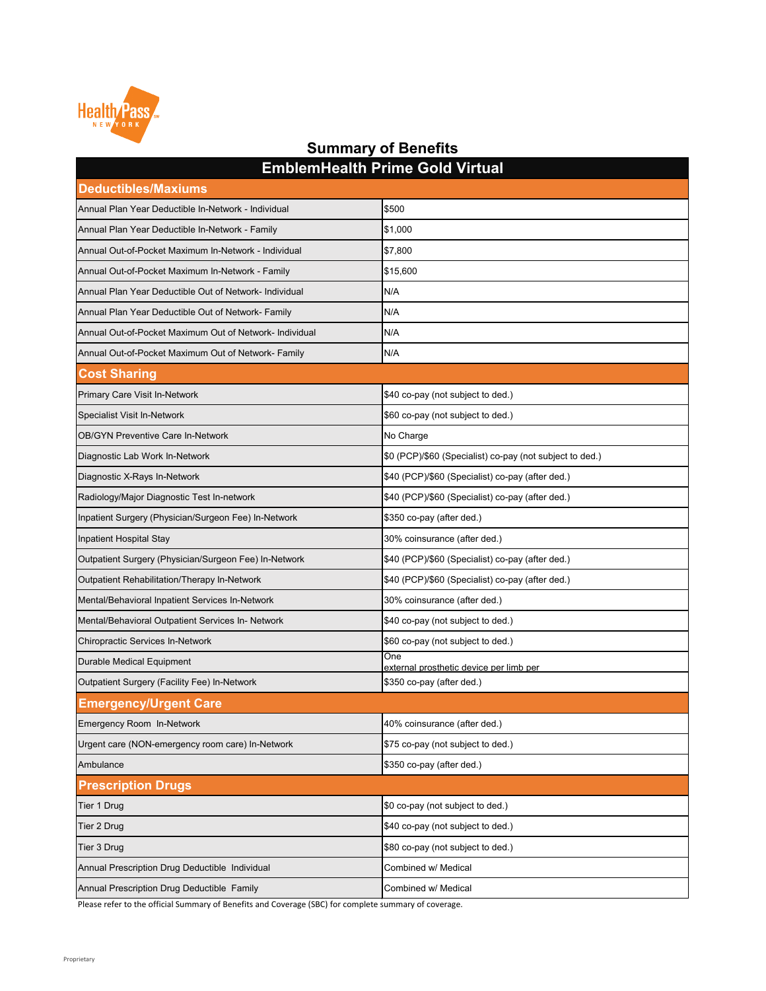| <b>Deductibles/Maxiums</b>                              |                                                          |
|---------------------------------------------------------|----------------------------------------------------------|
| Annual Plan Year Deductible In-Network - Individual     | \$500                                                    |
| Annual Plan Year Deductible In-Network - Family         | \$1,000                                                  |
| Annual Out-of-Pocket Maximum In-Network - Individual    | \$7,800                                                  |
| Annual Out-of-Pocket Maximum In-Network - Family        | \$15,600                                                 |
| Annual Plan Year Deductible Out of Network- Individual  | N/A                                                      |
| Annual Plan Year Deductible Out of Network- Family      | N/A                                                      |
| Annual Out-of-Pocket Maximum Out of Network- Individual | N/A                                                      |
| Annual Out-of-Pocket Maximum Out of Network- Family     | N/A                                                      |
| <b>Cost Sharing</b>                                     |                                                          |
| <b>Primary Care Visit In-Network</b>                    | \$40 co-pay (not subject to ded.)                        |
| <b>Specialist Visit In-Network</b>                      | \$60 co-pay (not subject to ded.)                        |
| <b>OB/GYN Preventive Care In-Network</b>                | No Charge                                                |
| Diagnostic Lab Work In-Network                          | \$0 (PCP)/\$60 (Specialist) co-pay (not subject to ded.) |
| Diagnostic X-Rays In-Network                            | \$40 (PCP)/\$60 (Specialist) co-pay (after ded.)         |
| Radiology/Major Diagnostic Test In-network              | \$40 (PCP)/\$60 (Specialist) co-pay (after ded.)         |
| Inpatient Surgery (Physician/Surgeon Fee) In-Network    | \$350 co-pay (after ded.)                                |
| Inpatient Hospital Stay                                 | 30% coinsurance (after ded.)                             |
| Outpatient Surgery (Physician/Surgeon Fee) In-Network   | \$40 (PCP)/\$60 (Specialist) co-pay (after ded.)         |
| Outpatient Rehabilitation/Therapy In-Network            | \$40 (PCP)/\$60 (Specialist) co-pay (after ded.)         |
| Mental/Behavioral Inpatient Services In-Network         | 30% coinsurance (after ded.)                             |
| Mental/Behavioral Outpatient Services In- Network       | \$40 co-pay (not subject to ded.)                        |
| <b>Chiropractic Services In-Network</b>                 | \$60 co-pay (not subject to ded.)                        |
| <b>Durable Medical Equipment</b>                        | One<br>external prosthetic device per limb per           |
| <b>Outpatient Surgery (Facility Fee) In-Network</b>     | \$350 co-pay (after ded.)                                |
| <b>Emergency/Urgent Care</b>                            |                                                          |
| <b>Emergency Room In-Network</b>                        | 40% coinsurance (after ded.)                             |
| Urgent care (NON-emergency room care) In-Network        | \$75 co-pay (not subject to ded.)                        |
| Ambulance                                               | \$350 co-pay (after ded.)                                |
| <b>Prescription Drugs</b>                               |                                                          |
| Tier 1 Drug                                             | \$0 co-pay (not subject to ded.)                         |
| Tier 2 Drug                                             | \$40 co-pay (not subject to ded.)                        |
| Tier 3 Drug                                             | \$80 co-pay (not subject to ded.)                        |
| Annual Prescription Drug Deductible Individual          | Combined w/ Medical                                      |
| Annual Prescription Drug Deductible Family              | Combined w/ Medical                                      |



### **Summary of Benefits EmblemHealth Prime Gold Virtual**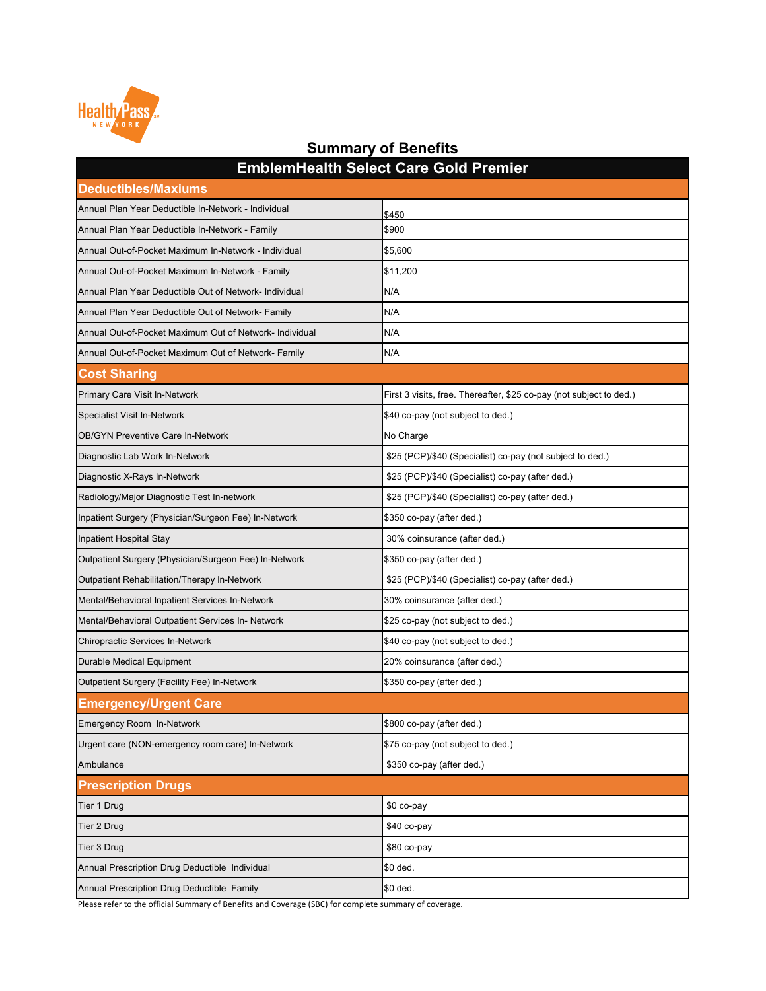| <b>Deductibles/Maxiums</b>                              |                                                                     |
|---------------------------------------------------------|---------------------------------------------------------------------|
| Annual Plan Year Deductible In-Network - Individual     | \$450                                                               |
| Annual Plan Year Deductible In-Network - Family         | \$900                                                               |
| Annual Out-of-Pocket Maximum In-Network - Individual    | \$5,600                                                             |
| Annual Out-of-Pocket Maximum In-Network - Family        | \$11,200                                                            |
| Annual Plan Year Deductible Out of Network- Individual  | N/A                                                                 |
| Annual Plan Year Deductible Out of Network- Family      | N/A                                                                 |
| Annual Out-of-Pocket Maximum Out of Network- Individual | N/A                                                                 |
| Annual Out-of-Pocket Maximum Out of Network- Family     | N/A                                                                 |
| <b>Cost Sharing</b>                                     |                                                                     |
| <b>Primary Care Visit In-Network</b>                    | First 3 visits, free. Thereafter, \$25 co-pay (not subject to ded.) |
| <b>Specialist Visit In-Network</b>                      | \$40 co-pay (not subject to ded.)                                   |
| <b>OB/GYN Preventive Care In-Network</b>                | No Charge                                                           |
| Diagnostic Lab Work In-Network                          | \$25 (PCP)/\$40 (Specialist) co-pay (not subject to ded.)           |
| Diagnostic X-Rays In-Network                            | \$25 (PCP)/\$40 (Specialist) co-pay (after ded.)                    |
| Radiology/Major Diagnostic Test In-network              | \$25 (PCP)/\$40 (Specialist) co-pay (after ded.)                    |
| Inpatient Surgery (Physician/Surgeon Fee) In-Network    | \$350 co-pay (after ded.)                                           |
| Inpatient Hospital Stay                                 | 30% coinsurance (after ded.)                                        |
| Outpatient Surgery (Physician/Surgeon Fee) In-Network   | \$350 co-pay (after ded.)                                           |
| <b>Outpatient Rehabilitation/Therapy In-Network</b>     | \$25 (PCP)/\$40 (Specialist) co-pay (after ded.)                    |
| Mental/Behavioral Inpatient Services In-Network         | 30% coinsurance (after ded.)                                        |
| Mental/Behavioral Outpatient Services In- Network       | \$25 co-pay (not subject to ded.)                                   |
| <b>Chiropractic Services In-Network</b>                 | \$40 co-pay (not subject to ded.)                                   |
| <b>Durable Medical Equipment</b>                        | 20% coinsurance (after ded.)                                        |
| <b>Outpatient Surgery (Facility Fee) In-Network</b>     | \$350 co-pay (after ded.)                                           |
| <b>Emergency/Urgent Care</b>                            |                                                                     |
| <b>Emergency Room In-Network</b>                        | \$800 co-pay (after ded.)                                           |
| Urgent care (NON-emergency room care) In-Network        | \$75 co-pay (not subject to ded.)                                   |
| Ambulance                                               | \$350 co-pay (after ded.)                                           |
| <b>Prescription Drugs</b>                               |                                                                     |
| Tier 1 Drug                                             | \$0 co-pay                                                          |
| Tier 2 Drug                                             | \$40 co-pay                                                         |
| Tier 3 Drug                                             | \$80 co-pay                                                         |
| Annual Prescription Drug Deductible Individual          | \$0 ded.                                                            |
| Annual Prescription Drug Deductible Family              | \$0 ded.                                                            |



### **Summary of Benefits EmblemHealth Select Care Gold Premier**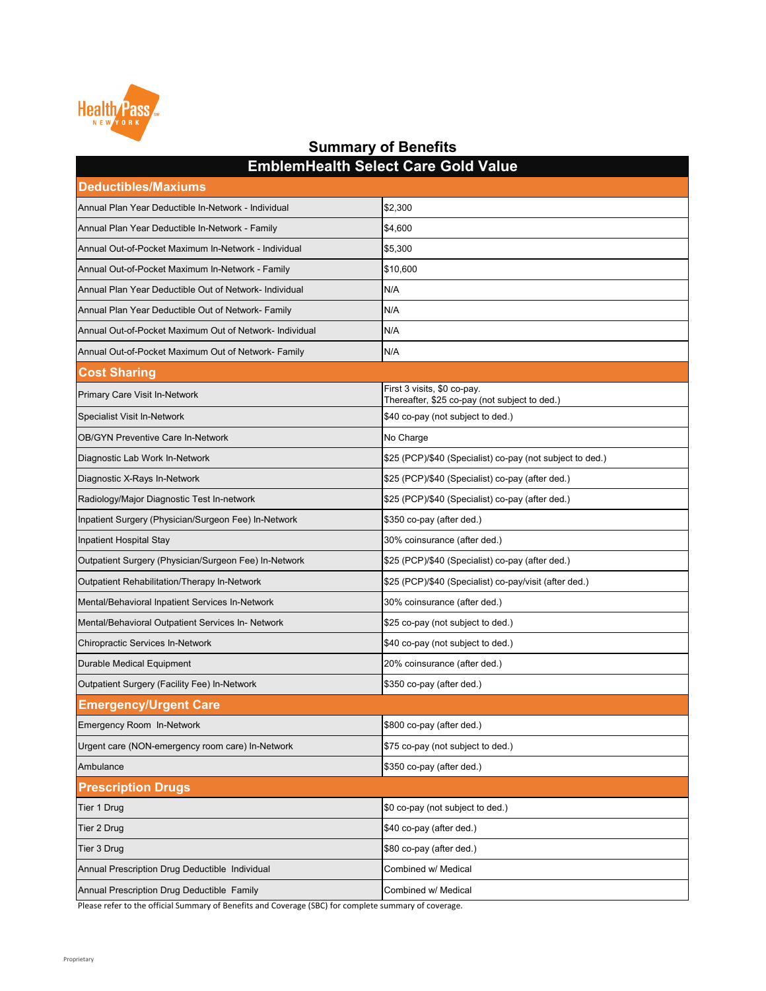| <b>Deductibles/Maxiums</b>                              | EIIINICIIII ICAILII OCICCL OAI C OOIU VAIUC                                  |
|---------------------------------------------------------|------------------------------------------------------------------------------|
| Annual Plan Year Deductible In-Network - Individual     | \$2,300                                                                      |
| Annual Plan Year Deductible In-Network - Family         | \$4,600                                                                      |
| Annual Out-of-Pocket Maximum In-Network - Individual    | \$5,300                                                                      |
| Annual Out-of-Pocket Maximum In-Network - Family        | \$10,600                                                                     |
| Annual Plan Year Deductible Out of Network- Individual  | N/A                                                                          |
| Annual Plan Year Deductible Out of Network- Family      | N/A                                                                          |
| Annual Out-of-Pocket Maximum Out of Network- Individual | N/A                                                                          |
| Annual Out-of-Pocket Maximum Out of Network- Family     | N/A                                                                          |
| <b>Cost Sharing</b>                                     |                                                                              |
| <b>Primary Care Visit In-Network</b>                    | First 3 visits, \$0 co-pay.<br>Thereafter, \$25 co-pay (not subject to ded.) |
| <b>Specialist Visit In-Network</b>                      | \$40 co-pay (not subject to ded.)                                            |
| <b>OB/GYN Preventive Care In-Network</b>                | No Charge                                                                    |
| Diagnostic Lab Work In-Network                          | \$25 (PCP)/\$40 (Specialist) co-pay (not subject to ded.)                    |
| Diagnostic X-Rays In-Network                            | \$25 (PCP)/\$40 (Specialist) co-pay (after ded.)                             |
| Radiology/Major Diagnostic Test In-network              | \$25 (PCP)/\$40 (Specialist) co-pay (after ded.)                             |
| Inpatient Surgery (Physician/Surgeon Fee) In-Network    | \$350 co-pay (after ded.)                                                    |
| Inpatient Hospital Stay                                 | 30% coinsurance (after ded.)                                                 |
| Outpatient Surgery (Physician/Surgeon Fee) In-Network   | \$25 (PCP)/\$40 (Specialist) co-pay (after ded.)                             |
| Outpatient Rehabilitation/Therapy In-Network            | \$25 (PCP)/\$40 (Specialist) co-pay/visit (after ded.)                       |
| Mental/Behavioral Inpatient Services In-Network         | 30% coinsurance (after ded.)                                                 |
| Mental/Behavioral Outpatient Services In- Network       | \$25 co-pay (not subject to ded.)                                            |
| Chiropractic Services In-Network                        | \$40 co-pay (not subject to ded.)                                            |
| Durable Medical Equipment                               | 20% coinsurance (after ded.)                                                 |
| Outpatient Surgery (Facility Fee) In-Network            | \$350 co-pay (after ded.)                                                    |
| <b>Emergency/Urgent Care</b>                            |                                                                              |
| Emergency Room In-Network                               | \$800 co-pay (after ded.)                                                    |
| Urgent care (NON-emergency room care) In-Network        | \$75 co-pay (not subject to ded.)                                            |
| Ambulance                                               | \$350 co-pay (after ded.)                                                    |
| <b>Prescription Drugs</b>                               |                                                                              |
| Tier 1 Drug                                             | \$0 co-pay (not subject to ded.)                                             |
| Tier 2 Drug                                             | \$40 co-pay (after ded.)                                                     |
| Tier 3 Drug                                             | \$80 co-pay (after ded.)                                                     |
| Annual Prescription Drug Deductible Individual          | Combined w/ Medical                                                          |
| Annual Prescription Drug Deductible Family              | Combined w/ Medical                                                          |

**EmblemHealth Select Care Gold Value**

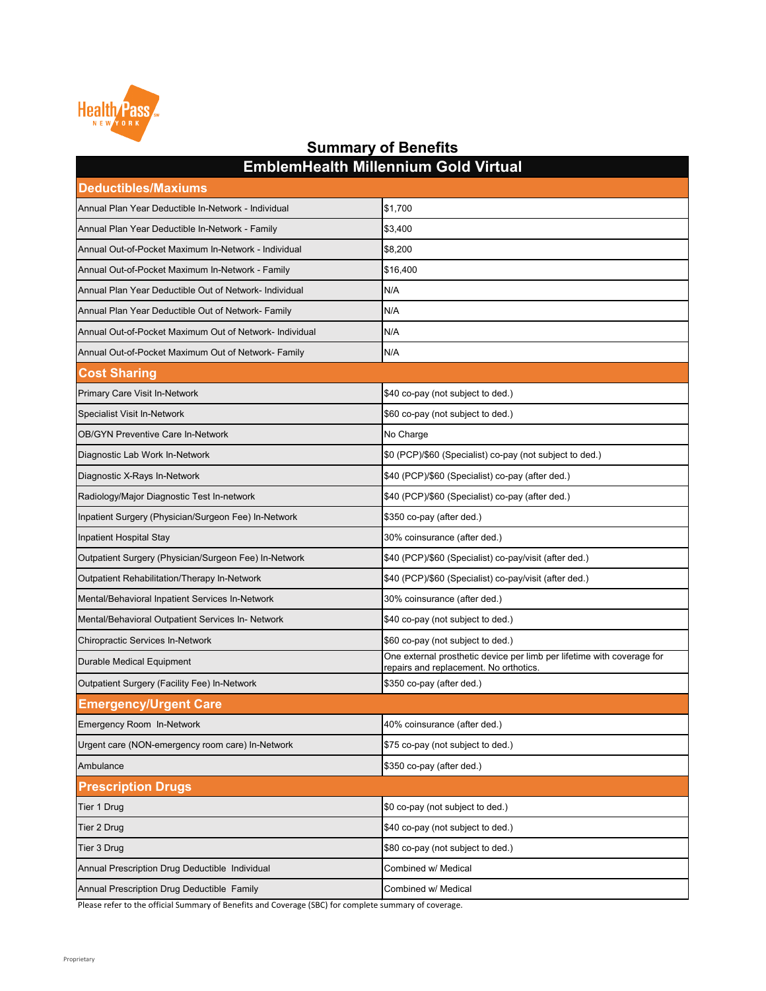| EIIINIVIIII IVAILII IIIIIIVIIIIIUIII VUU VII LUUI<br><b>Deductibles/Maxiums</b> |                                                                                                                  |  |
|---------------------------------------------------------------------------------|------------------------------------------------------------------------------------------------------------------|--|
| Annual Plan Year Deductible In-Network - Individual                             | \$1,700                                                                                                          |  |
| Annual Plan Year Deductible In-Network - Family                                 | \$3,400                                                                                                          |  |
| Annual Out-of-Pocket Maximum In-Network - Individual                            | \$8,200                                                                                                          |  |
| Annual Out-of-Pocket Maximum In-Network - Family                                | \$16,400                                                                                                         |  |
| Annual Plan Year Deductible Out of Network- Individual                          | N/A                                                                                                              |  |
| Annual Plan Year Deductible Out of Network- Family                              | N/A                                                                                                              |  |
| Annual Out-of-Pocket Maximum Out of Network- Individual                         | N/A                                                                                                              |  |
| Annual Out-of-Pocket Maximum Out of Network- Family                             | N/A                                                                                                              |  |
| <b>Cost Sharing</b>                                                             |                                                                                                                  |  |
| <b>Primary Care Visit In-Network</b>                                            | \$40 co-pay (not subject to ded.)                                                                                |  |
| <b>Specialist Visit In-Network</b>                                              | \$60 co-pay (not subject to ded.)                                                                                |  |
| <b>OB/GYN Preventive Care In-Network</b>                                        | No Charge                                                                                                        |  |
| Diagnostic Lab Work In-Network                                                  | \$0 (PCP)/\$60 (Specialist) co-pay (not subject to ded.)                                                         |  |
| Diagnostic X-Rays In-Network                                                    | \$40 (PCP)/\$60 (Specialist) co-pay (after ded.)                                                                 |  |
| Radiology/Major Diagnostic Test In-network                                      | \$40 (PCP)/\$60 (Specialist) co-pay (after ded.)                                                                 |  |
| Inpatient Surgery (Physician/Surgeon Fee) In-Network                            | \$350 co-pay (after ded.)                                                                                        |  |
| Inpatient Hospital Stay                                                         | 30% coinsurance (after ded.)                                                                                     |  |
| Outpatient Surgery (Physician/Surgeon Fee) In-Network                           | \$40 (PCP)/\$60 (Specialist) co-pay/visit (after ded.)                                                           |  |
| <b>Outpatient Rehabilitation/Therapy In-Network</b>                             | \$40 (PCP)/\$60 (Specialist) co-pay/visit (after ded.)                                                           |  |
| Mental/Behavioral Inpatient Services In-Network                                 | 30% coinsurance (after ded.)                                                                                     |  |
| Mental/Behavioral Outpatient Services In- Network                               | \$40 co-pay (not subject to ded.)                                                                                |  |
| <b>Chiropractic Services In-Network</b>                                         | \$60 co-pay (not subject to ded.)                                                                                |  |
| <b>Durable Medical Equipment</b>                                                | One external prosthetic device per limb per lifetime with coverage for<br>repairs and replacement. No orthotics. |  |
| <b>Outpatient Surgery (Facility Fee) In-Network</b>                             | \$350 co-pay (after ded.)                                                                                        |  |
| <b>Emergency/Urgent Care</b>                                                    |                                                                                                                  |  |
| <b>Emergency Room In-Network</b>                                                | 40% coinsurance (after ded.)                                                                                     |  |
| Urgent care (NON-emergency room care) In-Network                                | \$75 co-pay (not subject to ded.)                                                                                |  |
| Ambulance                                                                       | \$350 co-pay (after ded.)                                                                                        |  |
| <b>Prescription Drugs</b>                                                       |                                                                                                                  |  |
| Tier 1 Drug                                                                     | \$0 co-pay (not subject to ded.)                                                                                 |  |
| Tier 2 Drug                                                                     | \$40 co-pay (not subject to ded.)                                                                                |  |
| Tier 3 Drug                                                                     | \$80 co-pay (not subject to ded.)                                                                                |  |
| Annual Prescription Drug Deductible Individual                                  | Combined w/ Medical                                                                                              |  |
| Annual Prescription Drug Deductible Family                                      | Combined w/ Medical                                                                                              |  |

**EmblemHealth Millennium Gold Virtual**

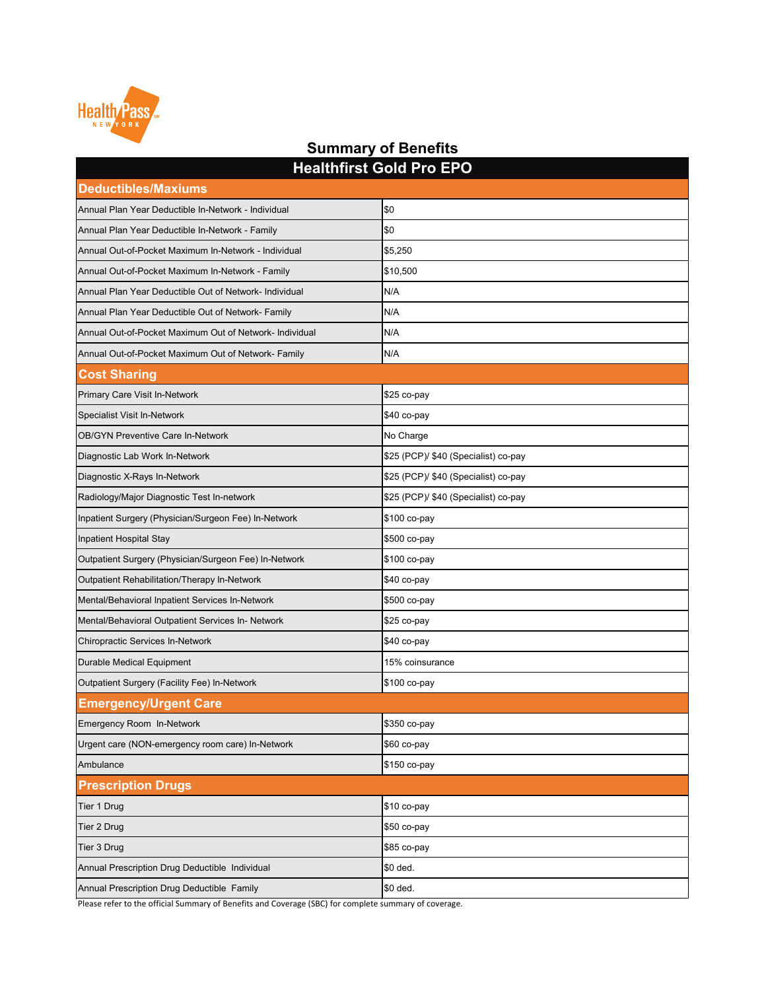| <b>Healthfirst Gold Pro EPO</b>                         |                                      |  |
|---------------------------------------------------------|--------------------------------------|--|
| <b>Deductibles/Maxiums</b>                              |                                      |  |
| Annual Plan Year Deductible In-Network - Individual     | \$0                                  |  |
| Annual Plan Year Deductible In-Network - Family         | \$0                                  |  |
| Annual Out-of-Pocket Maximum In-Network - Individual    | \$5,250                              |  |
| Annual Out-of-Pocket Maximum In-Network - Family        | \$10,500                             |  |
| Annual Plan Year Deductible Out of Network- Individual  | N/A                                  |  |
| Annual Plan Year Deductible Out of Network- Family      | N/A                                  |  |
| Annual Out-of-Pocket Maximum Out of Network- Individual | N/A                                  |  |
| Annual Out-of-Pocket Maximum Out of Network- Family     | N/A                                  |  |
| <b>Cost Sharing</b>                                     |                                      |  |
| <b>Primary Care Visit In-Network</b>                    | $$25$ co-pay                         |  |
| <b>Specialist Visit In-Network</b>                      | \$40 co-pay                          |  |
| <b>OB/GYN Preventive Care In-Network</b>                | No Charge                            |  |
| Diagnostic Lab Work In-Network                          | \$25 (PCP)/ \$40 (Specialist) co-pay |  |
| Diagnostic X-Rays In-Network                            | \$25 (PCP)/ \$40 (Specialist) co-pay |  |
| Radiology/Major Diagnostic Test In-network              | \$25 (PCP)/ \$40 (Specialist) co-pay |  |
| Inpatient Surgery (Physician/Surgeon Fee) In-Network    | \$100 co-pay                         |  |
| Inpatient Hospital Stay                                 | \$500 co-pay                         |  |
| Outpatient Surgery (Physician/Surgeon Fee) In-Network   | \$100 co-pay                         |  |
| Outpatient Rehabilitation/Therapy In-Network            | $$40$ co-pay                         |  |
| Mental/Behavioral Inpatient Services In-Network         | \$500 co-pay                         |  |
| Mental/Behavioral Outpatient Services In- Network       | \$25 co-pay                          |  |
| Chiropractic Services In-Network                        | $$40$ co-pay                         |  |
| <b>Durable Medical Equipment</b>                        | 15% coinsurance                      |  |
| Outpatient Surgery (Facility Fee) In-Network            | $$100$ co-pay                        |  |
| <b>Emergency/Urgent Care</b>                            |                                      |  |
| Emergency Room In-Network                               | \$350 co-pay                         |  |
| Urgent care (NON-emergency room care) In-Network        | $$60$ co-pay                         |  |
| Ambulance                                               | \$150 co-pay                         |  |
| <b>Prescription Drugs</b>                               |                                      |  |
| Tier 1 Drug                                             | $$10$ co-pay                         |  |
| Tier 2 Drug                                             | $$50$ co-pay                         |  |
| Tier 3 Drug                                             | \$85 co-pay                          |  |
| Annual Prescription Drug Deductible Individual          | \$0 ded.                             |  |
| Annual Prescription Drug Deductible Family              | \$0 ded.                             |  |

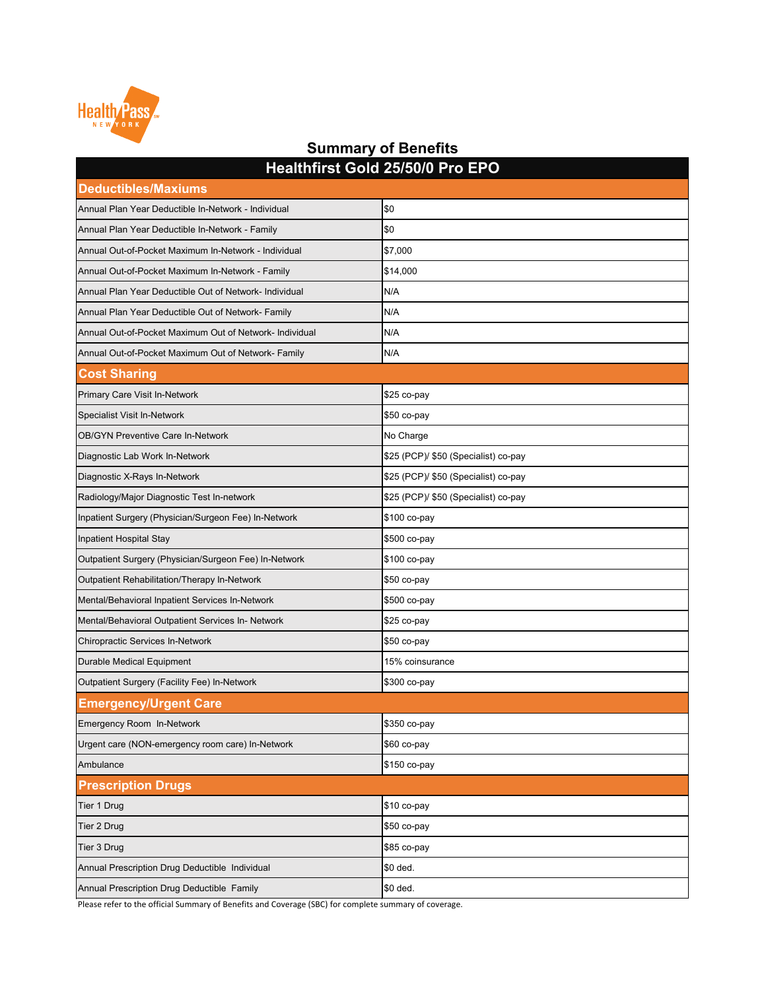| <u>Healthinst Gold Zalavid Film EPO</u>                 |                                      |  |
|---------------------------------------------------------|--------------------------------------|--|
| <b>Deductibles/Maxiums</b>                              |                                      |  |
| Annual Plan Year Deductible In-Network - Individual     | \$0                                  |  |
| Annual Plan Year Deductible In-Network - Family         | \$0                                  |  |
| Annual Out-of-Pocket Maximum In-Network - Individual    | \$7,000                              |  |
| Annual Out-of-Pocket Maximum In-Network - Family        | \$14,000                             |  |
| Annual Plan Year Deductible Out of Network- Individual  | N/A                                  |  |
| Annual Plan Year Deductible Out of Network- Family      | N/A                                  |  |
| Annual Out-of-Pocket Maximum Out of Network- Individual | N/A                                  |  |
| Annual Out-of-Pocket Maximum Out of Network- Family     | N/A                                  |  |
| <b>Cost Sharing</b>                                     |                                      |  |
| <b>Primary Care Visit In-Network</b>                    | $$25$ co-pay                         |  |
| <b>Specialist Visit In-Network</b>                      | $$50$ co-pay                         |  |
| <b>OB/GYN Preventive Care In-Network</b>                | No Charge                            |  |
| Diagnostic Lab Work In-Network                          | \$25 (PCP)/ \$50 (Specialist) co-pay |  |
| Diagnostic X-Rays In-Network                            | \$25 (PCP)/ \$50 (Specialist) co-pay |  |
| Radiology/Major Diagnostic Test In-network              | \$25 (PCP)/ \$50 (Specialist) co-pay |  |
| Inpatient Surgery (Physician/Surgeon Fee) In-Network    | \$100 co-pay                         |  |
| Inpatient Hospital Stay                                 | \$500 co-pay                         |  |
| Outpatient Surgery (Physician/Surgeon Fee) In-Network   | \$100 co-pay                         |  |
| Outpatient Rehabilitation/Therapy In-Network            | \$50 co-pay                          |  |
| Mental/Behavioral Inpatient Services In-Network         | \$500 co-pay                         |  |
| Mental/Behavioral Outpatient Services In- Network       | \$25 co-pay                          |  |
| <b>Chiropractic Services In-Network</b>                 | $$50$ co-pay                         |  |
| Durable Medical Equipment                               | 15% coinsurance                      |  |
| Outpatient Surgery (Facility Fee) In-Network            | \$300 co-pay                         |  |
| <b>Emergency/Urgent Care</b>                            |                                      |  |
| Emergency Room In-Network                               | \$350 co-pay                         |  |
| Urgent care (NON-emergency room care) In-Network        | $$60$ co-pay                         |  |
| Ambulance                                               | \$150 co-pay                         |  |
| <b>Prescription Drugs</b>                               |                                      |  |
| Tier 1 Drug                                             | \$10 co-pay                          |  |
| Tier 2 Drug                                             | \$50 co-pay                          |  |
| Tier 3 Drug                                             | \$85 co-pay                          |  |
| Annual Prescription Drug Deductible Individual          | \$0 ded.                             |  |
| Annual Prescription Drug Deductible Family              | \$0 ded.                             |  |



#### **Summary of Benefits Healthfirst Gold 25/50/0 Pro EPO**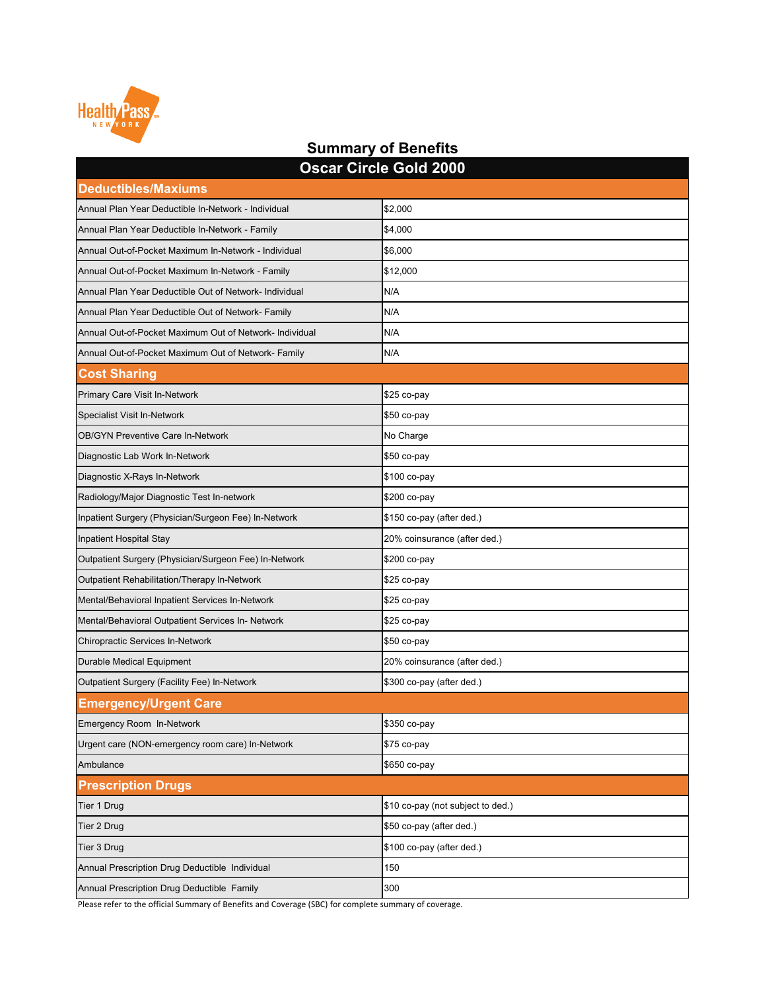| <b>Oscar Circle Gold 2000</b>                           |                                   |  |
|---------------------------------------------------------|-----------------------------------|--|
| <b>Deductibles/Maxiums</b>                              |                                   |  |
| Annual Plan Year Deductible In-Network - Individual     | \$2,000                           |  |
| Annual Plan Year Deductible In-Network - Family         | \$4,000                           |  |
| Annual Out-of-Pocket Maximum In-Network - Individual    | \$6,000                           |  |
| Annual Out-of-Pocket Maximum In-Network - Family        | \$12,000                          |  |
| Annual Plan Year Deductible Out of Network- Individual  | N/A                               |  |
| Annual Plan Year Deductible Out of Network- Family      | N/A                               |  |
| Annual Out-of-Pocket Maximum Out of Network- Individual | N/A                               |  |
| Annual Out-of-Pocket Maximum Out of Network- Family     | N/A                               |  |
| <b>Cost Sharing</b>                                     |                                   |  |
| <b>Primary Care Visit In-Network</b>                    | \$25 co-pay                       |  |
| <b>Specialist Visit In-Network</b>                      | $$50$ co-pay                      |  |
| <b>OB/GYN Preventive Care In-Network</b>                | No Charge                         |  |
| Diagnostic Lab Work In-Network                          | $$50$ co-pay                      |  |
| Diagnostic X-Rays In-Network                            | \$100 co-pay                      |  |
| Radiology/Major Diagnostic Test In-network              | \$200 co-pay                      |  |
| Inpatient Surgery (Physician/Surgeon Fee) In-Network    | \$150 co-pay (after ded.)         |  |
| Inpatient Hospital Stay                                 | 20% coinsurance (after ded.)      |  |
| Outpatient Surgery (Physician/Surgeon Fee) In-Network   | \$200 co-pay                      |  |
| <b>Outpatient Rehabilitation/Therapy In-Network</b>     | $$25$ co-pay                      |  |
| Mental/Behavioral Inpatient Services In-Network         | \$25 co-pay                       |  |
| Mental/Behavioral Outpatient Services In- Network       | $$25$ co-pay                      |  |
| <b>Chiropractic Services In-Network</b>                 | $$50$ co-pay                      |  |
| <b>Durable Medical Equipment</b>                        | 20% coinsurance (after ded.)      |  |
| <b>Outpatient Surgery (Facility Fee) In-Network</b>     | \$300 co-pay (after ded.)         |  |
| <b>Emergency/Urgent Care</b>                            |                                   |  |
| <b>Emergency Room In-Network</b>                        | \$350 co-pay                      |  |
| Urgent care (NON-emergency room care) In-Network        | $$75$ co-pay                      |  |
| Ambulance                                               | \$650 co-pay                      |  |
| <b>Prescription Drugs</b>                               |                                   |  |
| Tier 1 Drug                                             | \$10 co-pay (not subject to ded.) |  |
| Tier 2 Drug                                             | \$50 co-pay (after ded.)          |  |
| Tier 3 Drug                                             | \$100 co-pay (after ded.)         |  |
| Annual Prescription Drug Deductible Individual          | 150                               |  |
| Annual Prescription Drug Deductible Family              | 300                               |  |

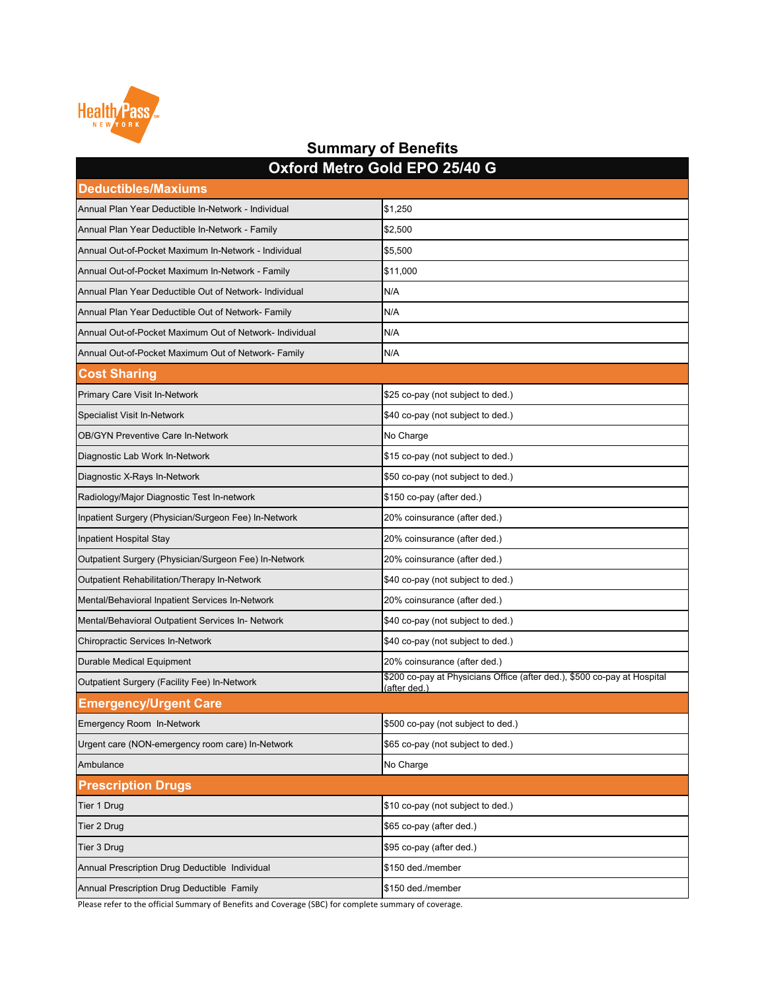| UAIUI U IJIU U UU U LI U LUTU<br><b>Deductibles/Maxiums</b> |                                                                                          |  |
|-------------------------------------------------------------|------------------------------------------------------------------------------------------|--|
| Annual Plan Year Deductible In-Network - Individual         | \$1,250                                                                                  |  |
| Annual Plan Year Deductible In-Network - Family             | \$2,500                                                                                  |  |
| Annual Out-of-Pocket Maximum In-Network - Individual        | \$5,500                                                                                  |  |
| Annual Out-of-Pocket Maximum In-Network - Family            | \$11,000                                                                                 |  |
| Annual Plan Year Deductible Out of Network- Individual      | N/A                                                                                      |  |
| Annual Plan Year Deductible Out of Network- Family          | N/A                                                                                      |  |
| Annual Out-of-Pocket Maximum Out of Network- Individual     | N/A                                                                                      |  |
| Annual Out-of-Pocket Maximum Out of Network- Family         | N/A                                                                                      |  |
| <b>Cost Sharing</b>                                         |                                                                                          |  |
| <b>Primary Care Visit In-Network</b>                        | \$25 co-pay (not subject to ded.)                                                        |  |
| <b>Specialist Visit In-Network</b>                          | \$40 co-pay (not subject to ded.)                                                        |  |
| <b>OB/GYN Preventive Care In-Network</b>                    | No Charge                                                                                |  |
| Diagnostic Lab Work In-Network                              | \$15 co-pay (not subject to ded.)                                                        |  |
| Diagnostic X-Rays In-Network                                | \$50 co-pay (not subject to ded.)                                                        |  |
| Radiology/Major Diagnostic Test In-network                  | \$150 co-pay (after ded.)                                                                |  |
| Inpatient Surgery (Physician/Surgeon Fee) In-Network        | 20% coinsurance (after ded.)                                                             |  |
| Inpatient Hospital Stay                                     | 20% coinsurance (after ded.)                                                             |  |
| Outpatient Surgery (Physician/Surgeon Fee) In-Network       | 20% coinsurance (after ded.)                                                             |  |
| Outpatient Rehabilitation/Therapy In-Network                | \$40 co-pay (not subject to ded.)                                                        |  |
| Mental/Behavioral Inpatient Services In-Network             | 20% coinsurance (after ded.)                                                             |  |
| Mental/Behavioral Outpatient Services In- Network           | \$40 co-pay (not subject to ded.)                                                        |  |
| <b>Chiropractic Services In-Network</b>                     | \$40 co-pay (not subject to ded.)                                                        |  |
| Durable Medical Equipment                                   | 20% coinsurance (after ded.)                                                             |  |
| Outpatient Surgery (Facility Fee) In-Network                | \$200 co-pay at Physicians Office (after ded.), \$500 co-pay at Hospital<br>(after ded.) |  |
| <b>Emergency/Urgent Care</b>                                |                                                                                          |  |
| Emergency Room In-Network                                   | \$500 co-pay (not subject to ded.)                                                       |  |
| Urgent care (NON-emergency room care) In-Network            | \$65 co-pay (not subject to ded.)                                                        |  |
| Ambulance                                                   | No Charge                                                                                |  |
| <b>Prescription Drugs</b>                                   |                                                                                          |  |
| Tier 1 Drug                                                 | \$10 co-pay (not subject to ded.)                                                        |  |
| Tier 2 Drug                                                 | \$65 co-pay (after ded.)                                                                 |  |
| Tier 3 Drug                                                 | \$95 co-pay (after ded.)                                                                 |  |
| Annual Prescription Drug Deductible Individual              | \$150 ded./member                                                                        |  |
| Annual Prescription Drug Deductible Family                  | \$150 ded./member                                                                        |  |



#### **Summary of Benefits Oxford Metro Gold EPO 25/40 G**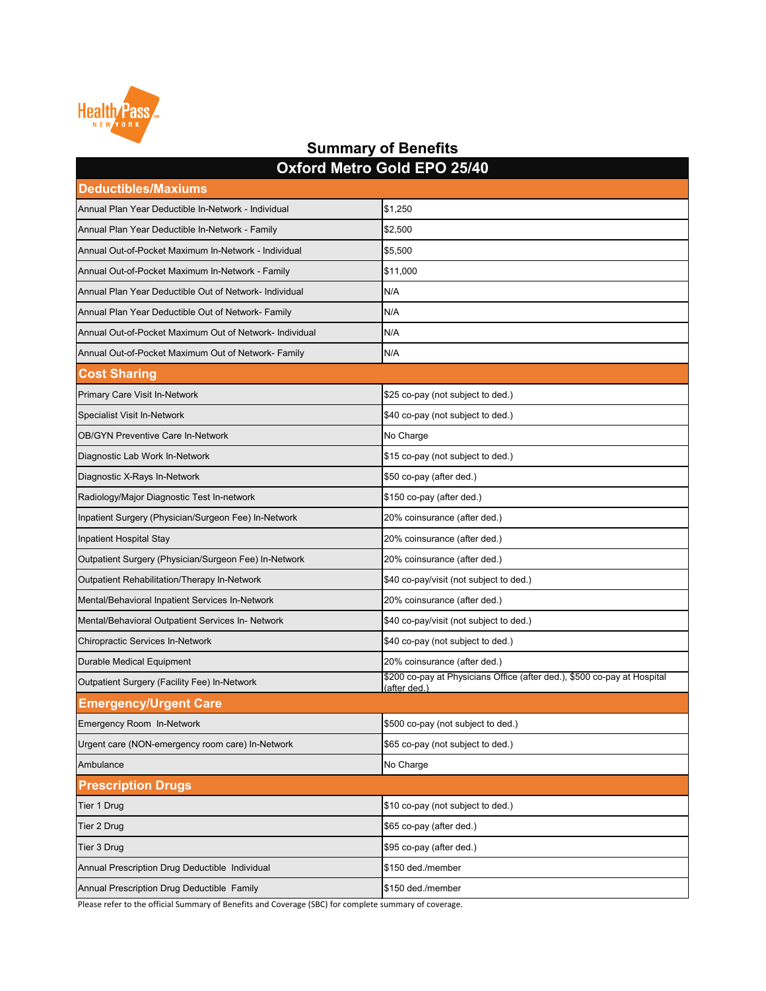| OXIUIU MELIO GOIU EFO Z3/40                             |                                                                                          |  |
|---------------------------------------------------------|------------------------------------------------------------------------------------------|--|
| <b>Deductibles/Maxiums</b>                              |                                                                                          |  |
| Annual Plan Year Deductible In-Network - Individual     | \$1,250                                                                                  |  |
| Annual Plan Year Deductible In-Network - Family         | \$2,500                                                                                  |  |
| Annual Out-of-Pocket Maximum In-Network - Individual    | \$5,500                                                                                  |  |
| Annual Out-of-Pocket Maximum In-Network - Family        | \$11,000                                                                                 |  |
| Annual Plan Year Deductible Out of Network- Individual  | N/A                                                                                      |  |
| Annual Plan Year Deductible Out of Network- Family      | N/A                                                                                      |  |
| Annual Out-of-Pocket Maximum Out of Network- Individual | N/A                                                                                      |  |
| Annual Out-of-Pocket Maximum Out of Network- Family     | N/A                                                                                      |  |
| <b>Cost Sharing</b>                                     |                                                                                          |  |
| <b>Primary Care Visit In-Network</b>                    | \$25 co-pay (not subject to ded.)                                                        |  |
| <b>Specialist Visit In-Network</b>                      | \$40 co-pay (not subject to ded.)                                                        |  |
| <b>OB/GYN Preventive Care In-Network</b>                | No Charge                                                                                |  |
| Diagnostic Lab Work In-Network                          | \$15 co-pay (not subject to ded.)                                                        |  |
| Diagnostic X-Rays In-Network                            | \$50 co-pay (after ded.)                                                                 |  |
| Radiology/Major Diagnostic Test In-network              | \$150 co-pay (after ded.)                                                                |  |
| Inpatient Surgery (Physician/Surgeon Fee) In-Network    | 20% coinsurance (after ded.)                                                             |  |
| <b>Inpatient Hospital Stay</b>                          | 20% coinsurance (after ded.)                                                             |  |
| Outpatient Surgery (Physician/Surgeon Fee) In-Network   | 20% coinsurance (after ded.)                                                             |  |
| <b>Outpatient Rehabilitation/Therapy In-Network</b>     | \$40 co-pay/visit (not subject to ded.)                                                  |  |
| Mental/Behavioral Inpatient Services In-Network         | 20% coinsurance (after ded.)                                                             |  |
| Mental/Behavioral Outpatient Services In- Network       | \$40 co-pay/visit (not subject to ded.)                                                  |  |
| <b>Chiropractic Services In-Network</b>                 | \$40 co-pay (not subject to ded.)                                                        |  |
| <b>Durable Medical Equipment</b>                        | 20% coinsurance (after ded.)                                                             |  |
| <b>Outpatient Surgery (Facility Fee) In-Network</b>     | \$200 co-pay at Physicians Office (after ded.), \$500 co-pay at Hospital<br>(after ded.) |  |
| <b>Emergency/Urgent Care</b>                            |                                                                                          |  |
| <b>Emergency Room In-Network</b>                        | \$500 co-pay (not subject to ded.)                                                       |  |
| Urgent care (NON-emergency room care) In-Network        | \$65 co-pay (not subject to ded.)                                                        |  |
| Ambulance                                               | No Charge                                                                                |  |
| <b>Prescription Drugs</b>                               |                                                                                          |  |
| Tier 1 Drug                                             | \$10 co-pay (not subject to ded.)                                                        |  |
| Tier 2 Drug                                             | \$65 co-pay (after ded.)                                                                 |  |
| Tier 3 Drug                                             | \$95 co-pay (after ded.)                                                                 |  |
| Annual Prescription Drug Deductible Individual          | \$150 ded./member                                                                        |  |
| Annual Prescription Drug Deductible Family              | \$150 ded./member                                                                        |  |



#### **Summary of Benefits Oxford Metro Gold EPO 25/40**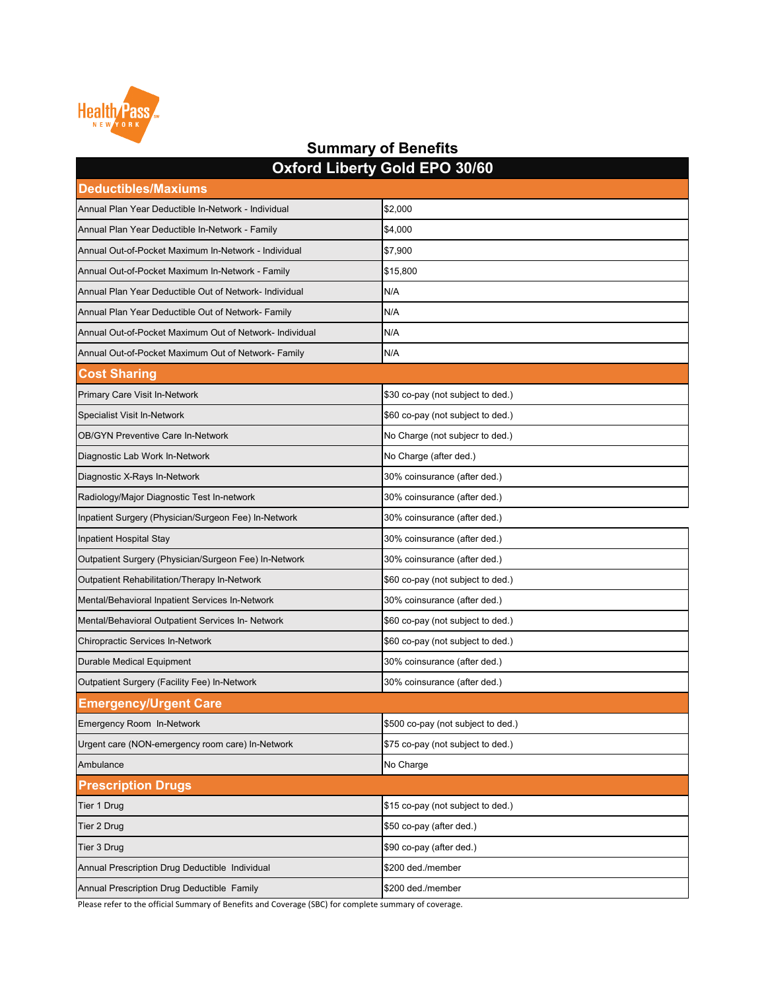|                                                         | <b>OXIDIU LIDEITY OUIU LI O JUIUU</b> |  |
|---------------------------------------------------------|---------------------------------------|--|
| <b>Deductibles/Maxiums</b>                              |                                       |  |
| Annual Plan Year Deductible In-Network - Individual     | \$2,000                               |  |
| Annual Plan Year Deductible In-Network - Family         | \$4,000                               |  |
| Annual Out-of-Pocket Maximum In-Network - Individual    | \$7,900                               |  |
| Annual Out-of-Pocket Maximum In-Network - Family        | \$15,800                              |  |
| Annual Plan Year Deductible Out of Network- Individual  | N/A                                   |  |
| Annual Plan Year Deductible Out of Network- Family      | N/A                                   |  |
| Annual Out-of-Pocket Maximum Out of Network- Individual | N/A                                   |  |
| Annual Out-of-Pocket Maximum Out of Network- Family     | N/A                                   |  |
| <b>Cost Sharing</b>                                     |                                       |  |
| <b>Primary Care Visit In-Network</b>                    | \$30 co-pay (not subject to ded.)     |  |
| <b>Specialist Visit In-Network</b>                      | \$60 co-pay (not subject to ded.)     |  |
| <b>OB/GYN Preventive Care In-Network</b>                | No Charge (not subjecr to ded.)       |  |
| Diagnostic Lab Work In-Network                          | No Charge (after ded.)                |  |
| Diagnostic X-Rays In-Network                            | 30% coinsurance (after ded.)          |  |
| Radiology/Major Diagnostic Test In-network              | 30% coinsurance (after ded.)          |  |
| Inpatient Surgery (Physician/Surgeon Fee) In-Network    | 30% coinsurance (after ded.)          |  |
| Inpatient Hospital Stay                                 | 30% coinsurance (after ded.)          |  |
| Outpatient Surgery (Physician/Surgeon Fee) In-Network   | 30% coinsurance (after ded.)          |  |
| Outpatient Rehabilitation/Therapy In-Network            | \$60 co-pay (not subject to ded.)     |  |
| Mental/Behavioral Inpatient Services In-Network         | 30% coinsurance (after ded.)          |  |
| Mental/Behavioral Outpatient Services In- Network       | \$60 co-pay (not subject to ded.)     |  |
| <b>Chiropractic Services In-Network</b>                 | \$60 co-pay (not subject to ded.)     |  |
| <b>Durable Medical Equipment</b>                        | 30% coinsurance (after ded.)          |  |
| Outpatient Surgery (Facility Fee) In-Network            | 30% coinsurance (after ded.)          |  |
| <b>Emergency/Urgent Care</b>                            |                                       |  |
| Emergency Room In-Network                               | \$500 co-pay (not subject to ded.)    |  |
| Urgent care (NON-emergency room care) In-Network        | \$75 co-pay (not subject to ded.)     |  |
| Ambulance                                               | No Charge                             |  |
| <b>Prescription Drugs</b>                               |                                       |  |
| Tier 1 Drug                                             | \$15 co-pay (not subject to ded.)     |  |
| Tier 2 Drug                                             | \$50 co-pay (after ded.)              |  |
| Tier 3 Drug                                             | \$90 co-pay (after ded.)              |  |
| Annual Prescription Drug Deductible Individual          | \$200 ded./member                     |  |
| Annual Prescription Drug Deductible Family              | \$200 ded./member                     |  |



#### **Summary of Benefits Oxford Liberty Gold EPO 30/60**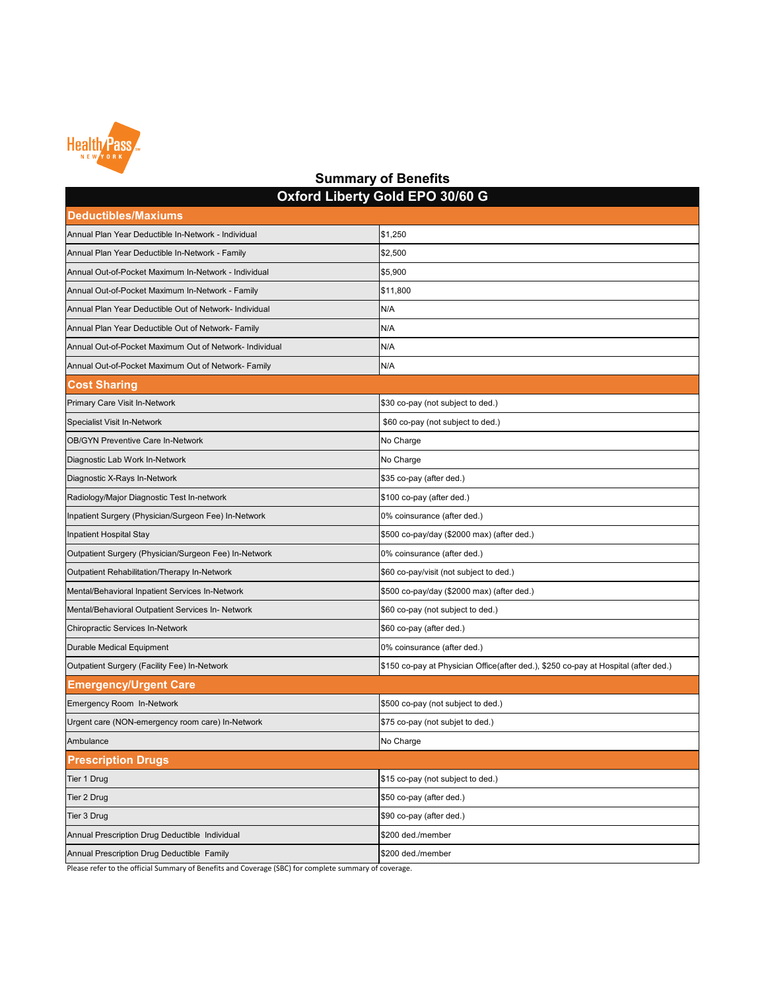

### **Deductibles/Maxiums** Annual Plan Year Deductible In-Network - Individual **Annual Plan Year Deductible In-Network - Individual \$1,250** Annual Plan Year Deductible In-Network - Family **\$2,500 \$2,500** Annual Out-of-Pocket Maximum In-Network - Individual **\$5,900** \$5,900 Annual Out-of-Pocket Maximum In-Network - Family **\$11,800** Annual Plan Year Deductible Out of Network- Individual Network and N/A Annual Plan Year Deductible Out of Network- Family Network and Nicolas Network Nicolas Network and Nicolas Nicolas Annual Out-of-Pocket Maximum Out of Network- Individual Network 100 N/A Annual Out-of-Pocket Maximum Out of Network- Family Network and NIA **Cost Sharing** Primary Care Visit In-Network  $\ket{\$30\text{ co-pay}}$  (not subject to ded.) Specialist Visit In-Network **\$60 co-pay (not subject to ded.)** \$60 co-pay (not subject to ded.) OB/GYN Preventive Care In-Network No Charge No Charge No Charge Diagnostic Lab Work In-Network No Charge No Charge No Charge No Charge No Charge Diagnostic X-Rays In-Network **\$35 co-pay (after ded.)**  $\frac{1}{335}$  co-pay (after ded.) Radiology/Major Diagnostic Test In-network **\$100 co-pay (after ded.)** \$100 co-pay (after ded.) Inpatient Surgery (Physician/Surgeon Fee) In-Network **1990 Community 1996** coinsurance (after ded.) Inpatient Hospital Stay \$500 co-pay/day (\$2000 max) (after ded.) Outpatient Surgery (Physician/Surgeon Fee) In-Network **0% consurance (after ded.)** O% coinsurance (after ded.) Outpatient Rehabilitation/Therapy In-Network  $\sim$  860 co-pay/visit (not subject to ded.) Mental/Behavioral Inpatient Services In-Network **\$500 co-pay/day (\$2000 max)** (after ded.) Mental/Behavioral Outpatient Services In- Network  $\sim$  860 co-pay (not subject to ded.) Chiropractic Services In-Network **\$60 co-pay (after ded.)**  $\sim$  \$60 co-pay (after ded.) Durable Medical Equipment 0% coinsurance (after ded.) **Summary of Benefits Oxford Liberty Gold EPO 30/60 G**

| Outpatient Surgery (Facility Fee) In-Network     | \$150 co-pay at Physician Office (after ded.), \$250 co-pay at Hospital (after ded.) |  |
|--------------------------------------------------|--------------------------------------------------------------------------------------|--|
| <b>Emergency/Urgent Care</b>                     |                                                                                      |  |
| Emergency Room In-Network                        | \$500 co-pay (not subject to ded.)                                                   |  |
| Urgent care (NON-emergency room care) In-Network | \$75 co-pay (not subjet to ded.)                                                     |  |
| Ambulance                                        | No Charge                                                                            |  |
| <b>Prescription Drugs</b>                        |                                                                                      |  |
| Tier 1 Drug                                      | \$15 co-pay (not subject to ded.)                                                    |  |
| Tier 2 Drug                                      | \$50 co-pay (after ded.)                                                             |  |
| Tier 3 Drug                                      | \$90 co-pay (after ded.)                                                             |  |
| Annual Prescription Drug Deductible Individual   | \$200 ded./member                                                                    |  |
| Annual Prescription Drug Deductible Family       | \$200 ded./member                                                                    |  |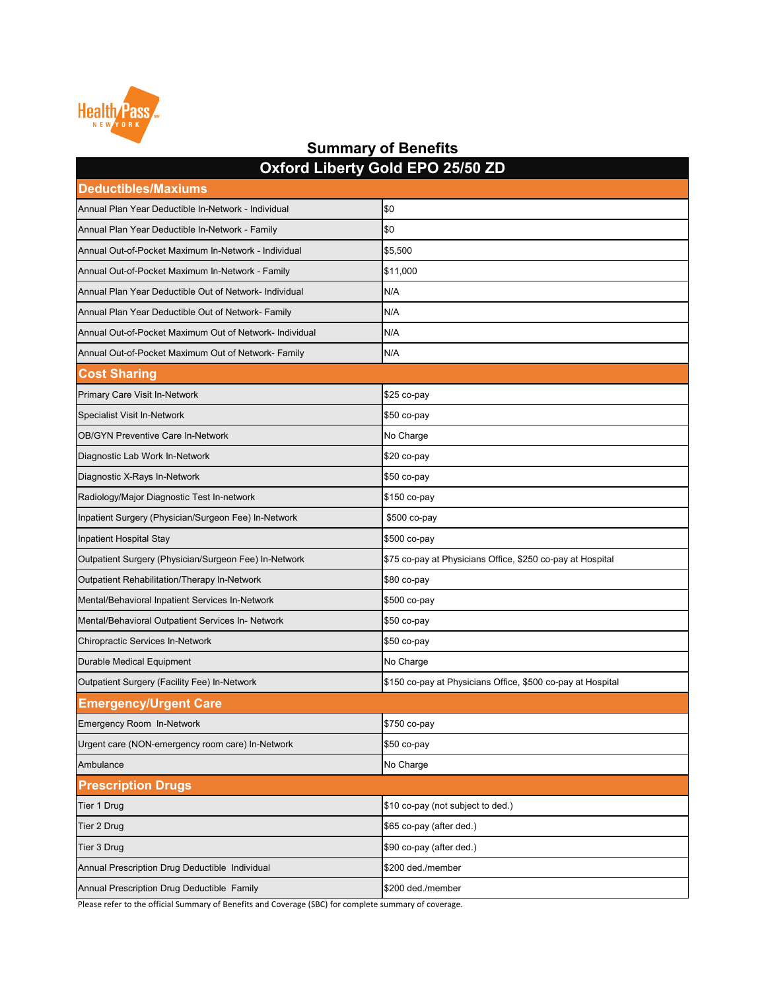| $\sim$ Arora Ensury Obia Er o Euros Eb<br><b>Deductibles/Maxiums</b> |                                                             |  |
|----------------------------------------------------------------------|-------------------------------------------------------------|--|
| Annual Plan Year Deductible In-Network - Individual                  | \$0                                                         |  |
| Annual Plan Year Deductible In-Network - Family                      | \$0                                                         |  |
| Annual Out-of-Pocket Maximum In-Network - Individual                 | \$5,500                                                     |  |
| Annual Out-of-Pocket Maximum In-Network - Family                     | \$11,000                                                    |  |
| Annual Plan Year Deductible Out of Network- Individual               | N/A                                                         |  |
| Annual Plan Year Deductible Out of Network- Family                   | N/A                                                         |  |
| Annual Out-of-Pocket Maximum Out of Network- Individual              | N/A                                                         |  |
| Annual Out-of-Pocket Maximum Out of Network- Family                  | N/A                                                         |  |
| <b>Cost Sharing</b>                                                  |                                                             |  |
| <b>Primary Care Visit In-Network</b>                                 | $$25$ co-pay                                                |  |
| <b>Specialist Visit In-Network</b>                                   | $$50$ co-pay                                                |  |
| <b>OB/GYN Preventive Care In-Network</b>                             | No Charge                                                   |  |
| Diagnostic Lab Work In-Network                                       | \$20 co-pay                                                 |  |
| Diagnostic X-Rays In-Network                                         | $$50$ co-pay                                                |  |
| Radiology/Major Diagnostic Test In-network                           | \$150 co-pay                                                |  |
| Inpatient Surgery (Physician/Surgeon Fee) In-Network                 | \$500 co-pay                                                |  |
| Inpatient Hospital Stay                                              | \$500 co-pay                                                |  |
| Outpatient Surgery (Physician/Surgeon Fee) In-Network                | \$75 co-pay at Physicians Office, \$250 co-pay at Hospital  |  |
| <b>Outpatient Rehabilitation/Therapy In-Network</b>                  | \$80 co-pay                                                 |  |
| Mental/Behavioral Inpatient Services In-Network                      | \$500 co-pay                                                |  |
| Mental/Behavioral Outpatient Services In- Network                    | $$50$ co-pay                                                |  |
| <b>Chiropractic Services In-Network</b>                              | $$50$ co-pay                                                |  |
| <b>Durable Medical Equipment</b>                                     | No Charge                                                   |  |
| <b>Outpatient Surgery (Facility Fee) In-Network</b>                  | \$150 co-pay at Physicians Office, \$500 co-pay at Hospital |  |
| <b>Emergency/Urgent Care</b>                                         |                                                             |  |
| <b>Emergency Room In-Network</b>                                     | \$750 co-pay                                                |  |
| Urgent care (NON-emergency room care) In-Network                     | $$50$ co-pay                                                |  |
| Ambulance                                                            | No Charge                                                   |  |
| <b>Prescription Drugs</b>                                            |                                                             |  |
| Tier 1 Drug                                                          | \$10 co-pay (not subject to ded.)                           |  |
| Tier 2 Drug                                                          | \$65 co-pay (after ded.)                                    |  |
| Tier 3 Drug                                                          | \$90 co-pay (after ded.)                                    |  |
| Annual Prescription Drug Deductible Individual                       | \$200 ded./member                                           |  |
| Annual Prescription Drug Deductible Family                           | \$200 ded./member                                           |  |



#### **Summary of Benefits Oxford Liberty Gold EPO 25/50 ZD**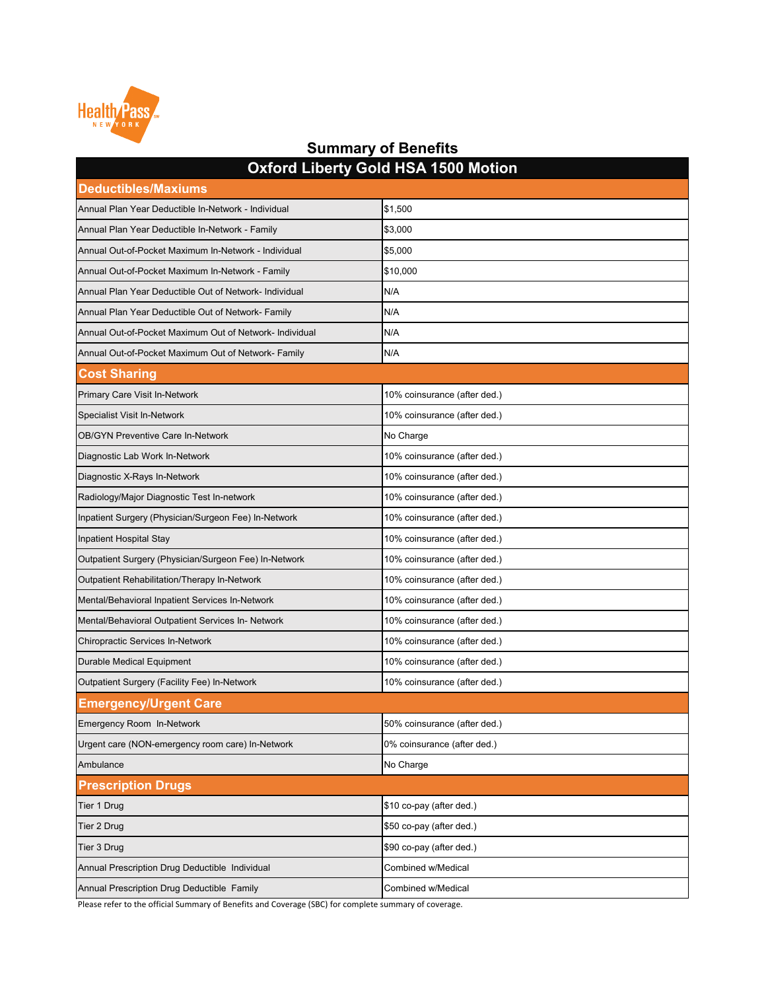| <b>Deductibles/Maxiums</b>                              |                              |  |
|---------------------------------------------------------|------------------------------|--|
| Annual Plan Year Deductible In-Network - Individual     | \$1,500                      |  |
| Annual Plan Year Deductible In-Network - Family         | \$3,000                      |  |
| Annual Out-of-Pocket Maximum In-Network - Individual    | \$5,000                      |  |
| Annual Out-of-Pocket Maximum In-Network - Family        | \$10,000                     |  |
| Annual Plan Year Deductible Out of Network- Individual  | N/A                          |  |
| Annual Plan Year Deductible Out of Network- Family      | N/A                          |  |
| Annual Out-of-Pocket Maximum Out of Network- Individual | N/A                          |  |
| Annual Out-of-Pocket Maximum Out of Network- Family     | N/A                          |  |
| <b>Cost Sharing</b>                                     |                              |  |
| <b>Primary Care Visit In-Network</b>                    | 10% coinsurance (after ded.) |  |
| <b>Specialist Visit In-Network</b>                      | 10% coinsurance (after ded.) |  |
| <b>OB/GYN Preventive Care In-Network</b>                | No Charge                    |  |
| Diagnostic Lab Work In-Network                          | 10% coinsurance (after ded.) |  |
| Diagnostic X-Rays In-Network                            | 10% coinsurance (after ded.) |  |
| Radiology/Major Diagnostic Test In-network              | 10% coinsurance (after ded.) |  |
| Inpatient Surgery (Physician/Surgeon Fee) In-Network    | 10% coinsurance (after ded.) |  |
| Inpatient Hospital Stay                                 | 10% coinsurance (after ded.) |  |
| Outpatient Surgery (Physician/Surgeon Fee) In-Network   | 10% coinsurance (after ded.) |  |
| <b>Outpatient Rehabilitation/Therapy In-Network</b>     | 10% coinsurance (after ded.) |  |
| Mental/Behavioral Inpatient Services In-Network         | 10% coinsurance (after ded.) |  |
| Mental/Behavioral Outpatient Services In- Network       | 10% coinsurance (after ded.) |  |
| <b>Chiropractic Services In-Network</b>                 | 10% coinsurance (after ded.) |  |
| <b>Durable Medical Equipment</b>                        | 10% coinsurance (after ded.) |  |
| <b>Outpatient Surgery (Facility Fee) In-Network</b>     | 10% coinsurance (after ded.) |  |
| <b>Emergency/Urgent Care</b>                            |                              |  |
| Emergency Room In-Network                               | 50% coinsurance (after ded.) |  |
| Urgent care (NON-emergency room care) In-Network        | 0% coinsurance (after ded.)  |  |
| Ambulance                                               | No Charge                    |  |
| <b>Prescription Drugs</b>                               |                              |  |
| Tier 1 Drug                                             | \$10 co-pay (after ded.)     |  |
| <b>Tier 2 Drug</b>                                      | \$50 co-pay (after ded.)     |  |
| Tier 3 Drug                                             | \$90 co-pay (after ded.)     |  |
| Annual Prescription Drug Deductible Individual          | Combined w/Medical           |  |
| Annual Prescription Drug Deductible Family              | <b>Combined w/Medical</b>    |  |



### **Summary of Benefits Oxford Liberty Gold HSA 1500 Motion**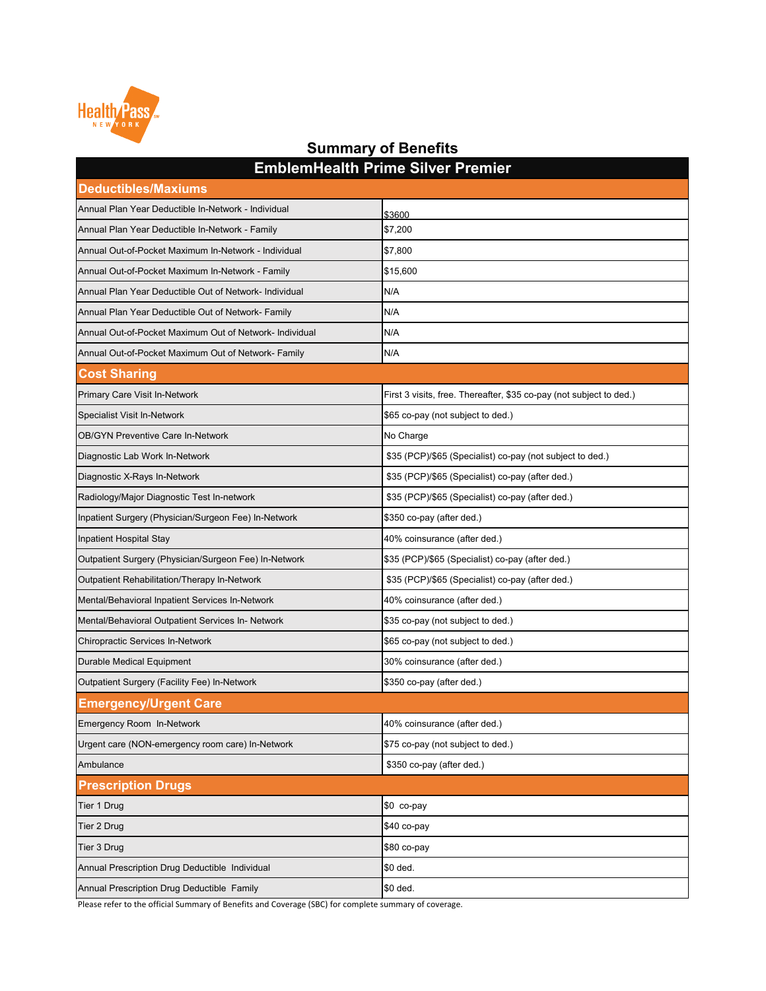| <b>Deductibles/Maxiums</b>                              |                                                                     |  |
|---------------------------------------------------------|---------------------------------------------------------------------|--|
| Annual Plan Year Deductible In-Network - Individual     | \$3600                                                              |  |
| Annual Plan Year Deductible In-Network - Family         | \$7,200                                                             |  |
| Annual Out-of-Pocket Maximum In-Network - Individual    | \$7,800                                                             |  |
| Annual Out-of-Pocket Maximum In-Network - Family        | \$15,600                                                            |  |
| Annual Plan Year Deductible Out of Network- Individual  | N/A                                                                 |  |
| Annual Plan Year Deductible Out of Network- Family      | N/A                                                                 |  |
| Annual Out-of-Pocket Maximum Out of Network- Individual | N/A                                                                 |  |
| Annual Out-of-Pocket Maximum Out of Network- Family     | N/A                                                                 |  |
| <b>Cost Sharing</b>                                     |                                                                     |  |
| <b>Primary Care Visit In-Network</b>                    | First 3 visits, free. Thereafter, \$35 co-pay (not subject to ded.) |  |
| <b>Specialist Visit In-Network</b>                      | \$65 co-pay (not subject to ded.)                                   |  |
| <b>OB/GYN Preventive Care In-Network</b>                | No Charge                                                           |  |
| Diagnostic Lab Work In-Network                          | \$35 (PCP)/\$65 (Specialist) co-pay (not subject to ded.)           |  |
| Diagnostic X-Rays In-Network                            | \$35 (PCP)/\$65 (Specialist) co-pay (after ded.)                    |  |
| Radiology/Major Diagnostic Test In-network              | \$35 (PCP)/\$65 (Specialist) co-pay (after ded.)                    |  |
| Inpatient Surgery (Physician/Surgeon Fee) In-Network    | \$350 co-pay (after ded.)                                           |  |
| Inpatient Hospital Stay                                 | 40% coinsurance (after ded.)                                        |  |
| Outpatient Surgery (Physician/Surgeon Fee) In-Network   | \$35 (PCP)/\$65 (Specialist) co-pay (after ded.)                    |  |
| <b>Outpatient Rehabilitation/Therapy In-Network</b>     | \$35 (PCP)/\$65 (Specialist) co-pay (after ded.)                    |  |
| Mental/Behavioral Inpatient Services In-Network         | 40% coinsurance (after ded.)                                        |  |
| Mental/Behavioral Outpatient Services In- Network       | \$35 co-pay (not subject to ded.)                                   |  |
| <b>Chiropractic Services In-Network</b>                 | \$65 co-pay (not subject to ded.)                                   |  |
| <b>Durable Medical Equipment</b>                        | 30% coinsurance (after ded.)                                        |  |
| <b>Outpatient Surgery (Facility Fee) In-Network</b>     | \$350 co-pay (after ded.)                                           |  |
| <b>Emergency/Urgent Care</b>                            |                                                                     |  |
| <b>Emergency Room In-Network</b>                        | 40% coinsurance (after ded.)                                        |  |
| Urgent care (NON-emergency room care) In-Network        | \$75 co-pay (not subject to ded.)                                   |  |
| Ambulance                                               | \$350 co-pay (after ded.)                                           |  |
| <b>Prescription Drugs</b>                               |                                                                     |  |
| Tier 1 Drug                                             | \$0 co-pay                                                          |  |
| Tier 2 Drug                                             | $$40$ co-pay                                                        |  |
| Tier 3 Drug                                             | \$80 co-pay                                                         |  |
| Annual Prescription Drug Deductible Individual          | \$0 ded.                                                            |  |
| Annual Prescription Drug Deductible Family              | \$0 ded.                                                            |  |



### **Summary of Benefits EmblemHealth Prime Silver Premier**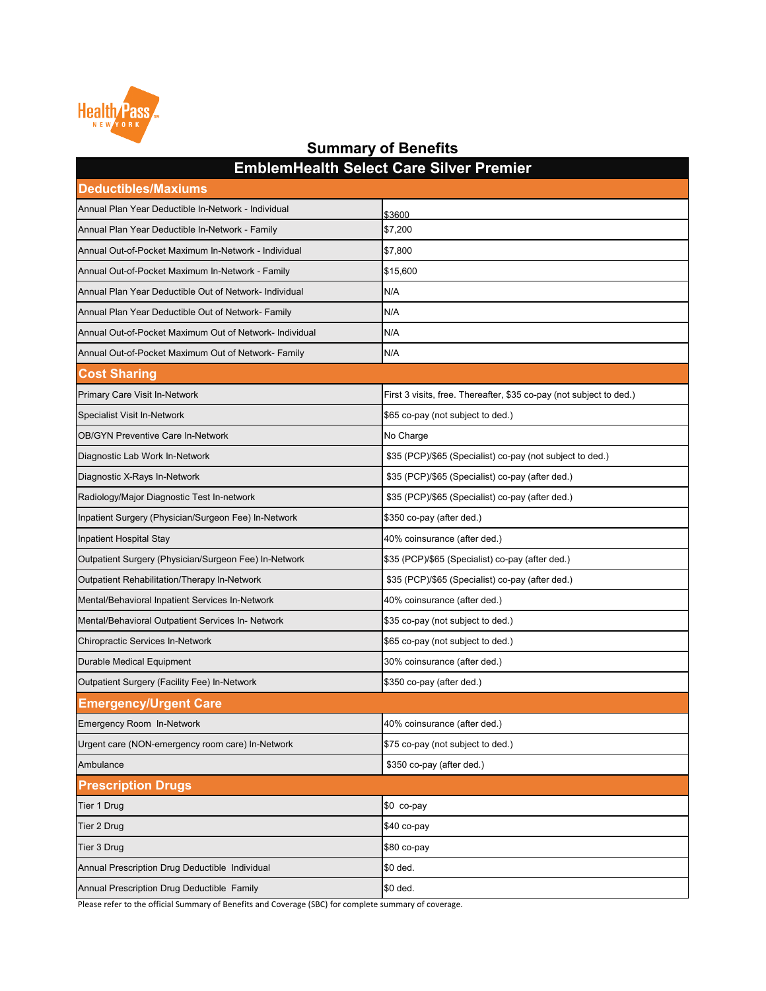| <b>Deductibles/Maxiums</b>                              |                                                                     |  |
|---------------------------------------------------------|---------------------------------------------------------------------|--|
| Annual Plan Year Deductible In-Network - Individual     | \$3600                                                              |  |
| Annual Plan Year Deductible In-Network - Family         | \$7,200                                                             |  |
| Annual Out-of-Pocket Maximum In-Network - Individual    | \$7,800                                                             |  |
| Annual Out-of-Pocket Maximum In-Network - Family        | \$15,600                                                            |  |
| Annual Plan Year Deductible Out of Network- Individual  | N/A                                                                 |  |
| Annual Plan Year Deductible Out of Network- Family      | N/A                                                                 |  |
| Annual Out-of-Pocket Maximum Out of Network- Individual | N/A                                                                 |  |
| Annual Out-of-Pocket Maximum Out of Network- Family     | N/A                                                                 |  |
| <b>Cost Sharing</b>                                     |                                                                     |  |
| <b>Primary Care Visit In-Network</b>                    | First 3 visits, free. Thereafter, \$35 co-pay (not subject to ded.) |  |
| <b>Specialist Visit In-Network</b>                      | \$65 co-pay (not subject to ded.)                                   |  |
| <b>OB/GYN Preventive Care In-Network</b>                | No Charge                                                           |  |
| Diagnostic Lab Work In-Network                          | \$35 (PCP)/\$65 (Specialist) co-pay (not subject to ded.)           |  |
| Diagnostic X-Rays In-Network                            | \$35 (PCP)/\$65 (Specialist) co-pay (after ded.)                    |  |
| Radiology/Major Diagnostic Test In-network              | \$35 (PCP)/\$65 (Specialist) co-pay (after ded.)                    |  |
| Inpatient Surgery (Physician/Surgeon Fee) In-Network    | \$350 co-pay (after ded.)                                           |  |
| <b>Inpatient Hospital Stay</b>                          | 40% coinsurance (after ded.)                                        |  |
| Outpatient Surgery (Physician/Surgeon Fee) In-Network   | \$35 (PCP)/\$65 (Specialist) co-pay (after ded.)                    |  |
| <b>Outpatient Rehabilitation/Therapy In-Network</b>     | \$35 (PCP)/\$65 (Specialist) co-pay (after ded.)                    |  |
| Mental/Behavioral Inpatient Services In-Network         | 40% coinsurance (after ded.)                                        |  |
| Mental/Behavioral Outpatient Services In- Network       | \$35 co-pay (not subject to ded.)                                   |  |
| <b>Chiropractic Services In-Network</b>                 | \$65 co-pay (not subject to ded.)                                   |  |
| <b>Durable Medical Equipment</b>                        | 30% coinsurance (after ded.)                                        |  |
| Outpatient Surgery (Facility Fee) In-Network            | \$350 co-pay (after ded.)                                           |  |
| <b>Emergency/Urgent Care</b>                            |                                                                     |  |
| <b>Emergency Room In-Network</b>                        | 40% coinsurance (after ded.)                                        |  |
| Urgent care (NON-emergency room care) In-Network        | \$75 co-pay (not subject to ded.)                                   |  |
| Ambulance                                               | \$350 co-pay (after ded.)                                           |  |
| <b>Prescription Drugs</b>                               |                                                                     |  |
| Tier 1 Drug                                             | \$0 co-pay                                                          |  |
| Tier 2 Drug                                             | $$40$ co-pay                                                        |  |
| Tier 3 Drug                                             | \$80 co-pay                                                         |  |
| Annual Prescription Drug Deductible Individual          | \$0 ded.                                                            |  |
| Annual Prescription Drug Deductible Family              | \$0 ded.                                                            |  |



### **Summary of Benefits EmblemHealth Select Care Silver Premier**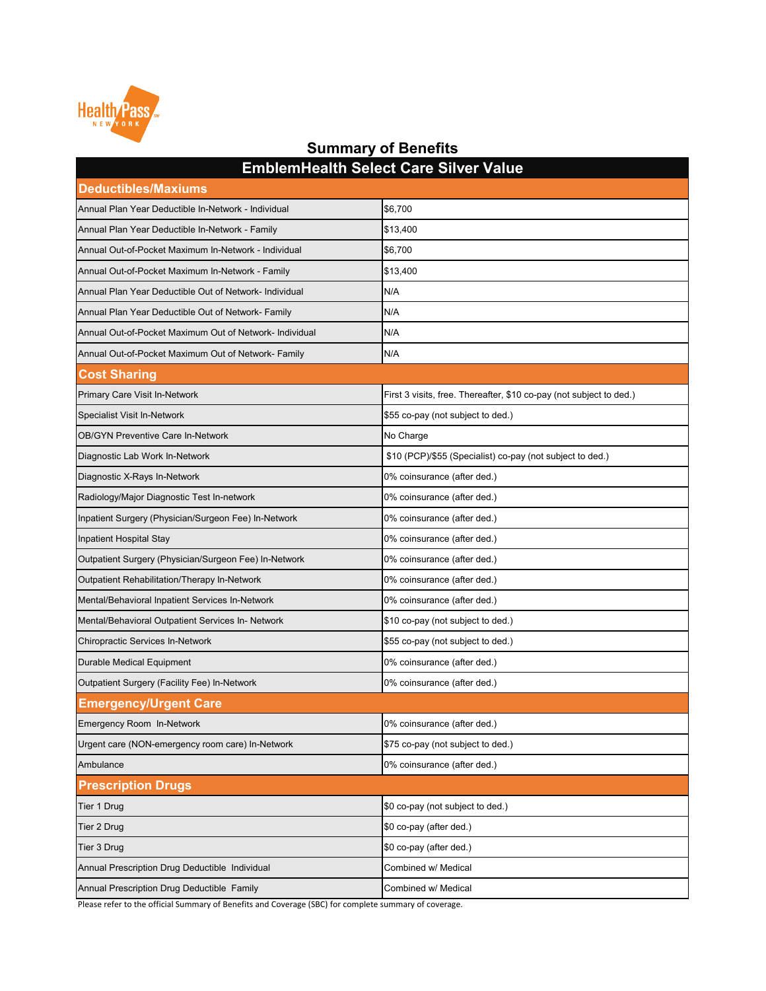| <b>Deductibles/Maxiums</b>                              |                                                                     |
|---------------------------------------------------------|---------------------------------------------------------------------|
| Annual Plan Year Deductible In-Network - Individual     | \$6,700                                                             |
| Annual Plan Year Deductible In-Network - Family         | \$13,400                                                            |
| Annual Out-of-Pocket Maximum In-Network - Individual    | \$6,700                                                             |
| Annual Out-of-Pocket Maximum In-Network - Family        | \$13,400                                                            |
| Annual Plan Year Deductible Out of Network- Individual  | N/A                                                                 |
| Annual Plan Year Deductible Out of Network- Family      | N/A                                                                 |
| Annual Out-of-Pocket Maximum Out of Network- Individual | N/A                                                                 |
| Annual Out-of-Pocket Maximum Out of Network- Family     | N/A                                                                 |
| <b>Cost Sharing</b>                                     |                                                                     |
| Primary Care Visit In-Network                           | First 3 visits, free. Thereafter, \$10 co-pay (not subject to ded.) |
| <b>Specialist Visit In-Network</b>                      | \$55 co-pay (not subject to ded.)                                   |
| <b>OB/GYN Preventive Care In-Network</b>                | No Charge                                                           |
| Diagnostic Lab Work In-Network                          | \$10 (PCP)/\$55 (Specialist) co-pay (not subject to ded.)           |
| Diagnostic X-Rays In-Network                            | 0% coinsurance (after ded.)                                         |
| Radiology/Major Diagnostic Test In-network              | 0% coinsurance (after ded.)                                         |
| Inpatient Surgery (Physician/Surgeon Fee) In-Network    | 0% coinsurance (after ded.)                                         |
| Inpatient Hospital Stay                                 | 0% coinsurance (after ded.)                                         |
| Outpatient Surgery (Physician/Surgeon Fee) In-Network   | 0% coinsurance (after ded.)                                         |
| Outpatient Rehabilitation/Therapy In-Network            | 0% coinsurance (after ded.)                                         |
| Mental/Behavioral Inpatient Services In-Network         | 0% coinsurance (after ded.)                                         |
| Mental/Behavioral Outpatient Services In- Network       | \$10 co-pay (not subject to ded.)                                   |
| <b>Chiropractic Services In-Network</b>                 | \$55 co-pay (not subject to ded.)                                   |
| <b>Durable Medical Equipment</b>                        | 0% coinsurance (after ded.)                                         |
| <b>Outpatient Surgery (Facility Fee) In-Network</b>     | 0% coinsurance (after ded.)                                         |
| <b>Emergency/Urgent Care</b>                            |                                                                     |
| <b>Emergency Room In-Network</b>                        | 0% coinsurance (after ded.)                                         |
| Urgent care (NON-emergency room care) In-Network        | \$75 co-pay (not subject to ded.)                                   |
| Ambulance                                               | 0% coinsurance (after ded.)                                         |
| <b>Prescription Drugs</b>                               |                                                                     |
| Tier 1 Drug                                             | \$0 co-pay (not subject to ded.)                                    |
| Tier 2 Drug                                             | \$0 co-pay (after ded.)                                             |
| Tier 3 Drug                                             | \$0 co-pay (after ded.)                                             |
| Annual Prescription Drug Deductible Individual          | Combined w/ Medical                                                 |
| Annual Prescription Drug Deductible Family              | Combined w/ Medical                                                 |

**EmblemHealth Select Care Silver Value**

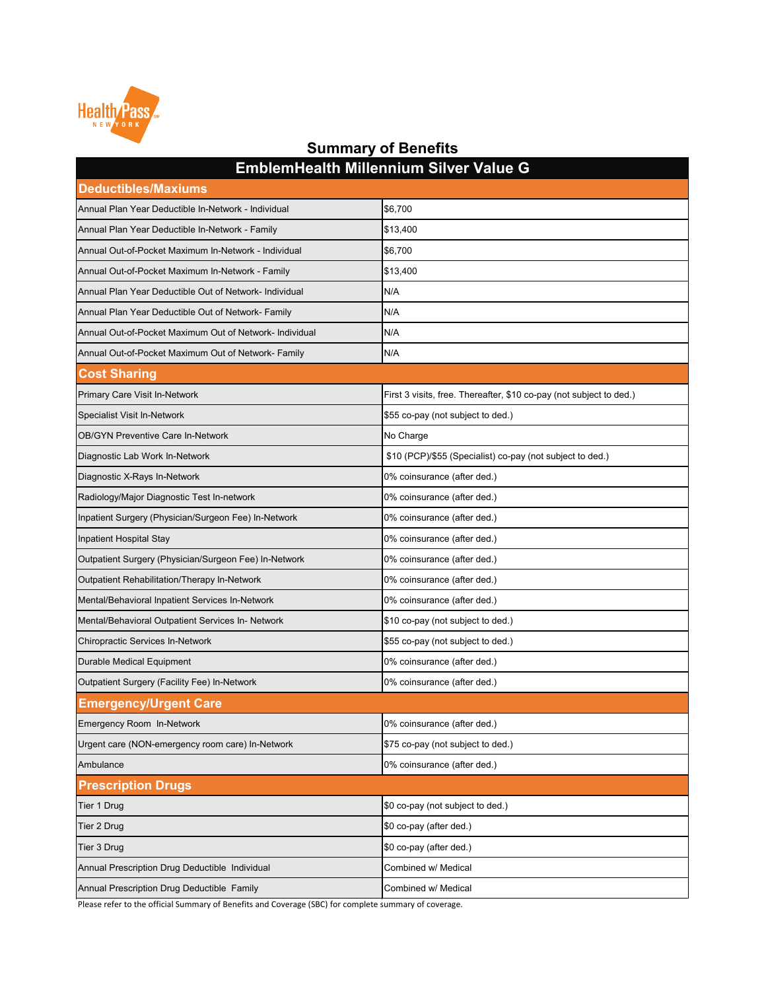| <b>Deductibles/Maxiums</b>                              |                                                                     |
|---------------------------------------------------------|---------------------------------------------------------------------|
| Annual Plan Year Deductible In-Network - Individual     | \$6,700                                                             |
| Annual Plan Year Deductible In-Network - Family         | \$13,400                                                            |
| Annual Out-of-Pocket Maximum In-Network - Individual    | \$6,700                                                             |
| Annual Out-of-Pocket Maximum In-Network - Family        | \$13,400                                                            |
| Annual Plan Year Deductible Out of Network- Individual  | N/A                                                                 |
| Annual Plan Year Deductible Out of Network- Family      | N/A                                                                 |
| Annual Out-of-Pocket Maximum Out of Network- Individual | N/A                                                                 |
| Annual Out-of-Pocket Maximum Out of Network- Family     | N/A                                                                 |
| <b>Cost Sharing</b>                                     |                                                                     |
| <b>Primary Care Visit In-Network</b>                    | First 3 visits, free. Thereafter, \$10 co-pay (not subject to ded.) |
| <b>Specialist Visit In-Network</b>                      | \$55 co-pay (not subject to ded.)                                   |
| <b>OB/GYN Preventive Care In-Network</b>                | No Charge                                                           |
| Diagnostic Lab Work In-Network                          | \$10 (PCP)/\$55 (Specialist) co-pay (not subject to ded.)           |
| Diagnostic X-Rays In-Network                            | 0% coinsurance (after ded.)                                         |
| Radiology/Major Diagnostic Test In-network              | 0% coinsurance (after ded.)                                         |
| Inpatient Surgery (Physician/Surgeon Fee) In-Network    | 0% coinsurance (after ded.)                                         |
| <b>Inpatient Hospital Stay</b>                          | 0% coinsurance (after ded.)                                         |
| Outpatient Surgery (Physician/Surgeon Fee) In-Network   | 0% coinsurance (after ded.)                                         |
| <b>Outpatient Rehabilitation/Therapy In-Network</b>     | 0% coinsurance (after ded.)                                         |
| Mental/Behavioral Inpatient Services In-Network         | 0% coinsurance (after ded.)                                         |
| Mental/Behavioral Outpatient Services In- Network       | \$10 co-pay (not subject to ded.)                                   |
| <b>Chiropractic Services In-Network</b>                 | \$55 co-pay (not subject to ded.)                                   |
| <b>Durable Medical Equipment</b>                        | 0% coinsurance (after ded.)                                         |
| <b>Outpatient Surgery (Facility Fee) In-Network</b>     | 0% coinsurance (after ded.)                                         |
| <b>Emergency/Urgent Care</b>                            |                                                                     |
| <b>Emergency Room In-Network</b>                        | 0% coinsurance (after ded.)                                         |
| Urgent care (NON-emergency room care) In-Network        | \$75 co-pay (not subject to ded.)                                   |
| Ambulance                                               | 0% coinsurance (after ded.)                                         |
| <b>Prescription Drugs</b>                               |                                                                     |
| Tier 1 Drug                                             | \$0 co-pay (not subject to ded.)                                    |
| Tier 2 Drug                                             | \$0 co-pay (after ded.)                                             |
| Tier 3 Drug                                             | \$0 co-pay (after ded.)                                             |
| Annual Prescription Drug Deductible Individual          | Combined w/ Medical                                                 |
| Annual Prescription Drug Deductible Family              | Combined w/ Medical                                                 |



### **Summary of Benefits EmblemHealth Millennium Silver Value G**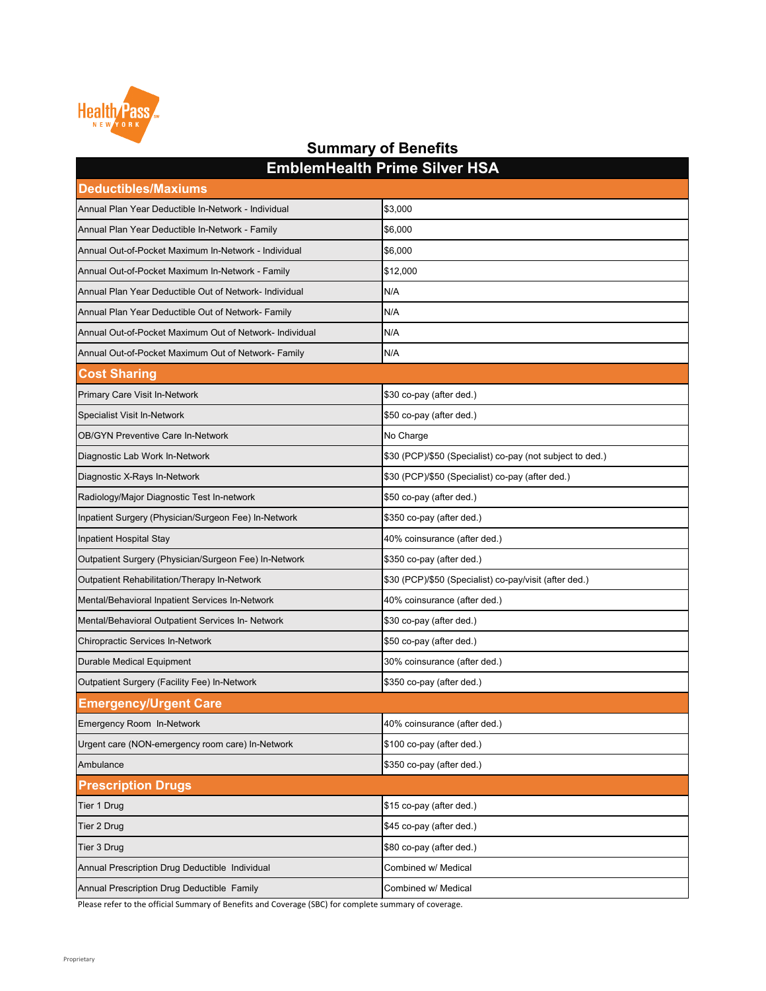| <b>Deductibles/Maxiums</b>                              |                                                           |
|---------------------------------------------------------|-----------------------------------------------------------|
| Annual Plan Year Deductible In-Network - Individual     | \$3,000                                                   |
| Annual Plan Year Deductible In-Network - Family         | \$6,000                                                   |
| Annual Out-of-Pocket Maximum In-Network - Individual    | \$6,000                                                   |
| Annual Out-of-Pocket Maximum In-Network - Family        | \$12,000                                                  |
| Annual Plan Year Deductible Out of Network- Individual  | N/A                                                       |
| Annual Plan Year Deductible Out of Network- Family      | N/A                                                       |
| Annual Out-of-Pocket Maximum Out of Network- Individual | N/A                                                       |
| Annual Out-of-Pocket Maximum Out of Network- Family     | N/A                                                       |
| <b>Cost Sharing</b>                                     |                                                           |
| <b>Primary Care Visit In-Network</b>                    | \$30 co-pay (after ded.)                                  |
| <b>Specialist Visit In-Network</b>                      | \$50 co-pay (after ded.)                                  |
| <b>OB/GYN Preventive Care In-Network</b>                | No Charge                                                 |
| Diagnostic Lab Work In-Network                          | \$30 (PCP)/\$50 (Specialist) co-pay (not subject to ded.) |
| Diagnostic X-Rays In-Network                            | \$30 (PCP)/\$50 (Specialist) co-pay (after ded.)          |
| Radiology/Major Diagnostic Test In-network              | \$50 co-pay (after ded.)                                  |
| Inpatient Surgery (Physician/Surgeon Fee) In-Network    | \$350 co-pay (after ded.)                                 |
| Inpatient Hospital Stay                                 | 40% coinsurance (after ded.)                              |
| Outpatient Surgery (Physician/Surgeon Fee) In-Network   | \$350 co-pay (after ded.)                                 |
| Outpatient Rehabilitation/Therapy In-Network            | \$30 (PCP)/\$50 (Specialist) co-pay/visit (after ded.)    |
| Mental/Behavioral Inpatient Services In-Network         | 40% coinsurance (after ded.)                              |
| Mental/Behavioral Outpatient Services In- Network       | \$30 co-pay (after ded.)                                  |
| <b>Chiropractic Services In-Network</b>                 | \$50 co-pay (after ded.)                                  |
| <b>Durable Medical Equipment</b>                        | 30% coinsurance (after ded.)                              |
| <b>Outpatient Surgery (Facility Fee) In-Network</b>     | \$350 co-pay (after ded.)                                 |
| <b>Emergency/Urgent Care</b>                            |                                                           |
| <b>Emergency Room In-Network</b>                        | 40% coinsurance (after ded.)                              |
| Urgent care (NON-emergency room care) In-Network        | \$100 co-pay (after ded.)                                 |
| Ambulance                                               | \$350 co-pay (after ded.)                                 |
| <b>Prescription Drugs</b>                               |                                                           |
| Tier 1 Drug                                             | \$15 co-pay (after ded.)                                  |
| Tier 2 Drug                                             | \$45 co-pay (after ded.)                                  |
| Tier 3 Drug                                             | \$80 co-pay (after ded.)                                  |
| Annual Prescription Drug Deductible Individual          | Combined w/ Medical                                       |
| Annual Prescription Drug Deductible Family              | Combined w/ Medical                                       |



### **Summary of Benefits EmblemHealth Prime Silver HSA**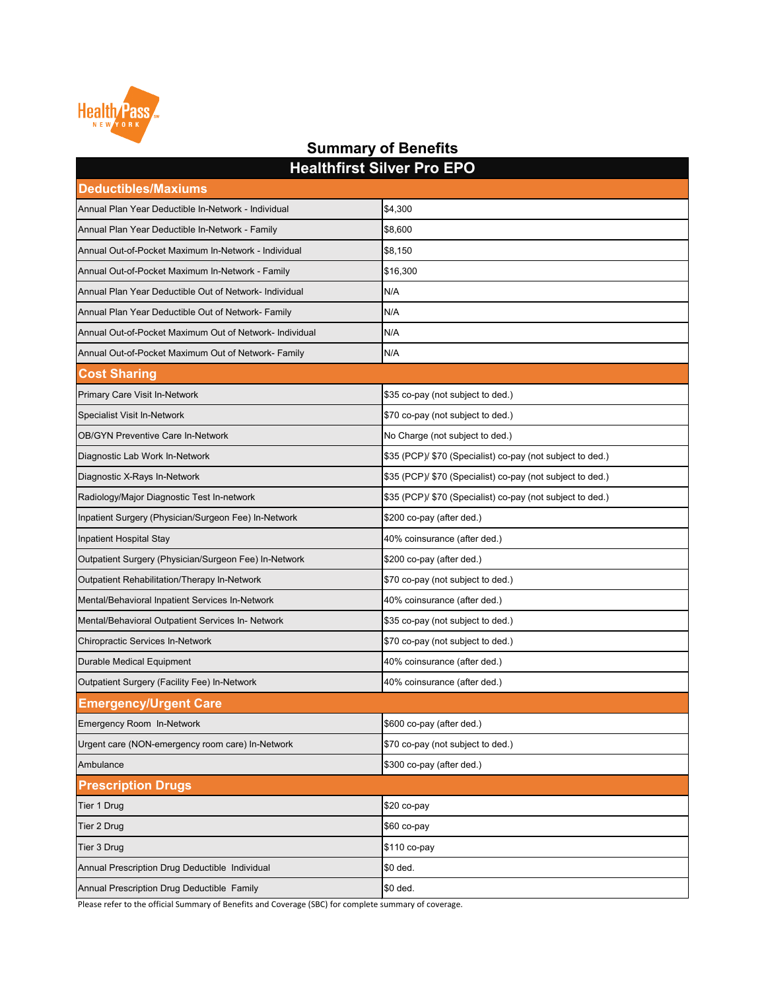| <b><i><u>ELAIREL OIIVEL LINELATIONS IN ELAIR CONTROL COMMENTS IN ELAIR</u></i></b> |                                                            |  |
|------------------------------------------------------------------------------------|------------------------------------------------------------|--|
| <b>Deductibles/Maxiums</b>                                                         |                                                            |  |
| Annual Plan Year Deductible In-Network - Individual                                | \$4,300                                                    |  |
| Annual Plan Year Deductible In-Network - Family                                    | \$8,600                                                    |  |
| Annual Out-of-Pocket Maximum In-Network - Individual                               | \$8,150                                                    |  |
| Annual Out-of-Pocket Maximum In-Network - Family                                   | \$16,300                                                   |  |
| Annual Plan Year Deductible Out of Network- Individual                             | N/A                                                        |  |
| Annual Plan Year Deductible Out of Network- Family                                 | N/A                                                        |  |
| Annual Out-of-Pocket Maximum Out of Network- Individual                            | N/A                                                        |  |
| Annual Out-of-Pocket Maximum Out of Network- Family                                | N/A                                                        |  |
| <b>Cost Sharing</b>                                                                |                                                            |  |
| <b>Primary Care Visit In-Network</b>                                               | \$35 co-pay (not subject to ded.)                          |  |
| <b>Specialist Visit In-Network</b>                                                 | \$70 co-pay (not subject to ded.)                          |  |
| <b>OB/GYN Preventive Care In-Network</b>                                           | No Charge (not subject to ded.)                            |  |
| Diagnostic Lab Work In-Network                                                     | \$35 (PCP)/ \$70 (Specialist) co-pay (not subject to ded.) |  |
| Diagnostic X-Rays In-Network                                                       | \$35 (PCP)/ \$70 (Specialist) co-pay (not subject to ded.) |  |
| Radiology/Major Diagnostic Test In-network                                         | \$35 (PCP)/ \$70 (Specialist) co-pay (not subject to ded.) |  |
| Inpatient Surgery (Physician/Surgeon Fee) In-Network                               | \$200 co-pay (after ded.)                                  |  |
| Inpatient Hospital Stay                                                            | 40% coinsurance (after ded.)                               |  |
| Outpatient Surgery (Physician/Surgeon Fee) In-Network                              | \$200 co-pay (after ded.)                                  |  |
| Outpatient Rehabilitation/Therapy In-Network                                       | \$70 co-pay (not subject to ded.)                          |  |
| Mental/Behavioral Inpatient Services In-Network                                    | 40% coinsurance (after ded.)                               |  |
| Mental/Behavioral Outpatient Services In- Network                                  | \$35 co-pay (not subject to ded.)                          |  |
| <b>Chiropractic Services In-Network</b>                                            | \$70 co-pay (not subject to ded.)                          |  |
| <b>Durable Medical Equipment</b>                                                   | 40% coinsurance (after ded.)                               |  |
| Outpatient Surgery (Facility Fee) In-Network                                       | 40% coinsurance (after ded.)                               |  |
| <b>Emergency/Urgent Care</b>                                                       |                                                            |  |
| Emergency Room In-Network                                                          | \$600 co-pay (after ded.)                                  |  |
| Urgent care (NON-emergency room care) In-Network                                   | \$70 co-pay (not subject to ded.)                          |  |
| Ambulance                                                                          | \$300 co-pay (after ded.)                                  |  |
| <b>Prescription Drugs</b>                                                          |                                                            |  |
| Tier 1 Drug                                                                        | $$20 co-pay$                                               |  |
| Tier 2 Drug                                                                        | \$60 co-pay                                                |  |
| Tier 3 Drug                                                                        | \$110 co-pay                                               |  |
| Annual Prescription Drug Deductible Individual                                     | \$0 ded.                                                   |  |
| Annual Prescription Drug Deductible Family                                         | \$0 ded.                                                   |  |



#### **Summary of Benefits Healthfirst Silver Pro EPO**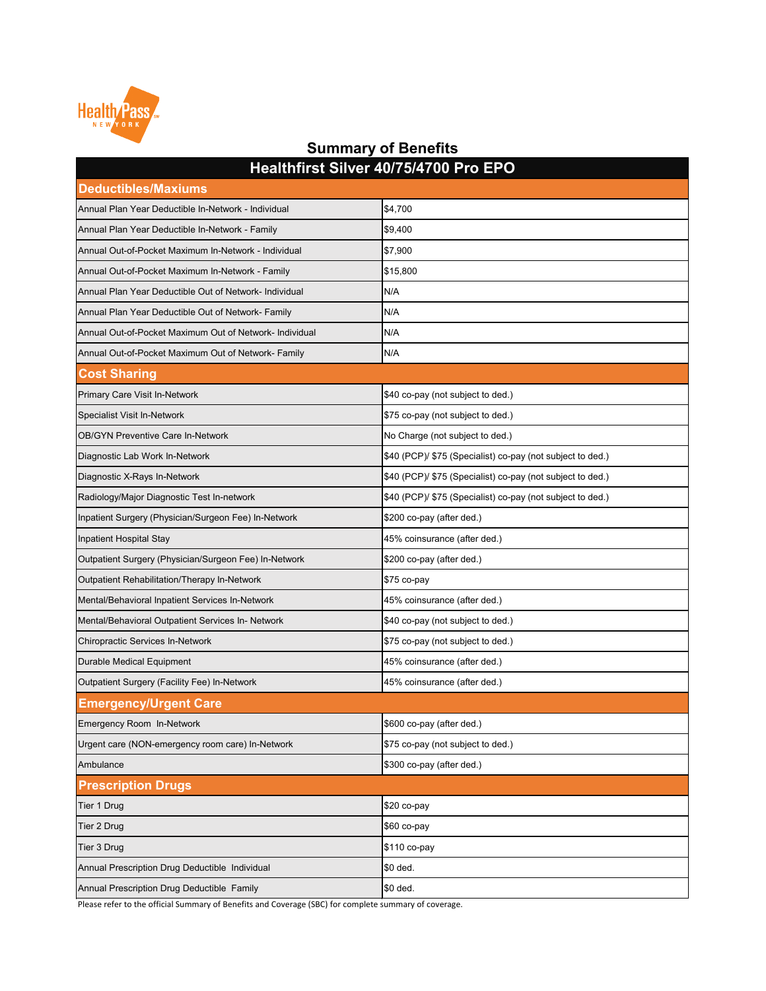| <b>Deductibles/Maxiums</b>                              |                                                            |  |
|---------------------------------------------------------|------------------------------------------------------------|--|
| Annual Plan Year Deductible In-Network - Individual     | \$4,700                                                    |  |
| Annual Plan Year Deductible In-Network - Family         | \$9,400                                                    |  |
| Annual Out-of-Pocket Maximum In-Network - Individual    | \$7,900                                                    |  |
| Annual Out-of-Pocket Maximum In-Network - Family        | \$15,800                                                   |  |
| Annual Plan Year Deductible Out of Network- Individual  | N/A                                                        |  |
| Annual Plan Year Deductible Out of Network- Family      | N/A                                                        |  |
| Annual Out-of-Pocket Maximum Out of Network- Individual | N/A                                                        |  |
| Annual Out-of-Pocket Maximum Out of Network- Family     | N/A                                                        |  |
| <b>Cost Sharing</b>                                     |                                                            |  |
| <b>Primary Care Visit In-Network</b>                    | \$40 co-pay (not subject to ded.)                          |  |
| <b>Specialist Visit In-Network</b>                      | \$75 co-pay (not subject to ded.)                          |  |
| <b>OB/GYN Preventive Care In-Network</b>                | No Charge (not subject to ded.)                            |  |
| Diagnostic Lab Work In-Network                          | \$40 (PCP)/ \$75 (Specialist) co-pay (not subject to ded.) |  |
| Diagnostic X-Rays In-Network                            | \$40 (PCP)/ \$75 (Specialist) co-pay (not subject to ded.) |  |
| Radiology/Major Diagnostic Test In-network              | \$40 (PCP)/ \$75 (Specialist) co-pay (not subject to ded.) |  |
| Inpatient Surgery (Physician/Surgeon Fee) In-Network    | \$200 co-pay (after ded.)                                  |  |
| Inpatient Hospital Stay                                 | 45% coinsurance (after ded.)                               |  |
| Outpatient Surgery (Physician/Surgeon Fee) In-Network   | \$200 co-pay (after ded.)                                  |  |
| Outpatient Rehabilitation/Therapy In-Network            | $$75$ co-pay                                               |  |
| Mental/Behavioral Inpatient Services In-Network         | 45% coinsurance (after ded.)                               |  |
| Mental/Behavioral Outpatient Services In- Network       | \$40 co-pay (not subject to ded.)                          |  |
| <b>Chiropractic Services In-Network</b>                 | \$75 co-pay (not subject to ded.)                          |  |
| <b>Durable Medical Equipment</b>                        | 45% coinsurance (after ded.)                               |  |
| Outpatient Surgery (Facility Fee) In-Network            | 45% coinsurance (after ded.)                               |  |
| <b>Emergency/Urgent Care</b>                            |                                                            |  |
| Emergency Room In-Network                               | \$600 co-pay (after ded.)                                  |  |
| Urgent care (NON-emergency room care) In-Network        | \$75 co-pay (not subject to ded.)                          |  |
| Ambulance                                               | \$300 co-pay (after ded.)                                  |  |
| <b>Prescription Drugs</b>                               |                                                            |  |
| Tier 1 Drug                                             | $$20 co-pay$                                               |  |
| <b>Tier 2 Drug</b>                                      | $$60$ co-pay                                               |  |
| Tier 3 Drug                                             | \$110 co-pay                                               |  |
| Annual Prescription Drug Deductible Individual          | \$0 ded.                                                   |  |
| Annual Prescription Drug Deductible Family              | \$0 ded.                                                   |  |



### **Summary of Benefits Healthfirst Silver 40/75/4700 Pro EPO**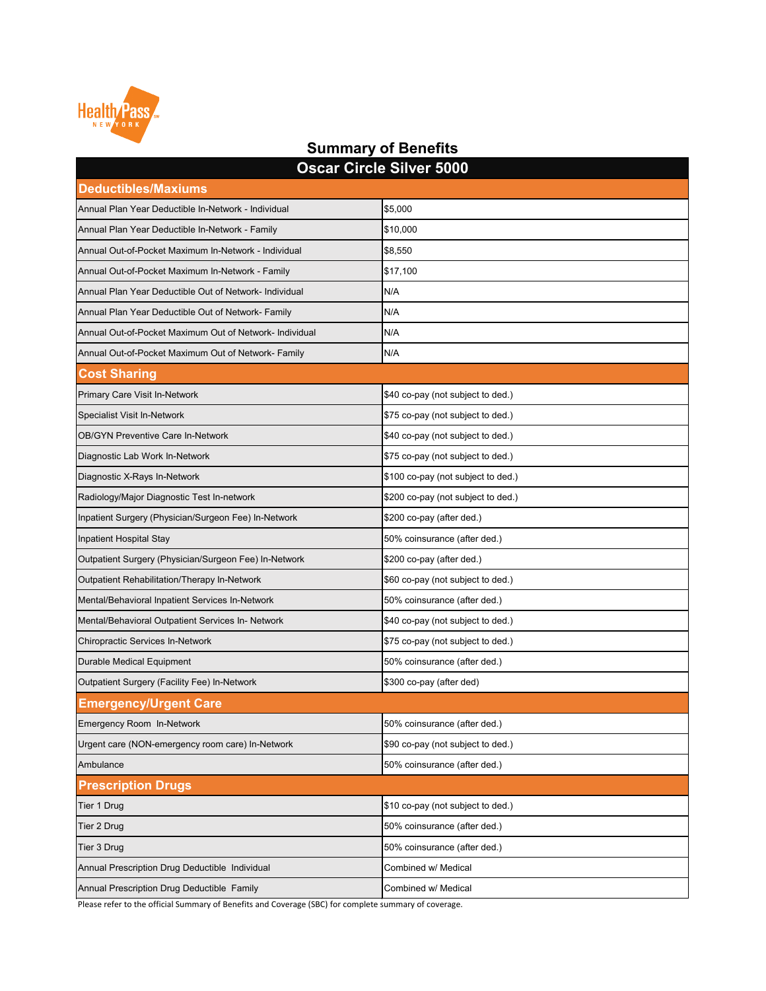| Oscar Circle Silver 5000                                |                                    |  |
|---------------------------------------------------------|------------------------------------|--|
| <b>Deductibles/Maxiums</b>                              |                                    |  |
| Annual Plan Year Deductible In-Network - Individual     | \$5,000                            |  |
| Annual Plan Year Deductible In-Network - Family         | \$10,000                           |  |
| Annual Out-of-Pocket Maximum In-Network - Individual    | \$8,550                            |  |
| Annual Out-of-Pocket Maximum In-Network - Family        | \$17,100                           |  |
| Annual Plan Year Deductible Out of Network- Individual  | N/A                                |  |
| Annual Plan Year Deductible Out of Network- Family      | N/A                                |  |
| Annual Out-of-Pocket Maximum Out of Network- Individual | N/A                                |  |
| Annual Out-of-Pocket Maximum Out of Network- Family     | N/A                                |  |
| <b>Cost Sharing</b>                                     |                                    |  |
| <b>Primary Care Visit In-Network</b>                    | \$40 co-pay (not subject to ded.)  |  |
| <b>Specialist Visit In-Network</b>                      | \$75 co-pay (not subject to ded.)  |  |
| <b>OB/GYN Preventive Care In-Network</b>                | \$40 co-pay (not subject to ded.)  |  |
| Diagnostic Lab Work In-Network                          | \$75 co-pay (not subject to ded.)  |  |
| Diagnostic X-Rays In-Network                            | \$100 co-pay (not subject to ded.) |  |
| Radiology/Major Diagnostic Test In-network              | \$200 co-pay (not subject to ded.) |  |
| Inpatient Surgery (Physician/Surgeon Fee) In-Network    | \$200 co-pay (after ded.)          |  |
| Inpatient Hospital Stay                                 | 50% coinsurance (after ded.)       |  |
| Outpatient Surgery (Physician/Surgeon Fee) In-Network   | \$200 co-pay (after ded.)          |  |
| <b>Outpatient Rehabilitation/Therapy In-Network</b>     | \$60 co-pay (not subject to ded.)  |  |
| Mental/Behavioral Inpatient Services In-Network         | 50% coinsurance (after ded.)       |  |
| Mental/Behavioral Outpatient Services In- Network       | \$40 co-pay (not subject to ded.)  |  |
| <b>Chiropractic Services In-Network</b>                 | \$75 co-pay (not subject to ded.)  |  |
| <b>Durable Medical Equipment</b>                        | 50% coinsurance (after ded.)       |  |
| <b>Outpatient Surgery (Facility Fee) In-Network</b>     | \$300 co-pay (after ded)           |  |
| <b>Emergency/Urgent Care</b>                            |                                    |  |
| <b>Emergency Room In-Network</b>                        | 50% coinsurance (after ded.)       |  |
| Urgent care (NON-emergency room care) In-Network        | \$90 co-pay (not subject to ded.)  |  |
| Ambulance                                               | 50% coinsurance (after ded.)       |  |
| <b>Prescription Drugs</b>                               |                                    |  |
| Tier 1 Drug                                             | \$10 co-pay (not subject to ded.)  |  |
| Tier 2 Drug                                             | 50% coinsurance (after ded.)       |  |
| Tier 3 Drug                                             | 50% coinsurance (after ded.)       |  |
| Annual Prescription Drug Deductible Individual          | Combined w/ Medical                |  |
| Annual Prescription Drug Deductible Family              | Combined w/ Medical                |  |

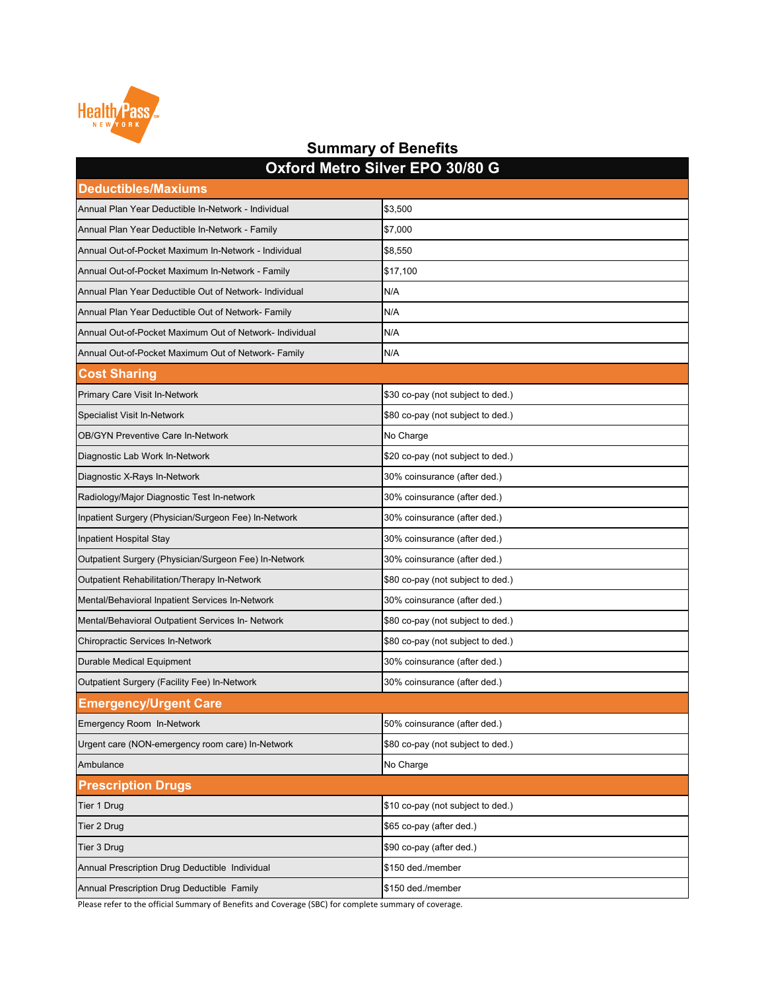| M <sub>1</sub><br><b>Deductibles/Maxiums</b>            |                                   |
|---------------------------------------------------------|-----------------------------------|
| Annual Plan Year Deductible In-Network - Individual     | \$3,500                           |
| Annual Plan Year Deductible In-Network - Family         | \$7,000                           |
| Annual Out-of-Pocket Maximum In-Network - Individual    | \$8,550                           |
| Annual Out-of-Pocket Maximum In-Network - Family        | \$17,100                          |
| Annual Plan Year Deductible Out of Network- Individual  | N/A                               |
| Annual Plan Year Deductible Out of Network- Family      | N/A                               |
| Annual Out-of-Pocket Maximum Out of Network- Individual | N/A                               |
| Annual Out-of-Pocket Maximum Out of Network- Family     | N/A                               |
| <b>Cost Sharing</b>                                     |                                   |
| <b>Primary Care Visit In-Network</b>                    | \$30 co-pay (not subject to ded.) |
| <b>Specialist Visit In-Network</b>                      | \$80 co-pay (not subject to ded.) |
| <b>OB/GYN Preventive Care In-Network</b>                | No Charge                         |
| Diagnostic Lab Work In-Network                          | \$20 co-pay (not subject to ded.) |
| Diagnostic X-Rays In-Network                            | 30% coinsurance (after ded.)      |
| Radiology/Major Diagnostic Test In-network              | 30% coinsurance (after ded.)      |
| Inpatient Surgery (Physician/Surgeon Fee) In-Network    | 30% coinsurance (after ded.)      |
| Inpatient Hospital Stay                                 | 30% coinsurance (after ded.)      |
| Outpatient Surgery (Physician/Surgeon Fee) In-Network   | 30% coinsurance (after ded.)      |
| <b>Outpatient Rehabilitation/Therapy In-Network</b>     | \$80 co-pay (not subject to ded.) |
| Mental/Behavioral Inpatient Services In-Network         | 30% coinsurance (after ded.)      |
| Mental/Behavioral Outpatient Services In- Network       | \$80 co-pay (not subject to ded.) |
| <b>Chiropractic Services In-Network</b>                 | \$80 co-pay (not subject to ded.) |
| <b>Durable Medical Equipment</b>                        | 30% coinsurance (after ded.)      |
| <b>Outpatient Surgery (Facility Fee) In-Network</b>     | 30% coinsurance (after ded.)      |
| <b>Emergency/Urgent Care</b>                            |                                   |
| <b>Emergency Room In-Network</b>                        | 50% coinsurance (after ded.)      |
| Urgent care (NON-emergency room care) In-Network        | \$80 co-pay (not subject to ded.) |
| Ambulance                                               | No Charge                         |
| <b>Prescription Drugs</b>                               |                                   |
| Tier 1 Drug                                             | \$10 co-pay (not subject to ded.) |
| Tier 2 Drug                                             | \$65 co-pay (after ded.)          |
| Tier 3 Drug                                             | \$90 co-pay (after ded.)          |
| Annual Prescription Drug Deductible Individual          | \$150 ded./member                 |
| Annual Prescription Drug Deductible Family              | \$150 ded./member                 |



#### **Summary of Benefits Oxford Metro Silver EPO 30/80 G**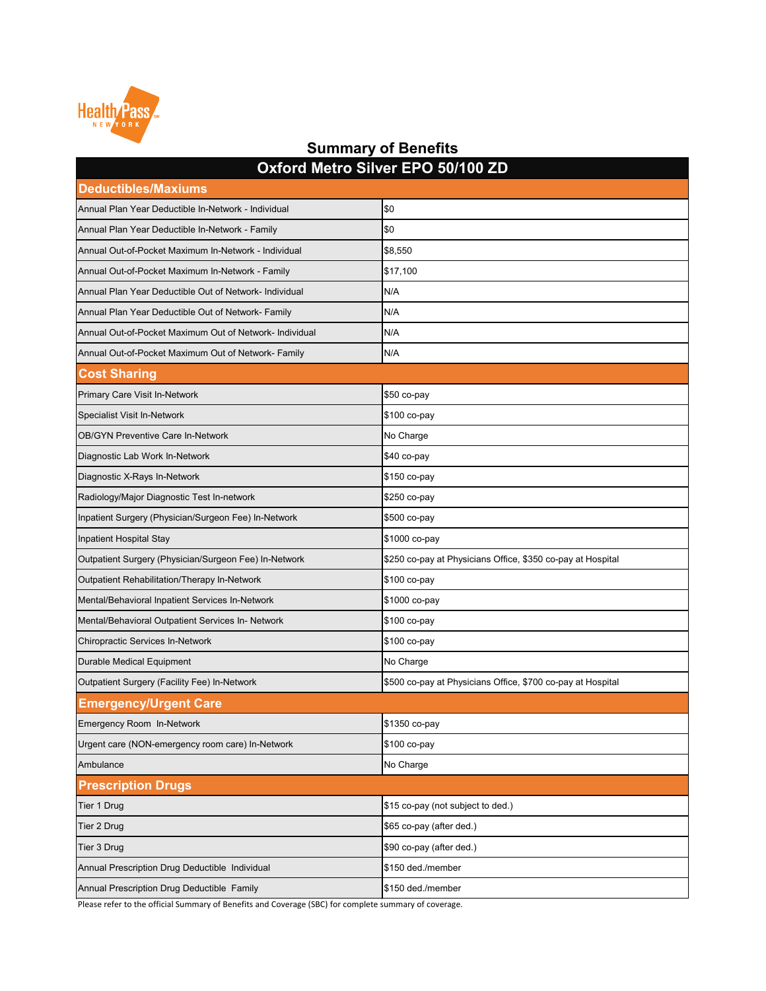| <b>Deductibles/Maxiums</b>                              |                                                             |
|---------------------------------------------------------|-------------------------------------------------------------|
| Annual Plan Year Deductible In-Network - Individual     | \$0                                                         |
| Annual Plan Year Deductible In-Network - Family         | \$0                                                         |
| Annual Out-of-Pocket Maximum In-Network - Individual    | \$8,550                                                     |
| Annual Out-of-Pocket Maximum In-Network - Family        | \$17,100                                                    |
| Annual Plan Year Deductible Out of Network- Individual  | N/A                                                         |
| Annual Plan Year Deductible Out of Network- Family      | N/A                                                         |
| Annual Out-of-Pocket Maximum Out of Network- Individual | N/A                                                         |
| Annual Out-of-Pocket Maximum Out of Network- Family     | N/A                                                         |
| <b>Cost Sharing</b>                                     |                                                             |
| Primary Care Visit In-Network                           | $$50$ co-pay                                                |
| <b>Specialist Visit In-Network</b>                      | \$100 co-pay                                                |
| <b>OB/GYN Preventive Care In-Network</b>                | No Charge                                                   |
| Diagnostic Lab Work In-Network                          | $$40$ co-pay                                                |
| Diagnostic X-Rays In-Network                            | \$150 co-pay                                                |
| Radiology/Major Diagnostic Test In-network              | \$250 co-pay                                                |
| Inpatient Surgery (Physician/Surgeon Fee) In-Network    | \$500 co-pay                                                |
| Inpatient Hospital Stay                                 | \$1000 co-pay                                               |
| Outpatient Surgery (Physician/Surgeon Fee) In-Network   | \$250 co-pay at Physicians Office, \$350 co-pay at Hospital |
| Outpatient Rehabilitation/Therapy In-Network            | \$100 co-pay                                                |
| Mental/Behavioral Inpatient Services In-Network         | \$1000 co-pay                                               |
| Mental/Behavioral Outpatient Services In- Network       | \$100 co-pay                                                |
| <b>Chiropractic Services In-Network</b>                 | \$100 co-pay                                                |
| <b>Durable Medical Equipment</b>                        | No Charge                                                   |
| Outpatient Surgery (Facility Fee) In-Network            | \$500 co-pay at Physicians Office, \$700 co-pay at Hospital |
| <b>Emergency/Urgent Care</b>                            |                                                             |
| Emergency Room In-Network                               | \$1350 co-pay                                               |
| Urgent care (NON-emergency room care) In-Network        | \$100 co-pay                                                |
| Ambulance                                               | No Charge                                                   |
| <b>Prescription Drugs</b>                               |                                                             |
| Tier 1 Drug                                             | \$15 co-pay (not subject to ded.)                           |
| <b>Tier 2 Drug</b>                                      | \$65 co-pay (after ded.)                                    |
| Tier 3 Drug                                             | \$90 co-pay (after ded.)                                    |
| Annual Prescription Drug Deductible Individual          | \$150 ded./member                                           |
| Annual Prescription Drug Deductible Family              | \$150 ded./member                                           |



#### **Summary of Benefits Oxford Metro Silver EPO 50/100 ZD**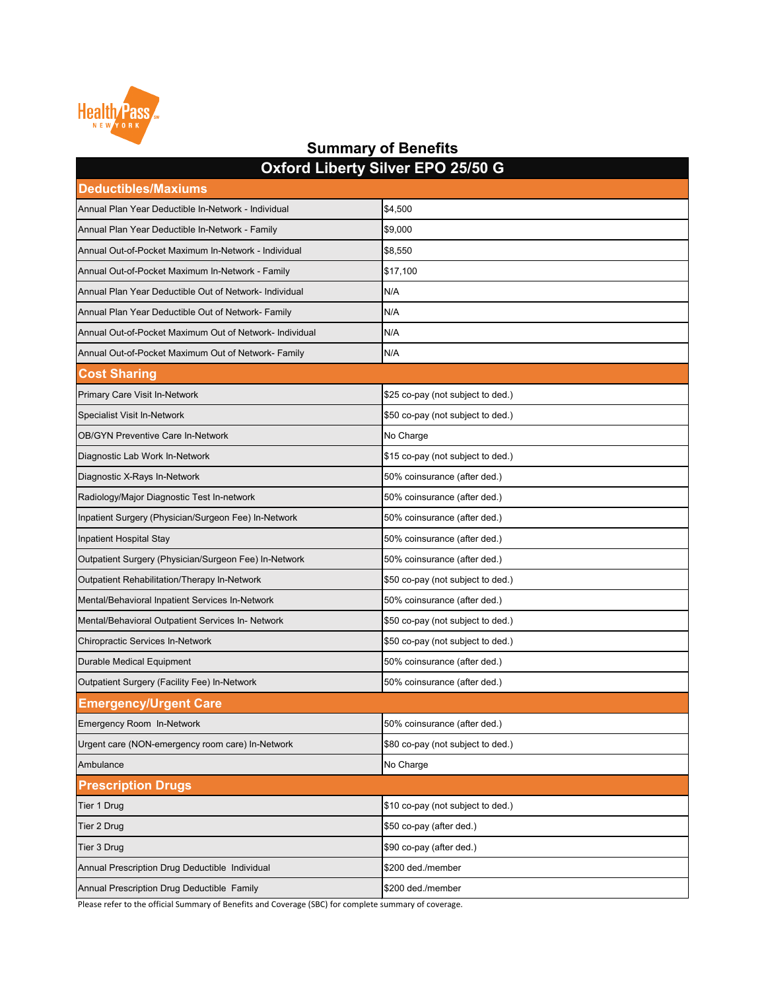| <b>SAIDIM EINGLY SIIVEL ET S'EUROP</b><br><b>Deductibles/Maxiums</b> |                                   |  |
|----------------------------------------------------------------------|-----------------------------------|--|
| Annual Plan Year Deductible In-Network - Individual                  | \$4,500                           |  |
| Annual Plan Year Deductible In-Network - Family                      | \$9,000                           |  |
| Annual Out-of-Pocket Maximum In-Network - Individual                 | \$8,550                           |  |
| Annual Out-of-Pocket Maximum In-Network - Family                     | \$17,100                          |  |
| Annual Plan Year Deductible Out of Network- Individual               | N/A                               |  |
| Annual Plan Year Deductible Out of Network- Family                   | N/A                               |  |
| Annual Out-of-Pocket Maximum Out of Network- Individual              | N/A                               |  |
| Annual Out-of-Pocket Maximum Out of Network- Family                  | N/A                               |  |
| <b>Cost Sharing</b>                                                  |                                   |  |
| <b>Primary Care Visit In-Network</b>                                 | \$25 co-pay (not subject to ded.) |  |
| <b>Specialist Visit In-Network</b>                                   | \$50 co-pay (not subject to ded.) |  |
| <b>OB/GYN Preventive Care In-Network</b>                             | No Charge                         |  |
| Diagnostic Lab Work In-Network                                       | \$15 co-pay (not subject to ded.) |  |
| Diagnostic X-Rays In-Network                                         | 50% coinsurance (after ded.)      |  |
| Radiology/Major Diagnostic Test In-network                           | 50% coinsurance (after ded.)      |  |
| Inpatient Surgery (Physician/Surgeon Fee) In-Network                 | 50% coinsurance (after ded.)      |  |
| Inpatient Hospital Stay                                              | 50% coinsurance (after ded.)      |  |
| Outpatient Surgery (Physician/Surgeon Fee) In-Network                | 50% coinsurance (after ded.)      |  |
| <b>Outpatient Rehabilitation/Therapy In-Network</b>                  | \$50 co-pay (not subject to ded.) |  |
| Mental/Behavioral Inpatient Services In-Network                      | 50% coinsurance (after ded.)      |  |
| Mental/Behavioral Outpatient Services In- Network                    | \$50 co-pay (not subject to ded.) |  |
| <b>Chiropractic Services In-Network</b>                              | \$50 co-pay (not subject to ded.) |  |
| <b>Durable Medical Equipment</b>                                     | 50% coinsurance (after ded.)      |  |
| <b>Outpatient Surgery (Facility Fee) In-Network</b>                  | 50% coinsurance (after ded.)      |  |
| <b>Emergency/Urgent Care</b>                                         |                                   |  |
| <b>Emergency Room In-Network</b>                                     | 50% coinsurance (after ded.)      |  |
| Urgent care (NON-emergency room care) In-Network                     | \$80 co-pay (not subject to ded.) |  |
| Ambulance                                                            | No Charge                         |  |
| <b>Prescription Drugs</b>                                            |                                   |  |
| Tier 1 Drug                                                          | \$10 co-pay (not subject to ded.) |  |
| Tier 2 Drug                                                          | \$50 co-pay (after ded.)          |  |
| Tier 3 Drug                                                          | \$90 co-pay (after ded.)          |  |
| Annual Prescription Drug Deductible Individual                       | \$200 ded./member                 |  |
| Annual Prescription Drug Deductible Family                           | \$200 ded./member                 |  |



#### **Summary of Benefits Oxford Liberty Silver EPO 25/50 G**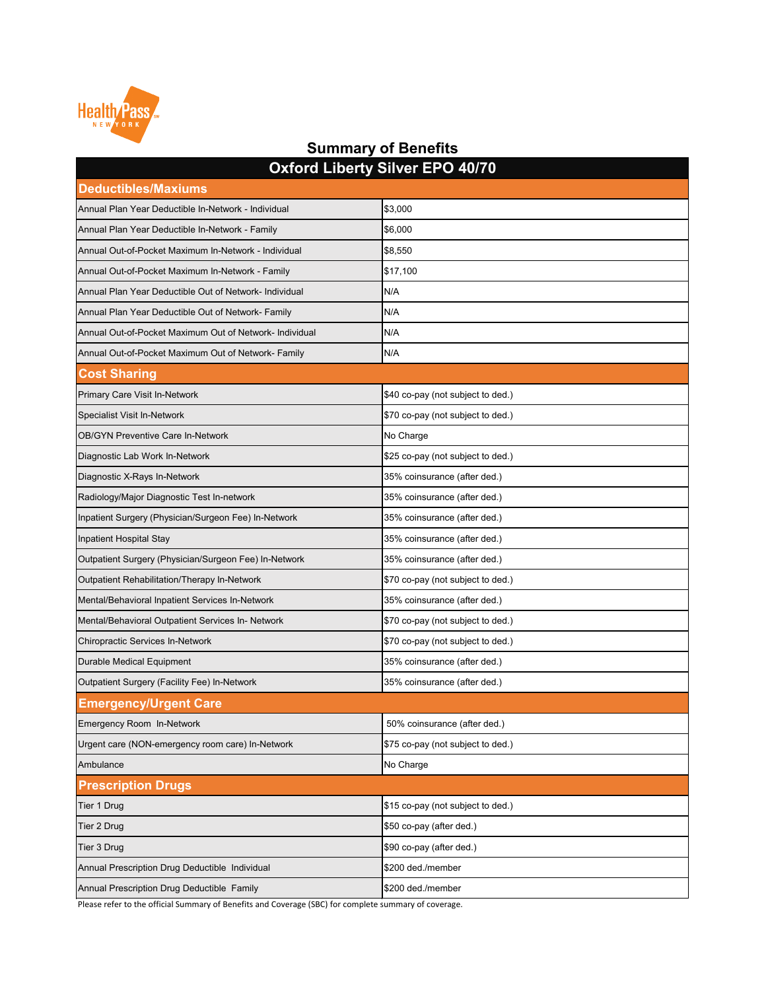| <b>OXIOIU LIDUITY OIIVUI LI O TUITU</b><br><b>Deductibles/Maxiums</b> |                                   |
|-----------------------------------------------------------------------|-----------------------------------|
| Annual Plan Year Deductible In-Network - Individual                   | \$3,000                           |
| Annual Plan Year Deductible In-Network - Family                       | \$6,000                           |
| Annual Out-of-Pocket Maximum In-Network - Individual                  | \$8,550                           |
| Annual Out-of-Pocket Maximum In-Network - Family                      | \$17,100                          |
| Annual Plan Year Deductible Out of Network- Individual                | N/A                               |
| Annual Plan Year Deductible Out of Network- Family                    | N/A                               |
| Annual Out-of-Pocket Maximum Out of Network- Individual               | N/A                               |
| Annual Out-of-Pocket Maximum Out of Network- Family                   | N/A                               |
| <b>Cost Sharing</b>                                                   |                                   |
| <b>Primary Care Visit In-Network</b>                                  | \$40 co-pay (not subject to ded.) |
| <b>Specialist Visit In-Network</b>                                    | \$70 co-pay (not subject to ded.) |
| <b>OB/GYN Preventive Care In-Network</b>                              | No Charge                         |
| Diagnostic Lab Work In-Network                                        | \$25 co-pay (not subject to ded.) |
| Diagnostic X-Rays In-Network                                          | 35% coinsurance (after ded.)      |
| Radiology/Major Diagnostic Test In-network                            | 35% coinsurance (after ded.)      |
| Inpatient Surgery (Physician/Surgeon Fee) In-Network                  | 35% coinsurance (after ded.)      |
| <b>Inpatient Hospital Stay</b>                                        | 35% coinsurance (after ded.)      |
| Outpatient Surgery (Physician/Surgeon Fee) In-Network                 | 35% coinsurance (after ded.)      |
| <b>Outpatient Rehabilitation/Therapy In-Network</b>                   | \$70 co-pay (not subject to ded.) |
| Mental/Behavioral Inpatient Services In-Network                       | 35% coinsurance (after ded.)      |
| Mental/Behavioral Outpatient Services In- Network                     | \$70 co-pay (not subject to ded.) |
| <b>Chiropractic Services In-Network</b>                               | \$70 co-pay (not subject to ded.) |
| <b>Durable Medical Equipment</b>                                      | 35% coinsurance (after ded.)      |
| <b>Outpatient Surgery (Facility Fee) In-Network</b>                   | 35% coinsurance (after ded.)      |
| <b>Emergency/Urgent Care</b>                                          |                                   |
| <b>Emergency Room In-Network</b>                                      | 50% coinsurance (after ded.)      |
| Urgent care (NON-emergency room care) In-Network                      | \$75 co-pay (not subject to ded.) |
| Ambulance                                                             | No Charge                         |
| <b>Prescription Drugs</b>                                             |                                   |
| Tier 1 Drug                                                           | \$15 co-pay (not subject to ded.) |
| Tier 2 Drug                                                           | \$50 co-pay (after ded.)          |
| Tier 3 Drug                                                           | \$90 co-pay (after ded.)          |
| Annual Prescription Drug Deductible Individual                        | \$200 ded./member                 |
| Annual Prescription Drug Deductible Family                            | \$200 ded./member                 |



### **Summary of Benefits Oxford Liberty Silver EPO 40/70**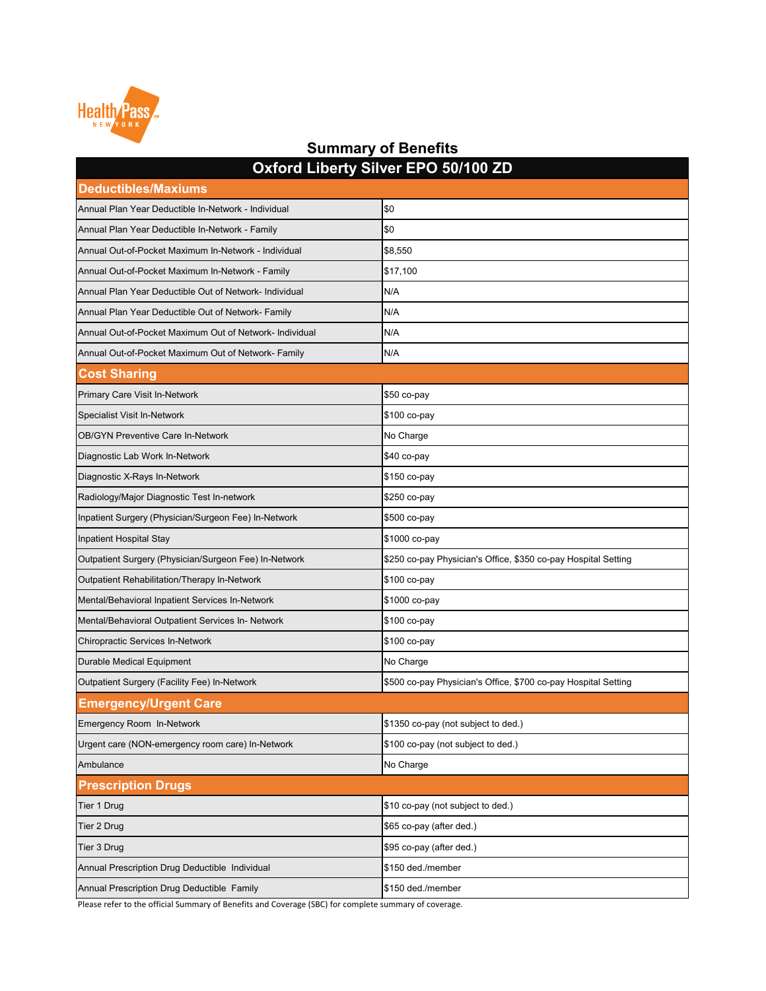| <b>Deductibles/Maxiums</b>                              |                                                                |
|---------------------------------------------------------|----------------------------------------------------------------|
| Annual Plan Year Deductible In-Network - Individual     | \$0                                                            |
| Annual Plan Year Deductible In-Network - Family         | \$0                                                            |
| Annual Out-of-Pocket Maximum In-Network - Individual    | \$8,550                                                        |
| Annual Out-of-Pocket Maximum In-Network - Family        | \$17,100                                                       |
| Annual Plan Year Deductible Out of Network- Individual  | N/A                                                            |
| Annual Plan Year Deductible Out of Network- Family      | N/A                                                            |
| Annual Out-of-Pocket Maximum Out of Network- Individual | N/A                                                            |
| Annual Out-of-Pocket Maximum Out of Network- Family     | N/A                                                            |
| <b>Cost Sharing</b>                                     |                                                                |
| <b>Primary Care Visit In-Network</b>                    | $$50$ co-pay                                                   |
| <b>Specialist Visit In-Network</b>                      | \$100 co-pay                                                   |
| <b>OB/GYN Preventive Care In-Network</b>                | No Charge                                                      |
| Diagnostic Lab Work In-Network                          | \$40 co-pay                                                    |
| Diagnostic X-Rays In-Network                            | \$150 co-pay                                                   |
| Radiology/Major Diagnostic Test In-network              | \$250 co-pay                                                   |
| Inpatient Surgery (Physician/Surgeon Fee) In-Network    | \$500 co-pay                                                   |
| Inpatient Hospital Stay                                 | \$1000 co-pay                                                  |
| Outpatient Surgery (Physician/Surgeon Fee) In-Network   | \$250 co-pay Physician's Office, \$350 co-pay Hospital Setting |
| Outpatient Rehabilitation/Therapy In-Network            | \$100 co-pay                                                   |
| Mental/Behavioral Inpatient Services In-Network         | \$1000 co-pay                                                  |
| Mental/Behavioral Outpatient Services In- Network       | \$100 co-pay                                                   |
| <b>Chiropractic Services In-Network</b>                 | \$100 co-pay                                                   |
| Durable Medical Equipment                               | No Charge                                                      |
| Outpatient Surgery (Facility Fee) In-Network            | \$500 co-pay Physician's Office, \$700 co-pay Hospital Setting |
| <b>Emergency/Urgent Care</b>                            |                                                                |
| Emergency Room In-Network                               | \$1350 co-pay (not subject to ded.)                            |
| Urgent care (NON-emergency room care) In-Network        | \$100 co-pay (not subject to ded.)                             |
| Ambulance                                               | No Charge                                                      |
| <b>Prescription Drugs</b>                               |                                                                |
| Tier 1 Drug                                             | \$10 co-pay (not subject to ded.)                              |
| <b>Tier 2 Drug</b>                                      | \$65 co-pay (after ded.)                                       |
| Tier 3 Drug                                             | \$95 co-pay (after ded.)                                       |
| Annual Prescription Drug Deductible Individual          | \$150 ded./member                                              |
| Annual Prescription Drug Deductible Family              | \$150 ded./member                                              |



### **Summary of Benefits Oxford Liberty Silver EPO 50/100 ZD**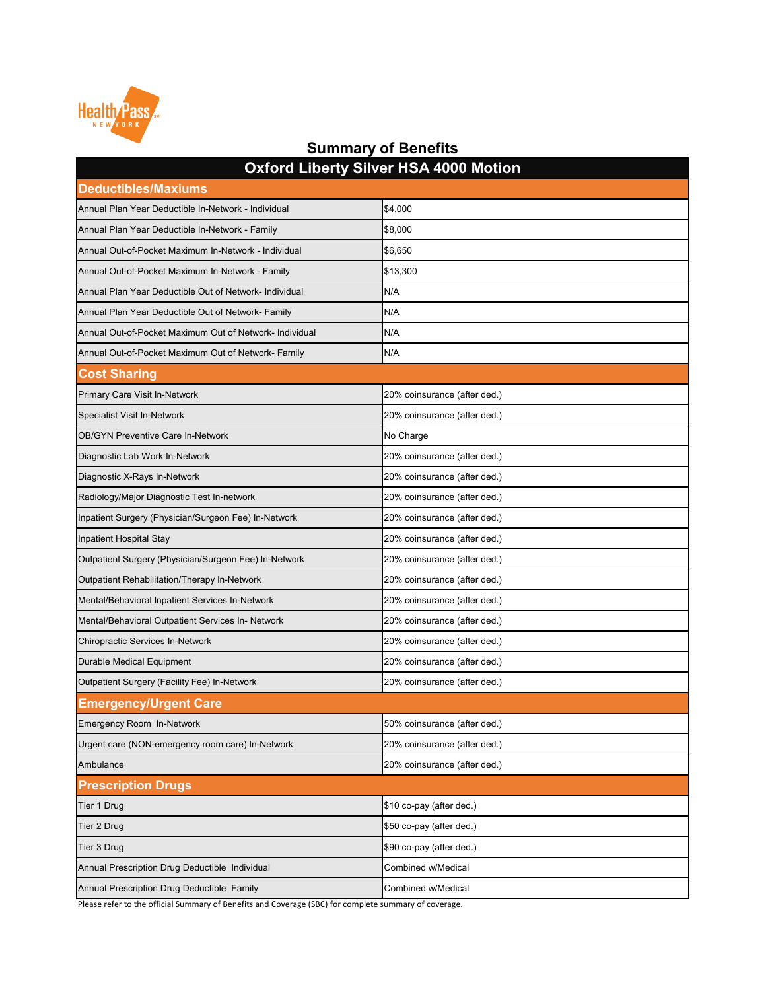| <b>Deductibles/Maxiums</b>                              |                              |  |
|---------------------------------------------------------|------------------------------|--|
| Annual Plan Year Deductible In-Network - Individual     | \$4,000                      |  |
| Annual Plan Year Deductible In-Network - Family         | \$8,000                      |  |
| Annual Out-of-Pocket Maximum In-Network - Individual    | \$6,650                      |  |
| Annual Out-of-Pocket Maximum In-Network - Family        | \$13,300                     |  |
| Annual Plan Year Deductible Out of Network- Individual  | N/A                          |  |
| Annual Plan Year Deductible Out of Network- Family      | N/A                          |  |
| Annual Out-of-Pocket Maximum Out of Network- Individual | N/A                          |  |
| Annual Out-of-Pocket Maximum Out of Network- Family     | N/A                          |  |
| <b>Cost Sharing</b>                                     |                              |  |
| <b>Primary Care Visit In-Network</b>                    | 20% coinsurance (after ded.) |  |
| <b>Specialist Visit In-Network</b>                      | 20% coinsurance (after ded.) |  |
| <b>OB/GYN Preventive Care In-Network</b>                | No Charge                    |  |
| Diagnostic Lab Work In-Network                          | 20% coinsurance (after ded.) |  |
| Diagnostic X-Rays In-Network                            | 20% coinsurance (after ded.) |  |
| Radiology/Major Diagnostic Test In-network              | 20% coinsurance (after ded.) |  |
| Inpatient Surgery (Physician/Surgeon Fee) In-Network    | 20% coinsurance (after ded.) |  |
| Inpatient Hospital Stay                                 | 20% coinsurance (after ded.) |  |
| Outpatient Surgery (Physician/Surgeon Fee) In-Network   | 20% coinsurance (after ded.) |  |
| <b>Outpatient Rehabilitation/Therapy In-Network</b>     | 20% coinsurance (after ded.) |  |
| Mental/Behavioral Inpatient Services In-Network         | 20% coinsurance (after ded.) |  |
| Mental/Behavioral Outpatient Services In- Network       | 20% coinsurance (after ded.) |  |
| <b>Chiropractic Services In-Network</b>                 | 20% coinsurance (after ded.) |  |
| <b>Durable Medical Equipment</b>                        | 20% coinsurance (after ded.) |  |
| <b>Outpatient Surgery (Facility Fee) In-Network</b>     | 20% coinsurance (after ded.) |  |
| <b>Emergency/Urgent Care</b>                            |                              |  |
| <b>Emergency Room In-Network</b>                        | 50% coinsurance (after ded.) |  |
| Urgent care (NON-emergency room care) In-Network        | 20% coinsurance (after ded.) |  |
| Ambulance                                               | 20% coinsurance (after ded.) |  |
| <b>Prescription Drugs</b>                               |                              |  |
| Tier 1 Drug                                             | \$10 co-pay (after ded.)     |  |
| Tier 2 Drug                                             | \$50 co-pay (after ded.)     |  |
| Tier 3 Drug                                             | \$90 co-pay (after ded.)     |  |
| Annual Prescription Drug Deductible Individual          | <b>Combined w/Medical</b>    |  |
| Annual Prescription Drug Deductible Family              | <b>Combined w/Medical</b>    |  |



### **Summary of Benefits Oxford Liberty Silver HSA 4000 Motion**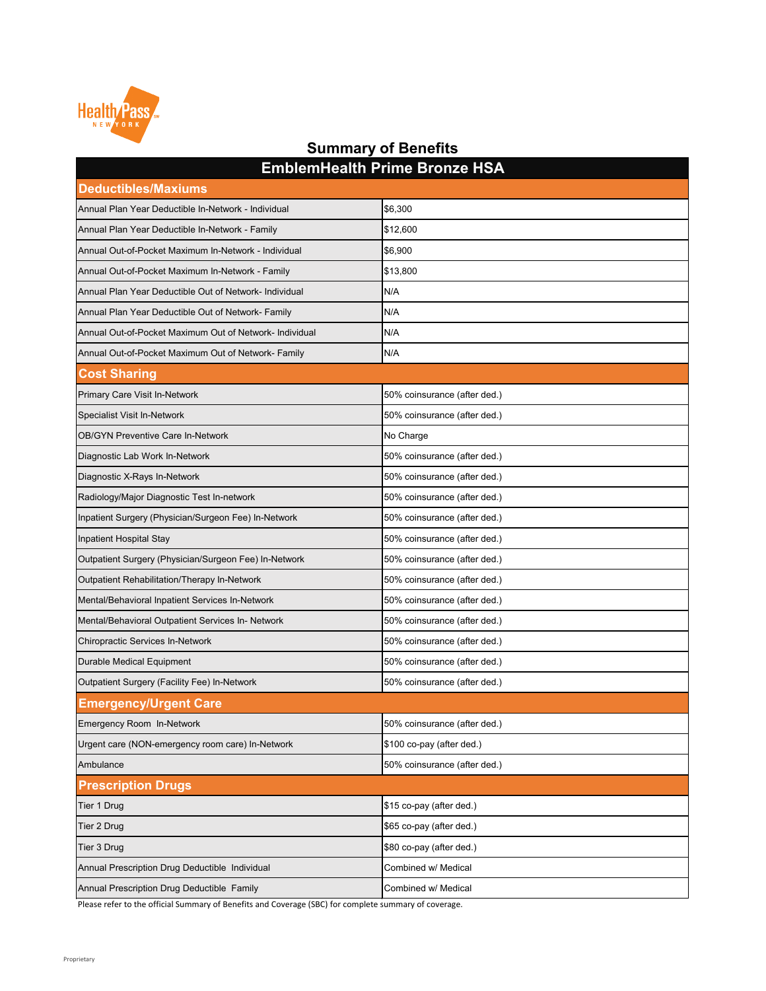| <b>Deductibles/Maxiums</b>                              | $\blacksquare$               |
|---------------------------------------------------------|------------------------------|
| Annual Plan Year Deductible In-Network - Individual     | \$6,300                      |
| Annual Plan Year Deductible In-Network - Family         | \$12,600                     |
| Annual Out-of-Pocket Maximum In-Network - Individual    | \$6,900                      |
| Annual Out-of-Pocket Maximum In-Network - Family        | \$13,800                     |
| Annual Plan Year Deductible Out of Network- Individual  | N/A                          |
| Annual Plan Year Deductible Out of Network- Family      | N/A                          |
| Annual Out-of-Pocket Maximum Out of Network- Individual | N/A                          |
| Annual Out-of-Pocket Maximum Out of Network- Family     | N/A                          |
| <b>Cost Sharing</b>                                     |                              |
| <b>Primary Care Visit In-Network</b>                    | 50% coinsurance (after ded.) |
| <b>Specialist Visit In-Network</b>                      | 50% coinsurance (after ded.) |
| <b>OB/GYN Preventive Care In-Network</b>                | No Charge                    |
| Diagnostic Lab Work In-Network                          | 50% coinsurance (after ded.) |
| Diagnostic X-Rays In-Network                            | 50% coinsurance (after ded.) |
| Radiology/Major Diagnostic Test In-network              | 50% coinsurance (after ded.) |
| Inpatient Surgery (Physician/Surgeon Fee) In-Network    | 50% coinsurance (after ded.) |
| Inpatient Hospital Stay                                 | 50% coinsurance (after ded.) |
| Outpatient Surgery (Physician/Surgeon Fee) In-Network   | 50% coinsurance (after ded.) |
| Outpatient Rehabilitation/Therapy In-Network            | 50% coinsurance (after ded.) |
| Mental/Behavioral Inpatient Services In-Network         | 50% coinsurance (after ded.) |
| Mental/Behavioral Outpatient Services In- Network       | 50% coinsurance (after ded.) |
| <b>Chiropractic Services In-Network</b>                 | 50% coinsurance (after ded.) |
| Durable Medical Equipment                               | 50% coinsurance (after ded.) |
| Outpatient Surgery (Facility Fee) In-Network            | 50% coinsurance (after ded.) |
| <b>Emergency/Urgent Care</b>                            |                              |
| Emergency Room In-Network                               | 50% coinsurance (after ded.) |
| Urgent care (NON-emergency room care) In-Network        | \$100 co-pay (after ded.)    |
| Ambulance                                               | 50% coinsurance (after ded.) |
| <b>Prescription Drugs</b>                               |                              |
| Tier 1 Drug                                             | \$15 co-pay (after ded.)     |
| Tier 2 Drug                                             | \$65 co-pay (after ded.)     |
| Tier 3 Drug                                             | \$80 co-pay (after ded.)     |
| Annual Prescription Drug Deductible Individual          | Combined w/ Medical          |
| Annual Prescription Drug Deductible Family              | Combined w/ Medical          |



### **Summary of Benefits EmblemHealth Prime Bronze HSA**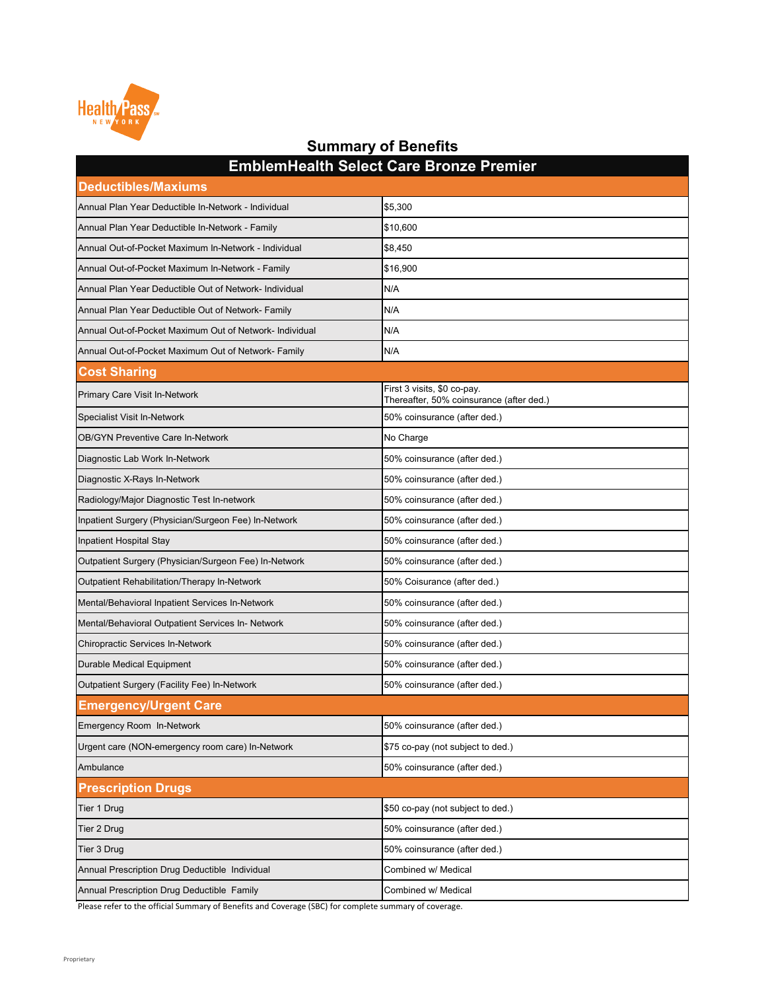| <b>Deductibles/Maxiums</b>                              | ENINGINI IVANIT OCIUCL OATU DI VIIZU T TUNIIUI                          |
|---------------------------------------------------------|-------------------------------------------------------------------------|
| Annual Plan Year Deductible In-Network - Individual     | \$5,300                                                                 |
| Annual Plan Year Deductible In-Network - Family         | \$10,600                                                                |
| Annual Out-of-Pocket Maximum In-Network - Individual    | \$8,450                                                                 |
| Annual Out-of-Pocket Maximum In-Network - Family        | \$16,900                                                                |
| Annual Plan Year Deductible Out of Network- Individual  | N/A                                                                     |
| Annual Plan Year Deductible Out of Network- Family      | N/A                                                                     |
| Annual Out-of-Pocket Maximum Out of Network- Individual | N/A                                                                     |
| Annual Out-of-Pocket Maximum Out of Network- Family     | N/A                                                                     |
| <b>Cost Sharing</b>                                     |                                                                         |
| <b>Primary Care Visit In-Network</b>                    | First 3 visits, \$0 co-pay.<br>Thereafter, 50% coinsurance (after ded.) |
| <b>Specialist Visit In-Network</b>                      | 50% coinsurance (after ded.)                                            |
| <b>OB/GYN Preventive Care In-Network</b>                | No Charge                                                               |
| Diagnostic Lab Work In-Network                          | 50% coinsurance (after ded.)                                            |
| Diagnostic X-Rays In-Network                            | 50% coinsurance (after ded.)                                            |
| Radiology/Major Diagnostic Test In-network              | 50% coinsurance (after ded.)                                            |
| Inpatient Surgery (Physician/Surgeon Fee) In-Network    | 50% coinsurance (after ded.)                                            |
| Inpatient Hospital Stay                                 | 50% coinsurance (after ded.)                                            |
| Outpatient Surgery (Physician/Surgeon Fee) In-Network   | 50% coinsurance (after ded.)                                            |
| Outpatient Rehabilitation/Therapy In-Network            | 50% Coisurance (after ded.)                                             |
| Mental/Behavioral Inpatient Services In-Network         | 50% coinsurance (after ded.)                                            |
| Mental/Behavioral Outpatient Services In- Network       | 50% coinsurance (after ded.)                                            |
| <b>Chiropractic Services In-Network</b>                 | 50% coinsurance (after ded.)                                            |
| <b>Durable Medical Equipment</b>                        | 50% coinsurance (after ded.)                                            |
| <b>Outpatient Surgery (Facility Fee) In-Network</b>     | 50% coinsurance (after ded.)                                            |
| <b>Emergency/Urgent Care</b>                            |                                                                         |
| <b>Emergency Room In-Network</b>                        | 50% coinsurance (after ded.)                                            |
| Urgent care (NON-emergency room care) In-Network        | \$75 co-pay (not subject to ded.)                                       |
| Ambulance                                               | 50% coinsurance (after ded.)                                            |
| <b>Prescription Drugs</b>                               |                                                                         |
| Tier 1 Drug                                             | \$50 co-pay (not subject to ded.)                                       |
| Tier 2 Drug                                             | 50% coinsurance (after ded.)                                            |
| Tier 3 Drug                                             | 50% coinsurance (after ded.)                                            |
| Annual Prescription Drug Deductible Individual          | Combined w/ Medical                                                     |
| Annual Prescription Drug Deductible Family              | Combined w/ Medical                                                     |

**EmblemHealth Select Care Bronze Premier**

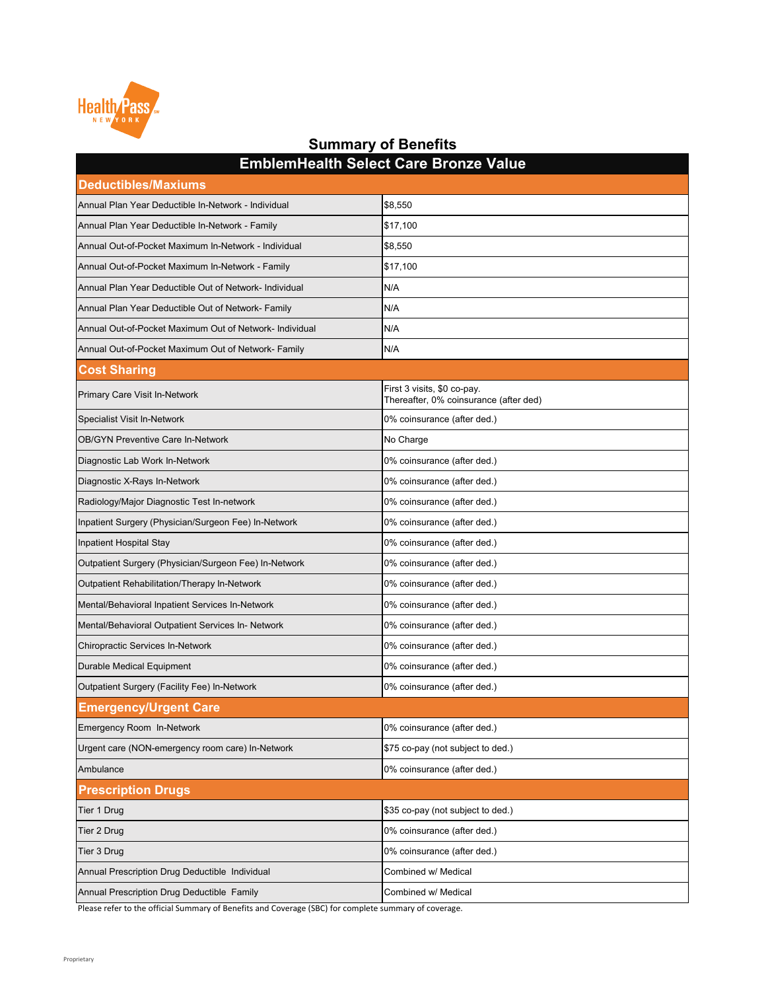| \$8,550                                                                                                                   |  |
|---------------------------------------------------------------------------------------------------------------------------|--|
| \$17,100                                                                                                                  |  |
| \$8,550                                                                                                                   |  |
| \$17,100                                                                                                                  |  |
| N/A                                                                                                                       |  |
| N/A                                                                                                                       |  |
| N/A                                                                                                                       |  |
| N/A                                                                                                                       |  |
|                                                                                                                           |  |
| First 3 visits, \$0 co-pay.<br>Thereafter, 0% coinsurance (after ded)                                                     |  |
| 0% coinsurance (after ded.)                                                                                               |  |
| No Charge                                                                                                                 |  |
| 0% coinsurance (after ded.)                                                                                               |  |
| 0% coinsurance (after ded.)                                                                                               |  |
| 0% coinsurance (after ded.)                                                                                               |  |
| 0% coinsurance (after ded.)                                                                                               |  |
| 0% coinsurance (after ded.)                                                                                               |  |
| 0% coinsurance (after ded.)                                                                                               |  |
| 0% coinsurance (after ded.)                                                                                               |  |
| 0% coinsurance (after ded.)                                                                                               |  |
| 0% coinsurance (after ded.)                                                                                               |  |
| 0% coinsurance (after ded.)                                                                                               |  |
| 0% coinsurance (after ded.)                                                                                               |  |
| 0% coinsurance (after ded.)                                                                                               |  |
|                                                                                                                           |  |
| 0% coinsurance (after ded.)                                                                                               |  |
| \$75 co-pay (not subject to ded.)                                                                                         |  |
| 0% coinsurance (after ded.)                                                                                               |  |
| <b>Prescription Drugs</b>                                                                                                 |  |
| \$35 co-pay (not subject to ded.)                                                                                         |  |
| 0% coinsurance (after ded.)                                                                                               |  |
| 0% coinsurance (after ded.)                                                                                               |  |
| Combined w/ Medical                                                                                                       |  |
| Combined w/ Medical<br>Doggerates to the efficial Cummany of Denofits and Coverage (CDC) for complete summany of coverage |  |
|                                                                                                                           |  |

**EmblemHealth Select Care Bronze Value**

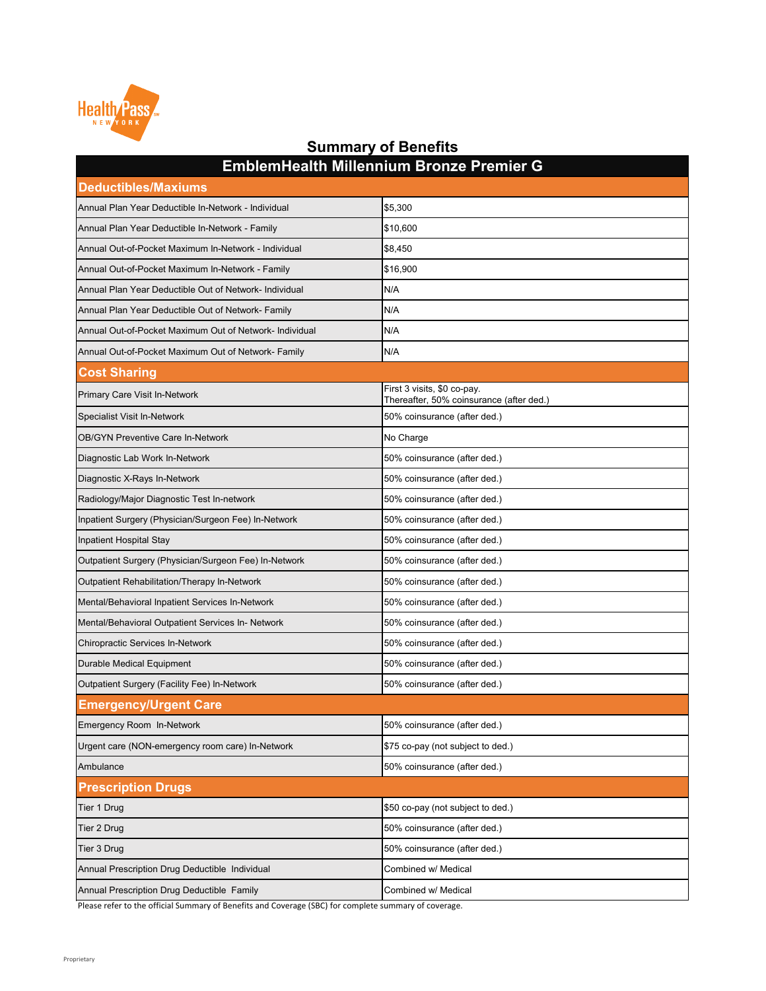| <b>Deductibles/Maxiums</b>                              |                                                                         |
|---------------------------------------------------------|-------------------------------------------------------------------------|
| Annual Plan Year Deductible In-Network - Individual     | \$5,300                                                                 |
| Annual Plan Year Deductible In-Network - Family         | \$10,600                                                                |
| Annual Out-of-Pocket Maximum In-Network - Individual    | \$8,450                                                                 |
| Annual Out-of-Pocket Maximum In-Network - Family        | \$16,900                                                                |
| Annual Plan Year Deductible Out of Network- Individual  | N/A                                                                     |
| Annual Plan Year Deductible Out of Network- Family      | N/A                                                                     |
| Annual Out-of-Pocket Maximum Out of Network- Individual | N/A                                                                     |
| Annual Out-of-Pocket Maximum Out of Network- Family     | N/A                                                                     |
| <b>Cost Sharing</b>                                     |                                                                         |
| <b>Primary Care Visit In-Network</b>                    | First 3 visits, \$0 co-pay.<br>Thereafter, 50% coinsurance (after ded.) |
| <b>Specialist Visit In-Network</b>                      | 50% coinsurance (after ded.)                                            |
| <b>OB/GYN Preventive Care In-Network</b>                | No Charge                                                               |
| Diagnostic Lab Work In-Network                          | 50% coinsurance (after ded.)                                            |
| Diagnostic X-Rays In-Network                            | 50% coinsurance (after ded.)                                            |
| Radiology/Major Diagnostic Test In-network              | 50% coinsurance (after ded.)                                            |
| Inpatient Surgery (Physician/Surgeon Fee) In-Network    | 50% coinsurance (after ded.)                                            |
| Inpatient Hospital Stay                                 | 50% coinsurance (after ded.)                                            |
| Outpatient Surgery (Physician/Surgeon Fee) In-Network   | 50% coinsurance (after ded.)                                            |
| <b>Outpatient Rehabilitation/Therapy In-Network</b>     | 50% coinsurance (after ded.)                                            |
| Mental/Behavioral Inpatient Services In-Network         | 50% coinsurance (after ded.)                                            |
| Mental/Behavioral Outpatient Services In- Network       | 50% coinsurance (after ded.)                                            |
| <b>Chiropractic Services In-Network</b>                 | 50% coinsurance (after ded.)                                            |
| <b>Durable Medical Equipment</b>                        | 50% coinsurance (after ded.)                                            |
| <b>Outpatient Surgery (Facility Fee) In-Network</b>     | 50% coinsurance (after ded.)                                            |
| <b>Emergency/Urgent Care</b>                            |                                                                         |
| <b>Emergency Room In-Network</b>                        | 50% coinsurance (after ded.)                                            |
| Urgent care (NON-emergency room care) In-Network        | \$75 co-pay (not subject to ded.)                                       |
| Ambulance                                               | 50% coinsurance (after ded.)                                            |
| <b>Prescription Drugs</b>                               |                                                                         |
| Tier 1 Drug                                             | \$50 co-pay (not subject to ded.)                                       |
| Tier 2 Drug                                             | 50% coinsurance (after ded.)                                            |
| Tier 3 Drug                                             | 50% coinsurance (after ded.)                                            |
| Annual Prescription Drug Deductible Individual          | Combined w/ Medical                                                     |
| Annual Prescription Drug Deductible Family              | Combined w/ Medical                                                     |

**EmblemHealth Millennium Bronze Premier G**

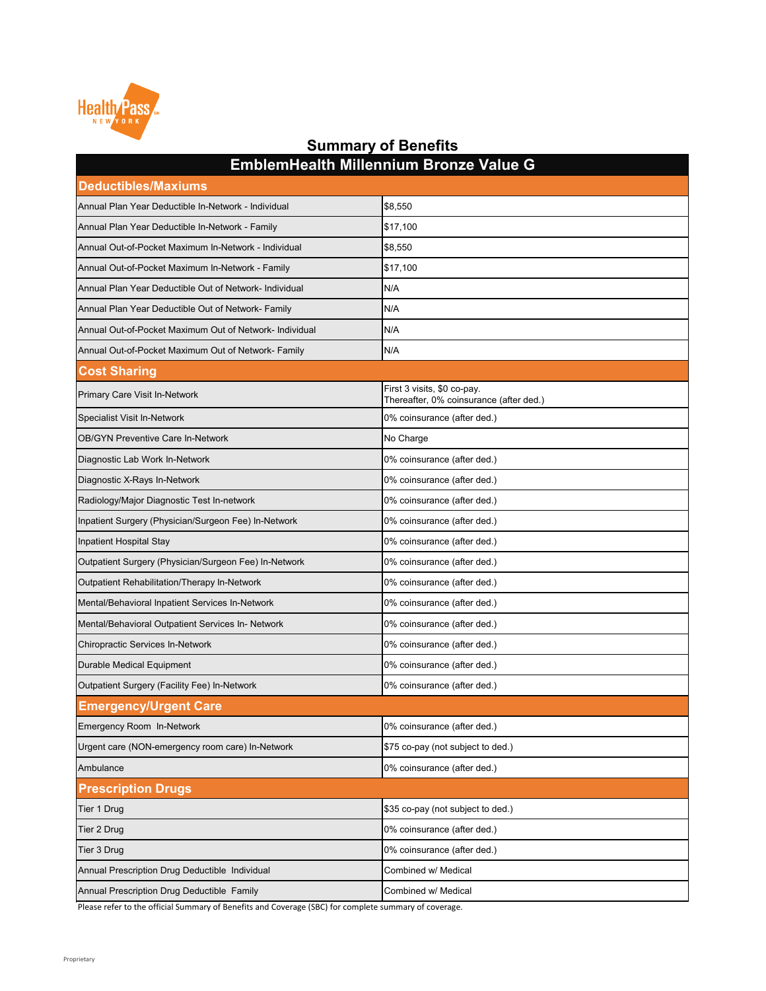| <b>Deductibles/Maxiums</b>                              |                                                                        |
|---------------------------------------------------------|------------------------------------------------------------------------|
| Annual Plan Year Deductible In-Network - Individual     | \$8,550                                                                |
| Annual Plan Year Deductible In-Network - Family         | \$17,100                                                               |
| Annual Out-of-Pocket Maximum In-Network - Individual    | \$8,550                                                                |
| Annual Out-of-Pocket Maximum In-Network - Family        | \$17,100                                                               |
| Annual Plan Year Deductible Out of Network- Individual  | N/A                                                                    |
| Annual Plan Year Deductible Out of Network- Family      | N/A                                                                    |
| Annual Out-of-Pocket Maximum Out of Network- Individual | N/A                                                                    |
| Annual Out-of-Pocket Maximum Out of Network- Family     | N/A                                                                    |
| <b>Cost Sharing</b>                                     |                                                                        |
| <b>Primary Care Visit In-Network</b>                    | First 3 visits, \$0 co-pay.<br>Thereafter, 0% coinsurance (after ded.) |
| <b>Specialist Visit In-Network</b>                      | 0% coinsurance (after ded.)                                            |
| <b>OB/GYN Preventive Care In-Network</b>                | No Charge                                                              |
| Diagnostic Lab Work In-Network                          | 0% coinsurance (after ded.)                                            |
| Diagnostic X-Rays In-Network                            | 0% coinsurance (after ded.)                                            |
| Radiology/Major Diagnostic Test In-network              | 0% coinsurance (after ded.)                                            |
| Inpatient Surgery (Physician/Surgeon Fee) In-Network    | 0% coinsurance (after ded.)                                            |
| Inpatient Hospital Stay                                 | 0% coinsurance (after ded.)                                            |
| Outpatient Surgery (Physician/Surgeon Fee) In-Network   | 0% coinsurance (after ded.)                                            |
| Outpatient Rehabilitation/Therapy In-Network            | 0% coinsurance (after ded.)                                            |
| Mental/Behavioral Inpatient Services In-Network         | 0% coinsurance (after ded.)                                            |
| Mental/Behavioral Outpatient Services In- Network       | 0% coinsurance (after ded.)                                            |
| <b>Chiropractic Services In-Network</b>                 | 0% coinsurance (after ded.)                                            |
| <b>Durable Medical Equipment</b>                        | 0% coinsurance (after ded.)                                            |
| <b>Outpatient Surgery (Facility Fee) In-Network</b>     | 0% coinsurance (after ded.)                                            |
| <b>Emergency/Urgent Care</b>                            |                                                                        |
| <b>Emergency Room In-Network</b>                        | 0% coinsurance (after ded.)                                            |
| Urgent care (NON-emergency room care) In-Network        | \$75 co-pay (not subject to ded.)                                      |
| Ambulance                                               | 0% coinsurance (after ded.)                                            |
| <b>Prescription Drugs</b>                               |                                                                        |
| Tier 1 Drug                                             | \$35 co-pay (not subject to ded.)                                      |
| Tier 2 Drug                                             | 0% coinsurance (after ded.)                                            |
| Tier 3 Drug                                             | 0% coinsurance (after ded.)                                            |
| Annual Prescription Drug Deductible Individual          | Combined w/ Medical                                                    |
| Annual Prescription Drug Deductible Family              | Combined w/ Medical                                                    |

**EmblemHealth Millennium Bronze Value G**

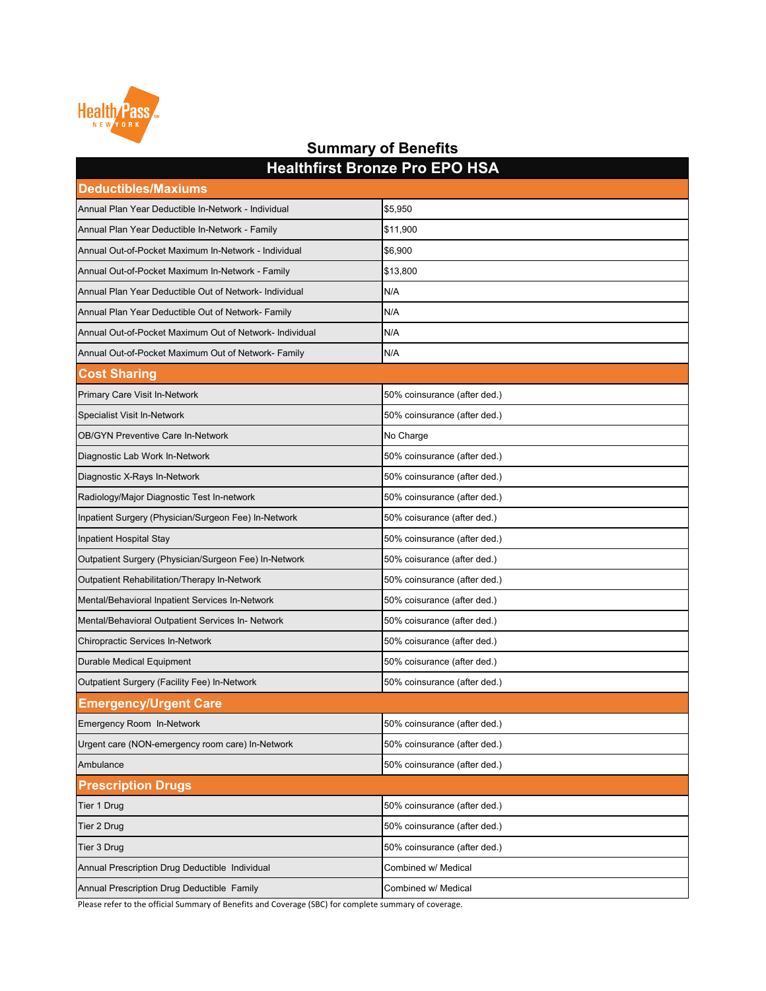| <b>I</b> IGARILITIST DIVILEGT TO LIVE OF ITOM<br><b>Deductibles/Maxiums</b> |                              |
|-----------------------------------------------------------------------------|------------------------------|
| Annual Plan Year Deductible In-Network - Individual                         | \$5,950                      |
| Annual Plan Year Deductible In-Network - Family                             | \$11,900                     |
| Annual Out-of-Pocket Maximum In-Network - Individual                        | \$6,900                      |
| Annual Out-of-Pocket Maximum In-Network - Family                            | \$13,800                     |
| Annual Plan Year Deductible Out of Network- Individual                      | N/A                          |
| Annual Plan Year Deductible Out of Network- Family                          | N/A                          |
| Annual Out-of-Pocket Maximum Out of Network- Individual                     | N/A                          |
| Annual Out-of-Pocket Maximum Out of Network- Family                         | N/A                          |
| <b>Cost Sharing</b>                                                         |                              |
| <b>Primary Care Visit In-Network</b>                                        | 50% coinsurance (after ded.) |
| <b>Specialist Visit In-Network</b>                                          | 50% coinsurance (after ded.) |
| <b>OB/GYN Preventive Care In-Network</b>                                    | No Charge                    |
| Diagnostic Lab Work In-Network                                              | 50% coinsurance (after ded.) |
| Diagnostic X-Rays In-Network                                                | 50% coinsurance (after ded.) |
| Radiology/Major Diagnostic Test In-network                                  | 50% coinsurance (after ded.) |
| Inpatient Surgery (Physician/Surgeon Fee) In-Network                        | 50% coisurance (after ded.)  |
| Inpatient Hospital Stay                                                     | 50% coinsurance (after ded.) |
| Outpatient Surgery (Physician/Surgeon Fee) In-Network                       | 50% coisurance (after ded.)  |
| <b>Outpatient Rehabilitation/Therapy In-Network</b>                         | 50% coinsurance (after ded.) |
| Mental/Behavioral Inpatient Services In-Network                             | 50% coisurance (after ded.)  |
| Mental/Behavioral Outpatient Services In- Network                           | 50% coisurance (after ded.)  |
| <b>Chiropractic Services In-Network</b>                                     | 50% coisurance (after ded.)  |
| <b>Durable Medical Equipment</b>                                            | 50% coisurance (after ded.)  |
| <b>Outpatient Surgery (Facility Fee) In-Network</b>                         | 50% coinsurance (after ded.) |
| <b>Emergency/Urgent Care</b>                                                |                              |
| <b>Emergency Room In-Network</b>                                            | 50% coinsurance (after ded.) |
| Urgent care (NON-emergency room care) In-Network                            | 50% coinsurance (after ded.) |
| Ambulance                                                                   | 50% coinsurance (after ded.) |
| <b>Prescription Drugs</b>                                                   |                              |
| Tier 1 Drug                                                                 | 50% coinsurance (after ded.) |
| Tier 2 Drug                                                                 | 50% coinsurance (after ded.) |
| Tier 3 Drug                                                                 | 50% coinsurance (after ded.) |
| Annual Prescription Drug Deductible Individual                              | Combined w/ Medical          |
| Annual Prescription Drug Deductible Family                                  | Combined w/ Medical          |



#### **Summary of Benefits Healthfirst Bronze Pro EPO HSA**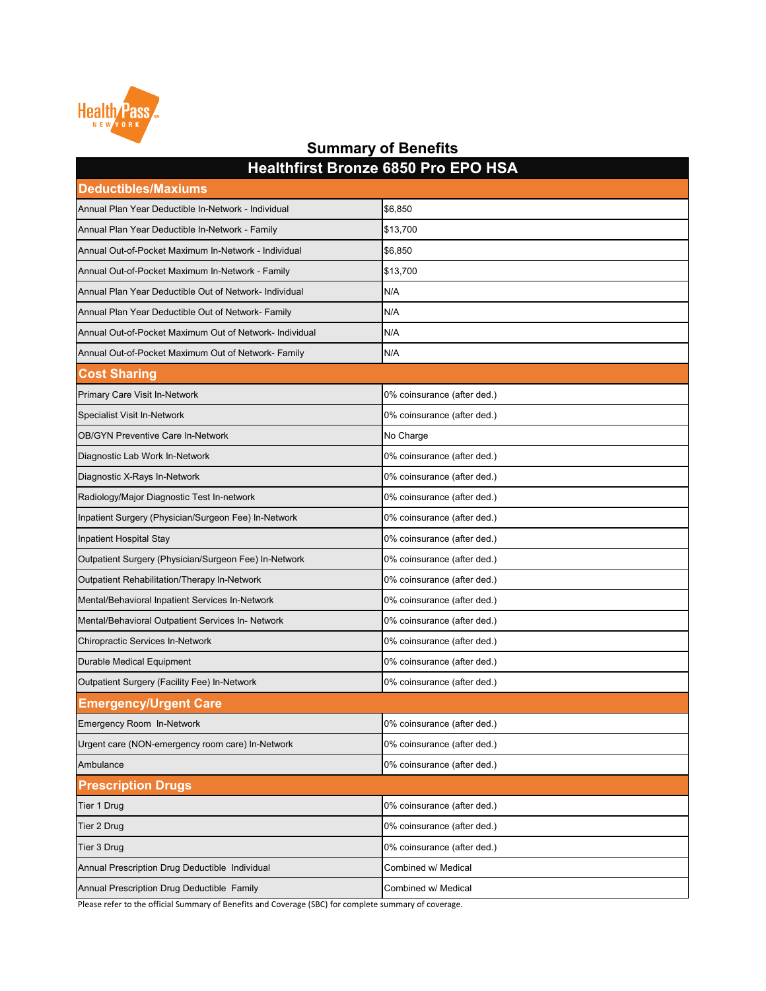| <b>Deductibles/Maxiums</b>                              |                             |
|---------------------------------------------------------|-----------------------------|
| Annual Plan Year Deductible In-Network - Individual     | \$6,850                     |
| Annual Plan Year Deductible In-Network - Family         | \$13,700                    |
| Annual Out-of-Pocket Maximum In-Network - Individual    | \$6,850                     |
| Annual Out-of-Pocket Maximum In-Network - Family        | \$13,700                    |
| Annual Plan Year Deductible Out of Network- Individual  | N/A                         |
| Annual Plan Year Deductible Out of Network- Family      | N/A                         |
| Annual Out-of-Pocket Maximum Out of Network- Individual | N/A                         |
| Annual Out-of-Pocket Maximum Out of Network- Family     | N/A                         |
| <b>Cost Sharing</b>                                     |                             |
| <b>Primary Care Visit In-Network</b>                    | 0% coinsurance (after ded.) |
| <b>Specialist Visit In-Network</b>                      | 0% coinsurance (after ded.) |
| <b>OB/GYN Preventive Care In-Network</b>                | No Charge                   |
| Diagnostic Lab Work In-Network                          | 0% coinsurance (after ded.) |
| Diagnostic X-Rays In-Network                            | 0% coinsurance (after ded.) |
| Radiology/Major Diagnostic Test In-network              | 0% coinsurance (after ded.) |
| Inpatient Surgery (Physician/Surgeon Fee) In-Network    | 0% coinsurance (after ded.) |
| Inpatient Hospital Stay                                 | 0% coinsurance (after ded.) |
| Outpatient Surgery (Physician/Surgeon Fee) In-Network   | 0% coinsurance (after ded.) |
| Outpatient Rehabilitation/Therapy In-Network            | 0% coinsurance (after ded.) |
| Mental/Behavioral Inpatient Services In-Network         | 0% coinsurance (after ded.) |
| Mental/Behavioral Outpatient Services In- Network       | 0% coinsurance (after ded.) |
| <b>Chiropractic Services In-Network</b>                 | 0% coinsurance (after ded.) |
| <b>Durable Medical Equipment</b>                        | 0% coinsurance (after ded.) |
| <b>Outpatient Surgery (Facility Fee) In-Network</b>     | 0% coinsurance (after ded.) |
| <b>Emergency/Urgent Care</b>                            |                             |
| <b>Emergency Room In-Network</b>                        | 0% coinsurance (after ded.) |
| Urgent care (NON-emergency room care) In-Network        | 0% coinsurance (after ded.) |
| Ambulance                                               | 0% coinsurance (after ded.) |
| <b>Prescription Drugs</b>                               |                             |
| Tier 1 Drug                                             | 0% coinsurance (after ded.) |
| Tier 2 Drug                                             | 0% coinsurance (after ded.) |
| Tier 3 Drug                                             | 0% coinsurance (after ded.) |
| Annual Prescription Drug Deductible Individual          | Combined w/ Medical         |
| Annual Prescription Drug Deductible Family              | Combined w/ Medical         |



### **Summary of Benefits Healthfirst Bronze 6850 Pro EPO HSA**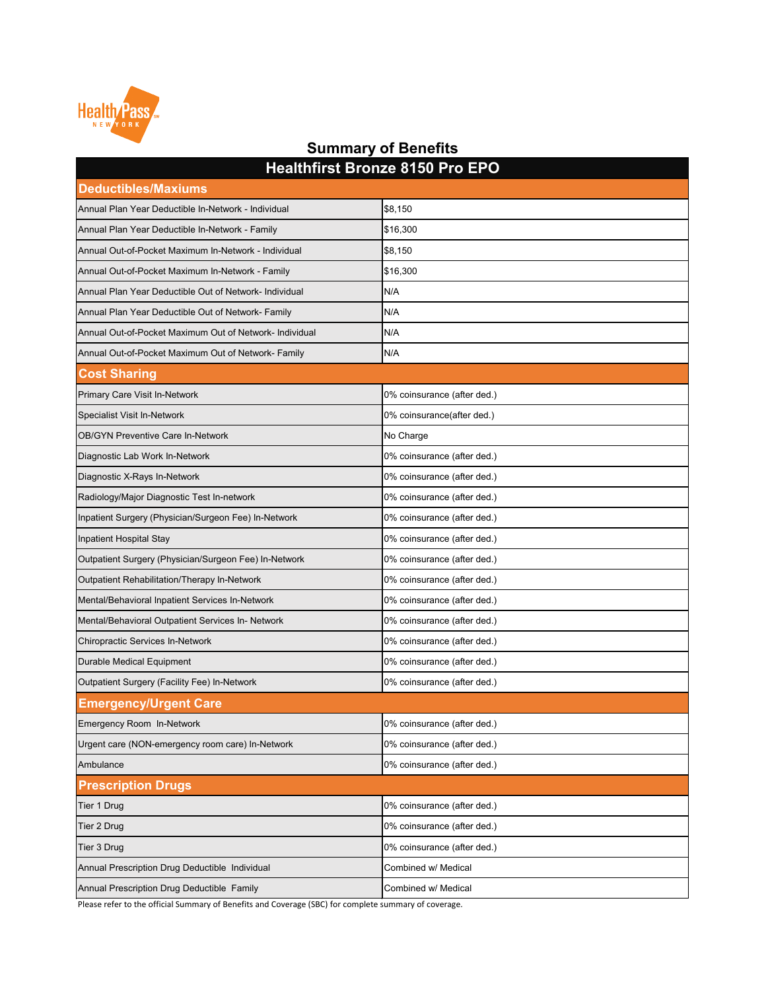| <b>I IVARILITIVE DIVILEY V I VV I TV ET</b><br><b>Deductibles/Maxiums</b> |                             |
|---------------------------------------------------------------------------|-----------------------------|
| Annual Plan Year Deductible In-Network - Individual                       | \$8,150                     |
| Annual Plan Year Deductible In-Network - Family                           | \$16,300                    |
| Annual Out-of-Pocket Maximum In-Network - Individual                      | \$8,150                     |
| Annual Out-of-Pocket Maximum In-Network - Family                          | \$16,300                    |
| Annual Plan Year Deductible Out of Network- Individual                    | N/A                         |
| Annual Plan Year Deductible Out of Network- Family                        | N/A                         |
| Annual Out-of-Pocket Maximum Out of Network- Individual                   | N/A                         |
| Annual Out-of-Pocket Maximum Out of Network- Family                       | N/A                         |
| <b>Cost Sharing</b>                                                       |                             |
| <b>Primary Care Visit In-Network</b>                                      | 0% coinsurance (after ded.) |
| <b>Specialist Visit In-Network</b>                                        | 0% coinsurance(after ded.)  |
| <b>OB/GYN Preventive Care In-Network</b>                                  | No Charge                   |
| Diagnostic Lab Work In-Network                                            | 0% coinsurance (after ded.) |
| Diagnostic X-Rays In-Network                                              | 0% coinsurance (after ded.) |
| Radiology/Major Diagnostic Test In-network                                | 0% coinsurance (after ded.) |
| Inpatient Surgery (Physician/Surgeon Fee) In-Network                      | 0% coinsurance (after ded.) |
| Inpatient Hospital Stay                                                   | 0% coinsurance (after ded.) |
| Outpatient Surgery (Physician/Surgeon Fee) In-Network                     | 0% coinsurance (after ded.) |
| <b>Outpatient Rehabilitation/Therapy In-Network</b>                       | 0% coinsurance (after ded.) |
| Mental/Behavioral Inpatient Services In-Network                           | 0% coinsurance (after ded.) |
| Mental/Behavioral Outpatient Services In- Network                         | 0% coinsurance (after ded.) |
| <b>Chiropractic Services In-Network</b>                                   | 0% coinsurance (after ded.) |
| <b>Durable Medical Equipment</b>                                          | 0% coinsurance (after ded.) |
| <b>Outpatient Surgery (Facility Fee) In-Network</b>                       | 0% coinsurance (after ded.) |
| <b>Emergency/Urgent Care</b>                                              |                             |
| <b>Emergency Room In-Network</b>                                          | 0% coinsurance (after ded.) |
| Urgent care (NON-emergency room care) In-Network                          | 0% coinsurance (after ded.) |
| Ambulance                                                                 | 0% coinsurance (after ded.) |
| <b>Prescription Drugs</b>                                                 |                             |
| Tier 1 Drug                                                               | 0% coinsurance (after ded.) |
| Tier 2 Drug                                                               | 0% coinsurance (after ded.) |
| Tier 3 Drug                                                               | 0% coinsurance (after ded.) |
| Annual Prescription Drug Deductible Individual                            | Combined w/ Medical         |
| Annual Prescription Drug Deductible Family                                | Combined w/ Medical         |



#### **Summary of Benefits Healthfirst Bronze 8150 Pro EPO**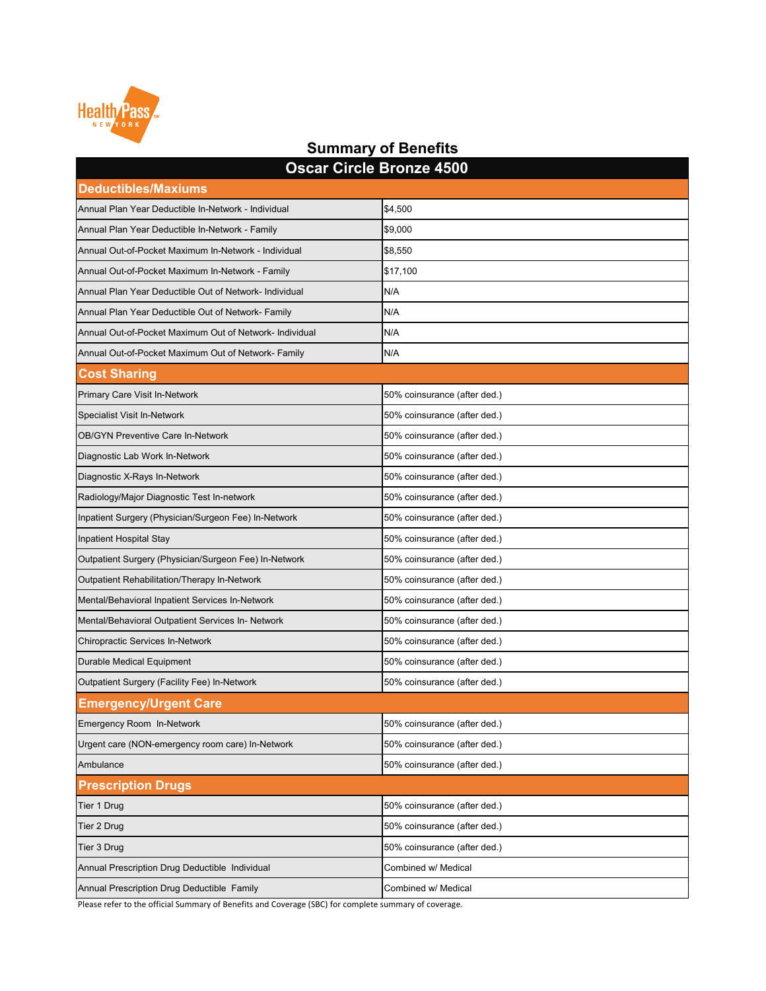| <b>Oscar Circle Bronze 4500</b>                         |                              |
|---------------------------------------------------------|------------------------------|
| <b>Deductibles/Maxiums</b>                              |                              |
| Annual Plan Year Deductible In-Network - Individual     | \$4,500                      |
| Annual Plan Year Deductible In-Network - Family         | \$9,000                      |
| Annual Out-of-Pocket Maximum In-Network - Individual    | \$8,550                      |
| Annual Out-of-Pocket Maximum In-Network - Family        | \$17,100                     |
| Annual Plan Year Deductible Out of Network- Individual  | N/A                          |
| Annual Plan Year Deductible Out of Network- Family      | N/A                          |
| Annual Out-of-Pocket Maximum Out of Network- Individual | N/A                          |
| Annual Out-of-Pocket Maximum Out of Network- Family     | N/A                          |
| <b>Cost Sharing</b>                                     |                              |
| <b>Primary Care Visit In-Network</b>                    | 50% coinsurance (after ded.) |
| <b>Specialist Visit In-Network</b>                      | 50% coinsurance (after ded.) |
| <b>OB/GYN Preventive Care In-Network</b>                | 50% coinsurance (after ded.) |
| Diagnostic Lab Work In-Network                          | 50% coinsurance (after ded.) |
| Diagnostic X-Rays In-Network                            | 50% coinsurance (after ded.) |
| Radiology/Major Diagnostic Test In-network              | 50% coinsurance (after ded.) |
| Inpatient Surgery (Physician/Surgeon Fee) In-Network    | 50% coinsurance (after ded.) |
| Inpatient Hospital Stay                                 | 50% coinsurance (after ded.) |
| Outpatient Surgery (Physician/Surgeon Fee) In-Network   | 50% coinsurance (after ded.) |
| <b>Outpatient Rehabilitation/Therapy In-Network</b>     | 50% coinsurance (after ded.) |
| Mental/Behavioral Inpatient Services In-Network         | 50% coinsurance (after ded.) |
| Mental/Behavioral Outpatient Services In- Network       | 50% coinsurance (after ded.) |
| <b>Chiropractic Services In-Network</b>                 | 50% coinsurance (after ded.) |
| <b>Durable Medical Equipment</b>                        | 50% coinsurance (after ded.) |
| <b>Outpatient Surgery (Facility Fee) In-Network</b>     | 50% coinsurance (after ded.) |
| <b>Emergency/Urgent Care</b>                            |                              |
| <b>Emergency Room In-Network</b>                        | 50% coinsurance (after ded.) |
| Urgent care (NON-emergency room care) In-Network        | 50% coinsurance (after ded.) |
| Ambulance                                               | 50% coinsurance (after ded.) |
| <b>Prescription Drugs</b>                               |                              |
| Tier 1 Drug                                             | 50% coinsurance (after ded.) |
| Tier 2 Drug                                             | 50% coinsurance (after ded.) |
| Tier 3 Drug                                             | 50% coinsurance (after ded.) |
| Annual Prescription Drug Deductible Individual          | Combined w/ Medical          |
| Annual Prescription Drug Deductible Family              | Combined w/ Medical          |

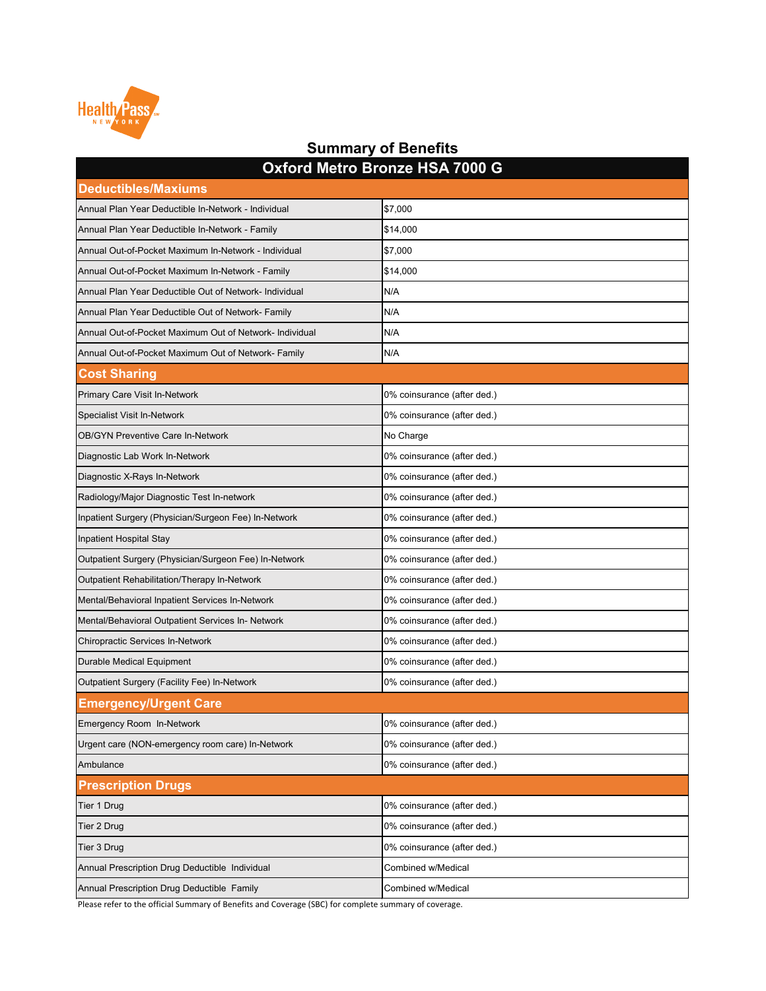| <b>Deductibles/Maxiums</b>                              | <u>UANIU MUTU DIVIIZU I IUA TUVU U</u> |
|---------------------------------------------------------|----------------------------------------|
| Annual Plan Year Deductible In-Network - Individual     | \$7,000                                |
| Annual Plan Year Deductible In-Network - Family         | \$14,000                               |
| Annual Out-of-Pocket Maximum In-Network - Individual    | \$7,000                                |
| Annual Out-of-Pocket Maximum In-Network - Family        | \$14,000                               |
| Annual Plan Year Deductible Out of Network- Individual  | N/A                                    |
| Annual Plan Year Deductible Out of Network- Family      | N/A                                    |
| Annual Out-of-Pocket Maximum Out of Network- Individual | N/A                                    |
| Annual Out-of-Pocket Maximum Out of Network- Family     | N/A                                    |
| <b>Cost Sharing</b>                                     |                                        |
| <b>Primary Care Visit In-Network</b>                    | 0% coinsurance (after ded.)            |
| <b>Specialist Visit In-Network</b>                      | 0% coinsurance (after ded.)            |
| <b>OB/GYN Preventive Care In-Network</b>                | No Charge                              |
| Diagnostic Lab Work In-Network                          | 0% coinsurance (after ded.)            |
| Diagnostic X-Rays In-Network                            | 0% coinsurance (after ded.)            |
| Radiology/Major Diagnostic Test In-network              | 0% coinsurance (after ded.)            |
| Inpatient Surgery (Physician/Surgeon Fee) In-Network    | 0% coinsurance (after ded.)            |
| Inpatient Hospital Stay                                 | 0% coinsurance (after ded.)            |
| Outpatient Surgery (Physician/Surgeon Fee) In-Network   | 0% coinsurance (after ded.)            |
| <b>Outpatient Rehabilitation/Therapy In-Network</b>     | 0% coinsurance (after ded.)            |
| Mental/Behavioral Inpatient Services In-Network         | 0% coinsurance (after ded.)            |
| Mental/Behavioral Outpatient Services In- Network       | 0% coinsurance (after ded.)            |
| <b>Chiropractic Services In-Network</b>                 | 0% coinsurance (after ded.)            |
| <b>Durable Medical Equipment</b>                        | 0% coinsurance (after ded.)            |
| <b>Outpatient Surgery (Facility Fee) In-Network</b>     | 0% coinsurance (after ded.)            |
| <b>Emergency/Urgent Care</b>                            |                                        |
| <b>Emergency Room In-Network</b>                        | 0% coinsurance (after ded.)            |
| Urgent care (NON-emergency room care) In-Network        | 0% coinsurance (after ded.)            |
| Ambulance                                               | 0% coinsurance (after ded.)            |
| <b>Prescription Drugs</b>                               |                                        |
| Tier 1 Drug                                             | 0% coinsurance (after ded.)            |
| <b>Tier 2 Drug</b>                                      | 0% coinsurance (after ded.)            |
| Tier 3 Drug                                             | 0% coinsurance (after ded.)            |
| Annual Prescription Drug Deductible Individual          | <b>Combined w/Medical</b>              |
| Annual Prescription Drug Deductible Family              | <b>Combined w/Medical</b>              |



#### **Summary of Benefits Oxford Metro Bronze HSA 7000 G**